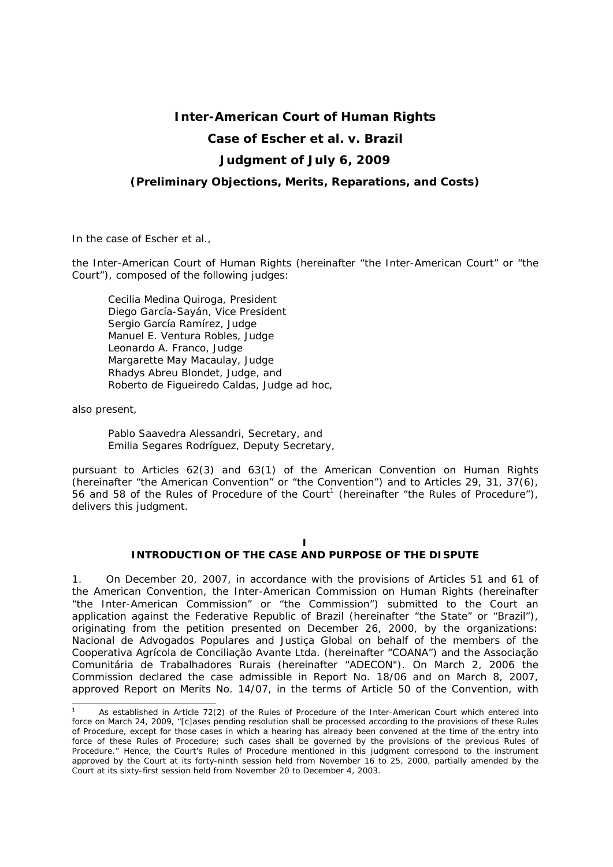# **Inter-American Court of Human Rights**

# **Case of Escher** *et al. v.* **Brazil**

# **Judgment of July 6, 2009**

## *(Preliminary Objections, Merits, Reparations, and Costs)*

In the case of *Escher et al.,*

the Inter-American Court of Human Rights (hereinafter "the Inter-American Court" or "the Court"), composed of the following judges:

 Cecilia Medina Quiroga, President Diego García-Sayán, Vice President Sergio García Ramírez, Judge Manuel E. Ventura Robles, Judge Leonardo A. Franco, Judge Margarette May Macaulay, Judge Rhadys Abreu Blondet, Judge*,* and Roberto de Figueiredo Caldas, Judge *ad hoc*,

also present,

-

 Pablo Saavedra Alessandri, Secretary, and Emilia Segares Rodríguez, Deputy Secretary,

pursuant to Articles 62(3) and 63(1) of the American Convention on Human Rights (hereinafter "the American Convention" or "the Convention") and to Articles 29, 31, 37(6), 56 and 58 of the Rules of Procedure of the Court<sup>1</sup> (hereinafter "the Rules of Procedure"), delivers this judgment.

# **I**

## **INTRODUCTION OF THE CASE AND PURPOSE OF THE DISPUTE**

1. On December 20, 2007, in accordance with the provisions of Articles 51 and 61 of the American Convention, the Inter-American Commission on Human Rights (hereinafter "the Inter-American Commission" or "the Commission") submitted to the Court an application against the Federative Republic of Brazil (hereinafter "the State" or "Brazil"), originating from the petition presented on December 26, 2000, by the organizations: *Nacional de Advogados Populares* and *Justiça Global* on behalf of the members of the *Cooperativa Agrícola de Conciliação Avante Ltda. (*hereinafter *"COANA")* and the *Associação Comunitária de Trabalhadores Rurais (*hereinafter *"ADECON").* On March 2, 2006 the Commission declared the case admissible in Report No. 18/06 and on March 8, 2007, approved Report on Merits No. 14/07, in the terms of Article 50 of the Convention, with

<sup>1</sup> As established in Article 72(2) of the Rules of Procedure of the Inter-American Court which entered into force on March 24, 2009, "[c]ases pending resolution shall be processed according to the provisions of these Rules of Procedure, except for those cases in which a hearing has already been convened at the time of the entry into force of these Rules of Procedure; such cases shall be governed by the provisions of the previous Rules of Procedure." Hence, the Court's Rules of Procedure mentioned in this judgment correspond to the instrument approved by the Court at its forty-ninth session held from November 16 to 25, 2000, partially amended by the Court at its sixty-first session held from November 20 to December 4, 2003.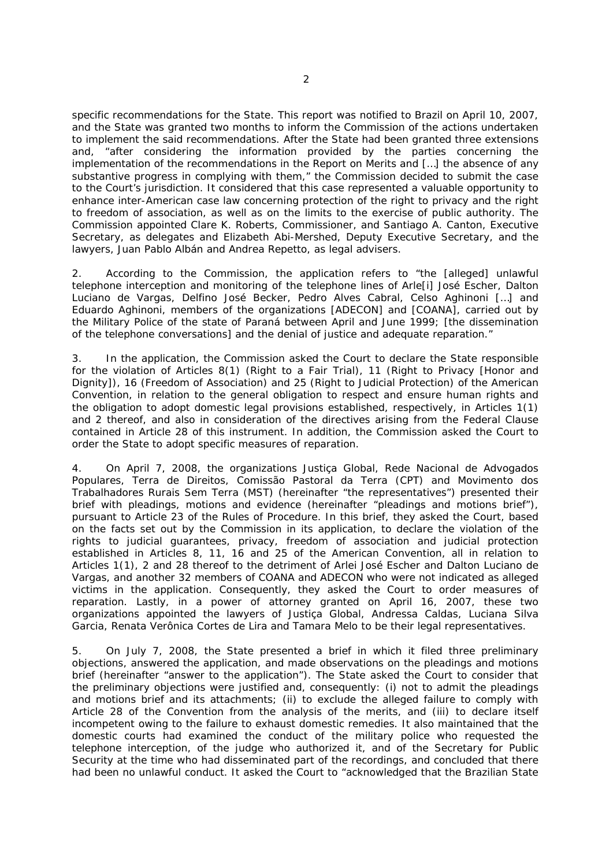specific recommendations for the State. This report was notified to Brazil on April 10, 2007, and the State was granted two months to inform the Commission of the actions undertaken to implement the said recommendations. After the State had been granted three extensions and, "after considering the information provided by the parties concerning the implementation of the recommendations in the Report on Merits and […] the absence of any substantive progress in complying with them," the Commission decided to submit the case to the Court's jurisdiction. It considered that this case represented a valuable opportunity to enhance inter-American case law concerning protection of the right to privacy and the right to freedom of association, as well as on the limits to the exercise of public authority. The Commission appointed Clare K. Roberts, Commissioner, and Santiago A. Canton, Executive Secretary, as delegates and Elizabeth Abi-Mershed, Deputy Executive Secretary, and the lawyers, Juan Pablo Albán and Andrea Repetto, as legal advisers.

2. According to the Commission, the application refers to "the [alleged] unlawful telephone interception and monitoring of the telephone lines of Arle[i] José Escher, Dalton Luciano de Vargas, Delfino José Becker, Pedro Alves Cabral, Celso Aghinoni […] and Eduardo Aghinoni, members of the organizations [ADECON] and [COANA], carried out by the Military Police of the state of Paraná between April and June 1999; [the dissemination of the telephone conversations] and the denial of justice and adequate reparation."

3. In the application, the Commission asked the Court to declare the State responsible for the violation of Articles 8(1) (Right to a Fair Trial), 11 (Right to Privacy [Honor and Dignity]), 16 (Freedom of Association) and 25 (Right to Judicial Protection) of the American Convention, in relation to the general obligation to respect and ensure human rights and the obligation to adopt domestic legal provisions established, respectively, in Articles 1(1) and 2 thereof, and also in consideration of the directives arising from the Federal Clause contained in Article 28 of this instrument. In addition, the Commission asked the Court to order the State to adopt specific measures of reparation.

4. On April 7, 2008, the organizations *Justiça Global, Rede Nacional de Advogados Populares*, *Terra de Direitos*, *Comissão Pastoral da Terra (CPT)* and *Movimento dos Trabalhadores Rurais Sem Terra (MST)* (hereinafter "the representatives") presented their brief with pleadings, motions and evidence (hereinafter "pleadings and motions brief"), pursuant to Article 23 of the Rules of Procedure. In this brief, they asked the Court, based on the facts set out by the Commission in its application, to declare the violation of the rights to judicial guarantees, privacy, freedom of association and judicial protection established in Articles 8, 11, 16 and 25 of the American Convention, all in relation to Articles 1(1), 2 and 28 thereof to the detriment of Arlei José Escher and Dalton Luciano de Vargas, and another 32 members of COANA and ADECON who were not indicated as alleged victims in the application. Consequently, they asked the Court to order measures of reparation. Lastly, in a power of attorney granted on April 16, 2007, these two organizations appointed the lawyers of *Justiça Global*, Andressa Caldas, Luciana Silva Garcia, Renata Verônica Cortes de Lira and Tamara Melo to be their legal representatives.

5. On July 7, 2008, the State presented a brief in which it filed three preliminary objections, answered the application, and made observations on the pleadings and motions brief (hereinafter "answer to the application"). The State asked the Court to consider that the preliminary objections were justified and, consequently: (i) not to admit the pleadings and motions brief and its attachments; (ii) to exclude the alleged failure to comply with Article 28 of the Convention from the analysis of the merits, and (iii) to declare itself incompetent owing to the failure to exhaust domestic remedies. It also maintained that the domestic courts had examined the conduct of the military police who requested the telephone interception, of the judge who authorized it, and of the Secretary for Public Security at the time who had disseminated part of the recordings, and concluded that there had been no unlawful conduct. It asked the Court to "acknowledged that the Brazilian State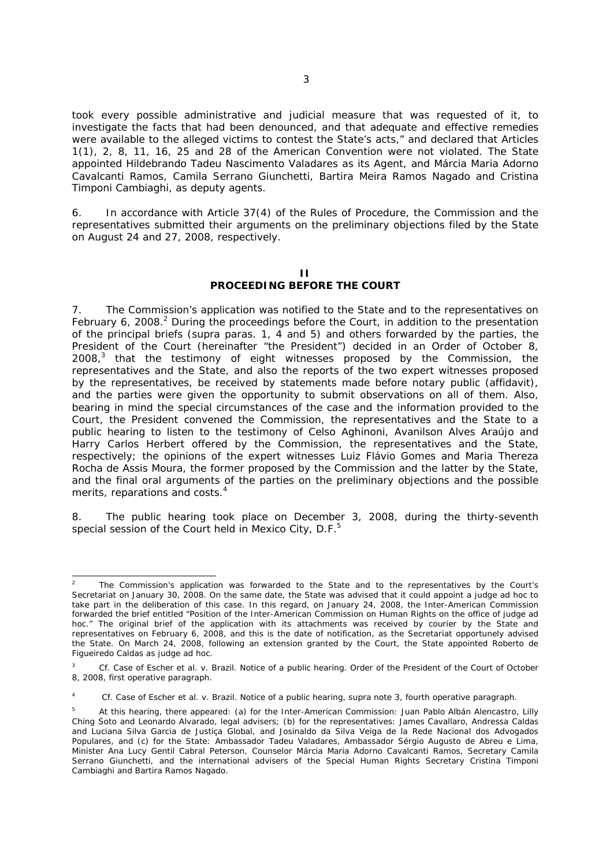took every possible administrative and judicial measure that was requested of it, to investigate the facts that had been denounced, and that adequate and effective remedies were available to the alleged victims to contest the State's acts," and declared that Articles 1(1), 2, 8, 11, 16, 25 and 28 of the American Convention were not violated. The State appointed Hildebrando Tadeu Nascimento Valadares as its Agent, and Márcia Maria Adorno Cavalcanti Ramos, Camila Serrano Giunchetti, Bartira Meira Ramos Nagado and Cristina Timponi Cambiaghi, as deputy agents.

6. In accordance with Article 37(4) of the Rules of Procedure, the Commission and the representatives submitted their arguments on the preliminary objections filed by the State on August 24 and 27, 2008, respectively.

#### **II PROCEEDING BEFORE THE COURT**

7. The Commission's application was notified to the State and to the representatives on February 6, 2008.<sup>2</sup> During the proceedings before the Court, in addition to the presentation of the principal briefs (*supra* paras. 1, 4 and 5) and others forwarded by the parties, the President of the Court (hereinafter "the President") decided in an Order of October 8,  $2008<sub>1</sub><sup>3</sup>$  that the testimony of eight witnesses proposed by the Commission, the representatives and the State, and also the reports of the two expert witnesses proposed by the representatives, be received by statements made before notary public (*affidavit*), and the parties were given the opportunity to submit observations on all of them. Also, bearing in mind the special circumstances of the case and the information provided to the Court, the President convened the Commission, the representatives and the State to a public hearing to listen to the testimony of Celso Aghinoni, Avanilson Alves Araújo and Harry Carlos Herbert offered by the Commission, the representatives and the State, respectively; the opinions of the expert witnesses Luiz Flávio Gomes and Maria Thereza Rocha de Assis Moura, the former proposed by the Commission and the latter by the State, and the final oral arguments of the parties on the preliminary objections and the possible merits, reparations and costs.<sup>4</sup>

8. The public hearing took place on December 3, 2008, during the thirty-seventh special session of the Court held in Mexico City, D.F.<sup>5</sup>

<sup>-</sup>2 The Commission's application was forwarded to the State and to the representatives by the Court's Secretariat on January 30, 2008. On the same date, the State was advised that it could appoint a judge *ad hoc* to take part in the deliberation of this case. In this regard, on January 24, 2008, the Inter-American Commission forwarded the brief entitled "Position of the Inter-American Commission on Human Rights on the office of judge *ad hoc."* The original brief of the application with its attachments was received by courier by the State and representatives on February 6, 2008, and this is the date of notification, as the Secretariat opportunely advised the State. On March 24, 2008, following an extension granted by the Court, the State appointed Roberto de Figueiredo Caldas as judge *ad hoc*.

<sup>3</sup> *Cf*. *Case of Escher et al. v. Brazil. Notice of a public hearing*. Order of the President of the Court of October 8, 2008, first operative paragraph.

<sup>4</sup> *Cf*. *Case of Escher et al. v. Brazil. Notice of a public hearing*, *supra* note 3, fourth operative paragraph.

<sup>5</sup> At this hearing, there appeared: (a) for the Inter-American Commission: Juan Pablo Albán Alencastro, Lilly Ching Soto and Leonardo Alvarado, legal advisers; (b) for the representatives: James Cavallaro, Andressa Caldas and Luciana Silva Garcia de *Justiça Global*, and Josinaldo da Silva Veiga de la *Rede Nacional dos Advogados Populares*, and (c) for the State: Ambassador Tadeu Valadares, Ambassador Sérgio Augusto de Abreu e Lima, Minister Ana Lucy Gentil Cabral Peterson, Counselor Márcia Maria Adorno Cavalcanti Ramos, Secretary Camila Serrano Giunchetti, and the international advisers of the Special Human Rights Secretary Cristina Timponi Cambiaghi and Bartira Ramos Nagado.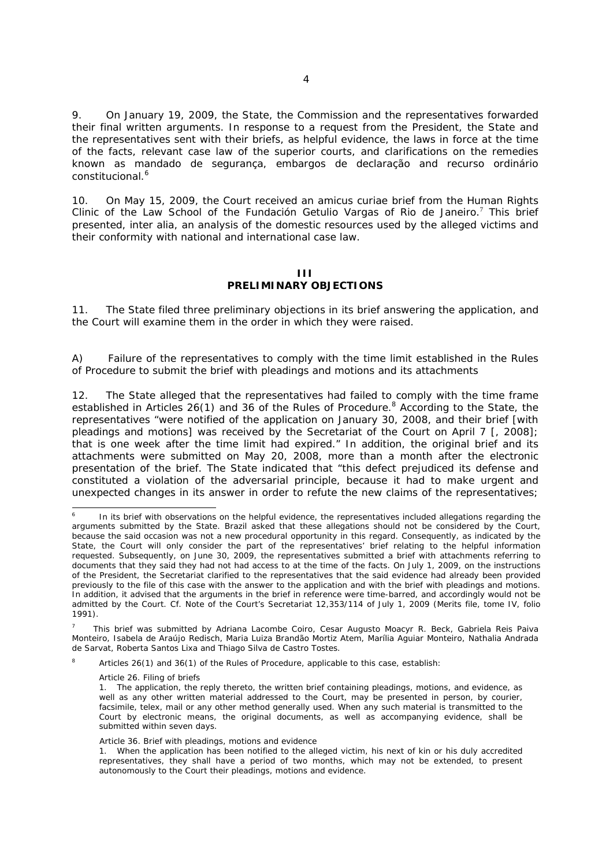9. On January 19, 2009, the State, the Commission and the representatives forwarded their final written arguments. In response to a request from the President, the State and the representatives sent with their briefs, as helpful evidence, the laws in force at the time of the facts, relevant case law of the superior courts, and clarifications on the remedies known as *mandado de segurança*, *embargos de declaração* and *recurso ordinário constitucional.*<sup>6</sup>

10. On May 15, 2009, the Court received an *amicus curiae* brief from the Human Rights Clinic of the Law School of the Fundación Getulio Vargas of Rio de Janeiro.<sup>7</sup> This brief presented, *inter alia*, an analysis of the domestic resources used by the alleged victims and their conformity with national and international case law.

### **III PRELIMINARY OBJECTIONS**

11. The State filed three preliminary objections in its brief answering the application, and the Court will examine them in the order in which they were raised.

*A) Failure of the representatives to comply with the time limit established in the Rules of Procedure to submit the brief with pleadings and motions and its attachments* 

12. The State alleged that the representatives had failed to comply with the time frame established in Articles 26(1) and 36 of the Rules of Procedure.<sup>8</sup> According to the State, the representatives "were notified of the application on January 30, 2008, and their brief [with pleadings and motions] was received by the Secretariat of the Court on April 7 [, 2008]; that is one week after the time limit had expired." In addition, the original brief and its attachments were submitted on May 20, 2008, more than a month after the electronic presentation of the brief. The State indicated that "this defect prejudiced its defense and constituted a violation of the adversarial principle, because it had to make urgent and unexpected changes in its answer in order to refute the new claims of the representatives;

-

<sup>6</sup> In its brief with observations on the helpful evidence, the representatives included allegations regarding the arguments submitted by the State. Brazil asked that these allegations should not be considered by the Court, because the said occasion was not a new procedural opportunity in this regard. Consequently, as indicated by the State, the Court will only consider the part of the representatives' brief relating to the helpful information requested. Subsequently, on June 30, 2009, the representatives submitted a brief with attachments referring to documents that they said they had not had access to at the time of the facts. On July 1, 2009, on the instructions of the President, the Secretariat clarified to the representatives that the said evidence had already been provided previously to the file of this case with the answer to the application and with the brief with pleadings and motions. In addition, it advised that the arguments in the brief in reference were time-barred, and accordingly would not be admitted by the Court. *Cf.* Note of the Court's Secretariat 12,353/114 of July 1, 2009 (Merits file, tome IV, folio 1991).

<sup>7</sup> This brief was submitted by Adriana Lacombe Coiro, Cesar Augusto Moacyr R. Beck, Gabriela Reis Paiva Monteiro, Isabela de Araújo Redisch, Maria Luiza Brandão Mortiz Atem, Marília Aguiar Monteiro, Nathalia Andrada de Sarvat, Roberta Santos Lixa and Thiago Silva de Castro Tostes.

<sup>8</sup> Articles 26(1) and 36(1) of the Rules of Procedure, applicable to this case, establish:

Article 26. Filing of briefs

<sup>1.</sup> The application, the reply thereto, the written brief containing pleadings, motions, and evidence, as well as any other written material addressed to the Court, may be presented in person, by courier, facsimile, telex, mail or any other method generally used. When any such material is transmitted to the Court by electronic means, the original documents, as well as accompanying evidence, shall be submitted within seven days.

Article 36. Brief with pleadings, motions and evidence

<sup>1.</sup> When the application has been notified to the alleged victim, his next of kin or his duly accredited representatives, they shall have a period of two months, which may not be extended, to present autonomously to the Court their pleadings, motions and evidence.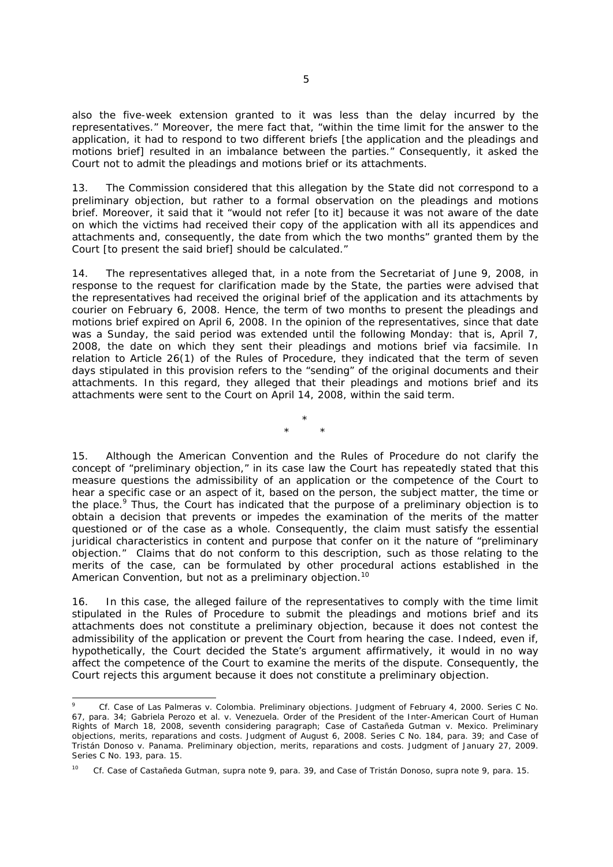also the five-week extension granted to it was less than the delay incurred by the representatives." Moreover, the mere fact that, "within the time limit for the answer to the application, it had to respond to two different briefs [the application and the pleadings and motions brief] resulted in an imbalance between the parties." Consequently, it asked the Court not to admit the pleadings and motions brief or its attachments.

13. The Commission considered that this allegation by the State did not correspond to a preliminary objection, but rather to a formal observation on the pleadings and motions brief. Moreover, it said that it "would not refer [to it] because it was not aware of the date on which the victims had received their copy of the application with all its appendices and attachments and, consequently, the date from which the two months" granted them by the Court Ito present the said brief] should be calculated."

14. The representatives alleged that, in a note from the Secretariat of June 9, 2008, in response to the request for clarification made by the State, the parties were advised that the representatives had received the original brief of the application and its attachments by courier on February 6, 2008. Hence, the term of two months to present the pleadings and motions brief expired on April 6, 2008. In the opinion of the representatives, since that date was a Sunday, the said period was extended until the following Monday: that is, April 7, 2008, the date on which they sent their pleadings and motions brief via facsimile. In relation to Article 26(1) of the Rules of Procedure, they indicated that the term of seven days stipulated in this provision refers to the "sending" of the original documents and their attachments. In this regard, they alleged that their pleadings and motions brief and its attachments were sent to the Court on April 14, 2008, within the said term.

> \* \* \*

15. Although the American Convention and the Rules of Procedure do not clarify the concept of "preliminary objection," in its case law the Court has repeatedly stated that this measure questions the admissibility of an application or the competence of the Court to hear a specific case or an aspect of it, based on the person, the subject matter, the time or the place.<sup>9</sup> Thus, the Court has indicated that the purpose of a preliminary objection is to obtain a decision that prevents or impedes the examination of the merits of the matter questioned or of the case as a whole. Consequently, the claim must satisfy the essential juridical characteristics in content and purpose that confer on it the nature of "preliminary objection." Claims that do not conform to this description, such as those relating to the merits of the case, can be formulated by other procedural actions established in the American Convention, but not as a preliminary objection.<sup>10</sup>

16. In this case, the alleged failure of the representatives to comply with the time limit stipulated in the Rules of Procedure to submit the pleadings and motions brief and its attachments does not constitute a preliminary objection, because it does not contest the admissibility of the application or prevent the Court from hearing the case. Indeed, even if, hypothetically, the Court decided the State's argument affirmatively, it would in no way affect the competence of the Court to examine the merits of the dispute. Consequently, the Court rejects this argument because it does not constitute a preliminary objection.

-

<sup>9</sup> *Cf. Case of Las Palmeras v. Colombia. Preliminary objections.* Judgment of February 4, 2000. Series C No. 67, para. 34; *Gabriela Perozo et al. v. Venezuela.* Order of the President of the Inter-American Court of Human Rights of March 18, 2008, seventh considering paragraph; *Case of Castañeda Gutman v. Mexico. Preliminary objections, merits, reparations and costs*. Judgment of August 6, 2008. Series C No. 184, para. 39; and *Case of Tristán Donoso v. Panama. Preliminary objection, merits, reparations and costs*. Judgment of January 27, 2009. Series C No. 193, para. 15.

<sup>10</sup> *Cf. Case of Castañeda Gutman, supra* note 9, para. 39, and *Case of Tristán Donoso, supra* note 9, para. 15.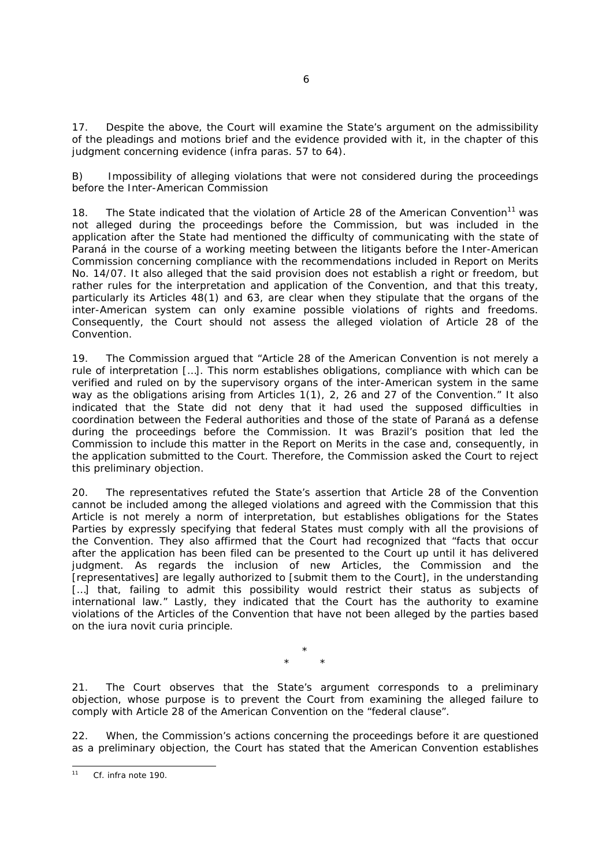17. Despite the above, the Court will examine the State's argument on the admissibility of the pleadings and motions brief and the evidence provided with it, in the chapter of this judgment concerning evidence (*infra* paras. 57 to 64).

*B) Impossibility of alleging violations that were not considered during the proceedings before the Inter-American Commission* 

18. The State indicated that the violation of Article 28 of the American Convention<sup>11</sup> was not alleged during the proceedings before the Commission, but was included in the application after the State had mentioned the difficulty of communicating with the state of Paraná in the course of a working meeting between the litigants before the Inter-American Commission concerning compliance with the recommendations included in Report on Merits No. 14/07. It also alleged that the said provision does not establish a right or freedom, but rather rules for the interpretation and application of the Convention, and that this treaty, particularly its Articles 48(1) and 63, are clear when they stipulate that the organs of the inter-American system can only examine possible violations of rights and freedoms. Consequently, the Court should not assess the alleged violation of Article 28 of the Convention.

19. The Commission argued that "Article 28 of the American Convention is not merely a rule of interpretation […]. This norm establishes obligations, compliance with which can be verified and ruled on by the supervisory organs of the inter-American system in the same way as the obligations arising from Articles 1(1), 2, 26 and 27 of the Convention." It also indicated that the State did not deny that it had used the supposed difficulties in coordination between the Federal authorities and those of the state of Paraná as a defense during the proceedings before the Commission. It was Brazil's position that led the Commission to include this matter in the Report on Merits in the case and, consequently, in the application submitted to the Court. Therefore, the Commission asked the Court to reject this preliminary objection.

20. The representatives refuted the State's assertion that Article 28 of the Convention cannot be included among the alleged violations and agreed with the Commission that this Article is not merely a norm of interpretation, but establishes obligations for the States Parties by expressly specifying that federal States must comply with all the provisions of the Convention. They also affirmed that the Court had recognized that "facts that occur after the application has been filed can be presented to the Court up until it has delivered judgment. As regards the inclusion of new Articles, the Commission and the [representatives] are legally authorized to [submit them to the Court], in the understanding [...] that, failing to admit this possibility would restrict their status as subjects of international law." Lastly, they indicated that the Court has the authority to examine violations of the Articles of the Convention that have not been alleged by the parties based on the *iura novit curia* principle.

> \* \* \*

21. The Court observes that the State's argument corresponds to a preliminary objection, whose purpose is to prevent the Court from examining the alleged failure to comply with Article 28 of the American Convention on the "federal clause".

22. When, the Commission's actions concerning the proceedings before it are questioned as a preliminary objection, the Court has stated that the American Convention establishes

 $11$ *Cf. infra* note 190.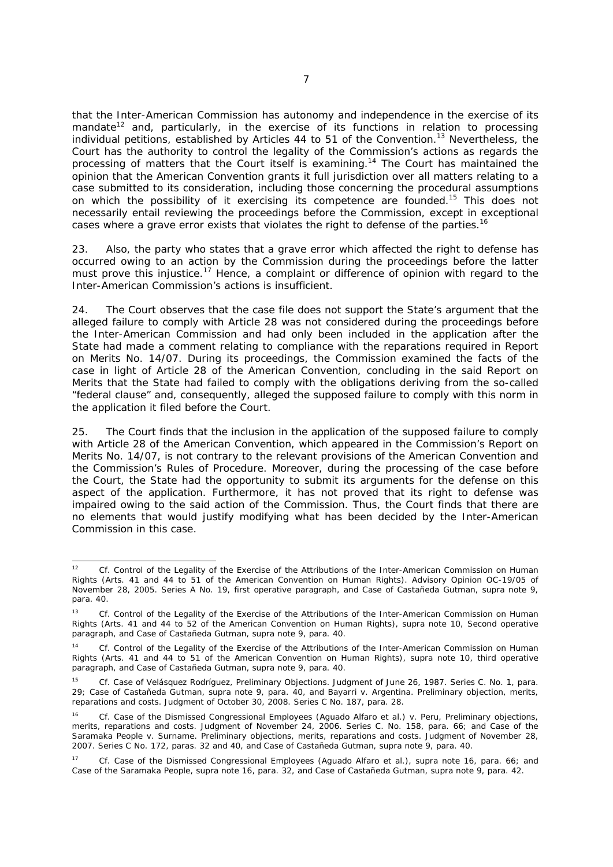that the Inter-American Commission has autonomy and independence in the exercise of its mandate $12$  and, particularly, in the exercise of its functions in relation to processing individual petitions, established by Articles 44 to 51 of the Convention.<sup>13</sup> Nevertheless, the Court has the authority to control the legality of the Commission's actions as regards the processing of matters that the Court itself is examining.<sup>14</sup> The Court has maintained the opinion that the American Convention grants it full jurisdiction over all matters relating to a case submitted to its consideration, including those concerning the procedural assumptions on which the possibility of it exercising its competence are founded.<sup>15</sup> This does not necessarily entail reviewing the proceedings before the Commission, except in exceptional cases where a grave error exists that violates the right to defense of the parties.<sup>16</sup>

23. Also, the party who states that a grave error which affected the right to defense has occurred owing to an action by the Commission during the proceedings before the latter must prove this injustice.<sup>17</sup> Hence, a complaint or difference of opinion with regard to the Inter-American Commission's actions is insufficient.

24. The Court observes that the case file does not support the State's argument that the alleged failure to comply with Article 28 was not considered during the proceedings before the Inter-American Commission and had only been included in the application after the State had made a comment relating to compliance with the reparations required in Report on Merits No. 14/07. During its proceedings, the Commission examined the facts of the case in light of Article 28 of the American Convention, concluding in the said Report on Merits that the State had failed to comply with the obligations deriving from the so-called "federal clause" and, consequently, alleged the supposed failure to comply with this norm in the application it filed before the Court.

25. The Court finds that the inclusion in the application of the supposed failure to comply with Article 28 of the American Convention, which appeared in the Commission's Report on Merits No. 14/07, is not contrary to the relevant provisions of the American Convention and the Commission's Rules of Procedure. Moreover, during the processing of the case before the Court, the State had the opportunity to submit its arguments for the defense on this aspect of the application. Furthermore, it has not proved that its right to defense was impaired owing to the said action of the Commission. Thus, the Court finds that there are no elements that would justify modifying what has been decided by the Inter-American Commission in this case.

 $12$ 12 *Cf. Control of the Legality of the Exercise of the Attributions of the Inter-American Commission on Human Rights (Arts. 41 and 44 to 51 of the American Convention on Human Rights).* Advisory Opinion OC-19/05 of November 28, 2005. Series A No. 19, first operative paragraph, and *Case of Castañeda Gutman, supra* note 9, para. 40.

<sup>13</sup> *Cf. Control of the Legality of the Exercise of the Attributions of the Inter-American Commission on Human Rights (Arts. 41 and 44 to 52 of the American Convention on Human Rights), supra* note 10, Second operative paragraph, and *Case of Castañeda Gutman, supra* note 9, para. 40.

<sup>14</sup> *Cf. Control of the Legality of the Exercise of the Attributions of the Inter-American Commission on Human Rights (Arts. 41 and 44 to 51 of the American Convention on Human Rights), supra* note 10, third operative paragraph, and Case of Castañeda Gutman, *supra* note 9, para. 40.

<sup>15</sup> *Cf. Case of Velásquez Rodríguez, Preliminary Objections.* Judgment of June 26, 1987. Series C. No. 1, para. 29; *Case of Castañeda Gutman*, *supra* note 9, para. 40, and *Bayarri v. Argentina. Preliminary objection, merits, reparations and costs.* Judgment of October 30, 2008. Series C No. 187, para. 28.

<sup>16</sup> *Cf. Case of the Dismissed Congressional Employees (Aguado Alfaro et al.) v. Peru, Preliminary objections, merits, reparations and costs.* Judgment of November 24, 2006. Series C. No. 158, para. 66; and *Case of the Saramaka People v. Surname. Preliminary objections, merits, reparations and costs*. Judgment of November 28, 2007. Series C No. 172, paras. 32 and 40, and *Case of Castañeda Gutman, supra* note 9, para. 40.

<sup>17</sup> *Cf. Case of the Dismissed Congressional Employees (Aguado Alfaro et al.), supra* note 16, para. 66; and *Case of the Saramaka People, supra* note 16, para. 32, and *Case of Castañeda Gutman, supra* note 9, para. 42.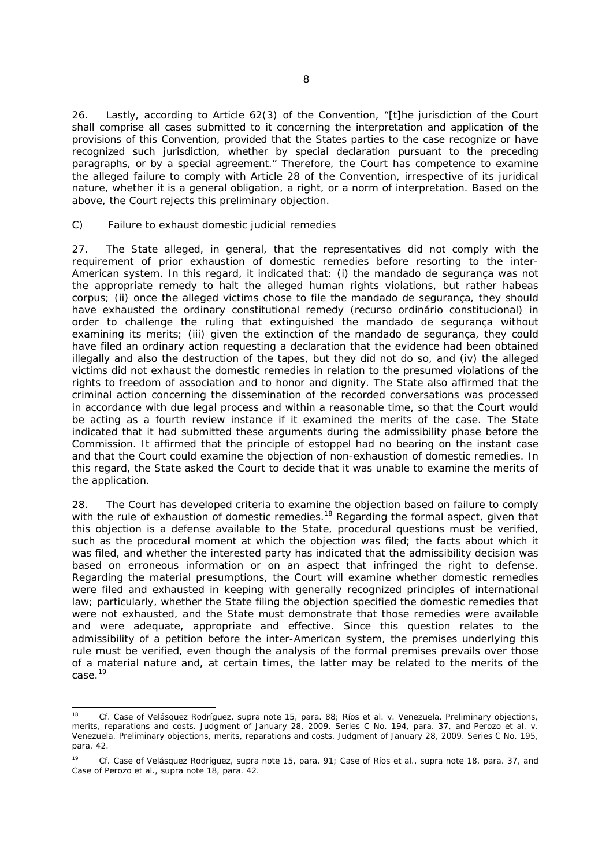26. Lastly, according to Article 62(3) of the Convention, "[t]he jurisdiction of the Court shall comprise all cases submitted to it concerning the interpretation and application of the provisions of this Convention, provided that the States parties to the case recognize or have recognized such jurisdiction, whether by special declaration pursuant to the preceding paragraphs, or by a special agreement." Therefore, the Court has competence to examine the alleged failure to comply with Article 28 of the Convention, irrespective of its juridical nature, whether it is a general obligation, a right, or a norm of interpretation. Based on the above, the Court rejects this preliminary objection.

#### *C) Failure to exhaust domestic judicial remedies*

-

27. The State alleged, in general, that the representatives did not comply with the requirement of prior exhaustion of domestic remedies before resorting to the inter-American system. In this regard, it indicated that: (i) the *mandado de segurança* was not the appropriate remedy to halt the alleged human rights violations, but rather *habeas corpus;* (ii) once the alleged victims chose to file the *mandado de segurança*, they should have exhausted the ordinary constitutional remedy (*recurso ordinário constitucional)* in order to challenge the ruling that extinguished the *mandado de segurança* without examining its merits; (iii) given the extinction of the *mandado de segurança*, they could have filed an ordinary action requesting a declaration that the evidence had been obtained illegally and also the destruction of the tapes, but they did not do so, and (iv) the alleged victims did not exhaust the domestic remedies in relation to the presumed violations of the rights to freedom of association and to honor and dignity. The State also affirmed that the criminal action concerning the dissemination of the recorded conversations was processed in accordance with due legal process and within a reasonable time, so that the Court would be acting as a fourth review instance if it examined the merits of the case. The State indicated that it had submitted these arguments during the admissibility phase before the Commission. It affirmed that the principle of estoppel had no bearing on the instant case and that the Court could examine the objection of non-exhaustion of domestic remedies. In this regard, the State asked the Court to decide that it was unable to examine the merits of the application.

28. The Court has developed criteria to examine the objection based on failure to comply with the rule of exhaustion of domestic remedies.<sup>18</sup> Regarding the formal aspect, given that this objection is a defense available to the State, procedural questions must be verified, such as the procedural moment at which the objection was filed; the facts about which it was filed, and whether the interested party has indicated that the admissibility decision was based on erroneous information or on an aspect that infringed the right to defense. Regarding the material presumptions, the Court will examine whether domestic remedies were filed and exhausted in keeping with generally recognized principles of international law; particularly, whether the State filing the objection specified the domestic remedies that were not exhausted, and the State must demonstrate that those remedies were available and were adequate, appropriate and effective. Since this question relates to the admissibility of a petition before the inter-American system, the premises underlying this rule must be verified, even though the analysis of the formal premises prevails over those of a material nature and, at certain times, the latter may be related to the merits of the case.19

<sup>18</sup> *Cf. Case of Velásquez Rodríguez, supra* note 15, para. 88; *Ríos et al. v. Venezuela. Preliminary objections, merits, reparations and costs*. Judgment of January 28, 2009. Series C No. 194, para. 37, and *Perozo et al. v. Venezuela. Preliminary objections, merits, reparations and costs*. Judgment of January 28, 2009. Series C No. 195, para. 42.

<sup>19</sup> *Cf. Case of Velásquez Rodríguez, supra* note 15, para. 91; *Case of Ríos et al., supra* note 18, para. 37, and *Case of Perozo et al., supra* note 18, para. 42.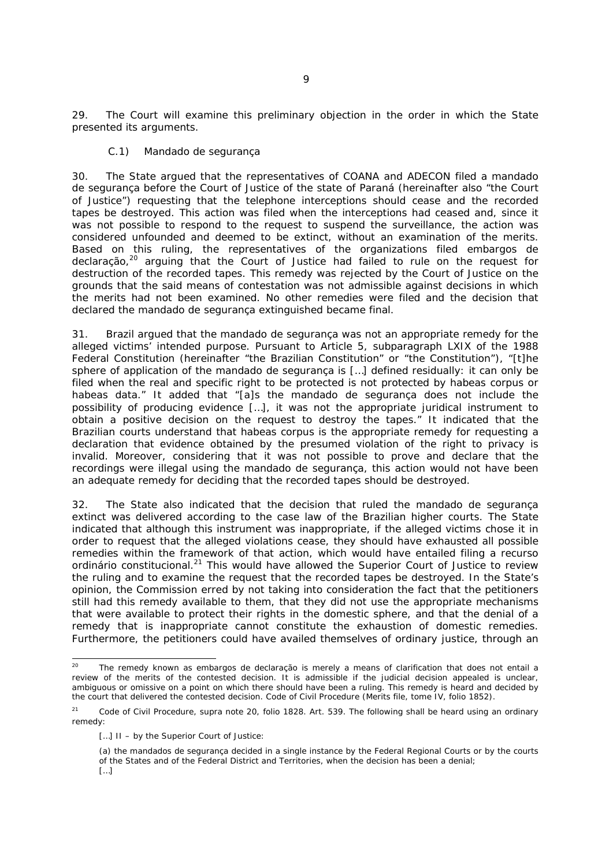29. The Court will examine this preliminary objection in the order in which the State presented its arguments.

### *C.1) Mandado de segurança*

30. The State argued that the representatives of COANA and ADECON filed a *mandado de segurança* before the Court of Justice of the state of Paraná (hereinafter also "the Court of Justice") requesting that the telephone interceptions should cease and the recorded tapes be destroyed. This action was filed when the interceptions had ceased and, since it was not possible to respond to the request to suspend the surveillance, the action was considered unfounded and deemed to be extinct, without an examination of the merits. Based on this ruling, the representatives of the organizations filed *embargos de declaração,*20 arguing that the Court of Justice had failed to rule on the request for destruction of the recorded tapes. This remedy was rejected by the Court of Justice on the grounds that the said means of contestation was not admissible against decisions in which the merits had not been examined. No other remedies were filed and the decision that declared the *mandado de segurança* extinguished became final.

31. Brazil argued that the *mandado de segurança* was not an appropriate remedy for the alleged victims' intended purpose. Pursuant to Article 5, subparagraph LXIX of the 1988 Federal Constitution (hereinafter "the Brazilian Constitution" or "the Constitution"), "[t]he sphere of application of the *mandado de segurança* is […] defined residually: it can only be filed when the real and specific right to be protected is not protected by *habeas corpus* or *habeas data.*" It added that "[a]s the *mandado de segurança* does not include the possibility of producing evidence […], it was not the appropriate juridical instrument to obtain a positive decision on the request to destroy the tapes." It indicated that the Brazilian courts understand that *habeas corpus* is the appropriate remedy for requesting a declaration that evidence obtained by the presumed violation of the right to privacy is invalid. Moreover, considering that it was not possible to prove and declare that the recordings were illegal using the *mandado de segurança*, this action would not have been an adequate remedy for deciding that the recorded tapes should be destroyed.

32. The State also indicated that the decision that ruled the *mandado de segurança* extinct was delivered according to the case law of the Brazilian higher courts. The State indicated that although this instrument was inappropriate, if the alleged victims chose it in order to request that the alleged violations cease, they should have exhausted all possible remedies within the framework of that action, which would have entailed filing a *recurso ordinário constitucional.*21 This would have allowed the Superior Court of Justice to review the ruling and to examine the request that the recorded tapes be destroyed. In the State's opinion, the Commission erred by not taking into consideration the fact that the petitioners still had this remedy available to them, that they did not use the appropriate mechanisms that were available to protect their rights in the domestic sphere, and that the denial of a remedy that is inappropriate cannot constitute the exhaustion of domestic remedies. Furthermore, the petitioners could have availed themselves of ordinary justice, through an

-

<sup>20</sup> The remedy known as *embargos de declaração* is merely a means of clarification that does not entail a review of the merits of the contested decision. It is admissible if the judicial decision appealed is unclear, ambiguous or omissive on a point on which there should have been a ruling. This remedy is heard and decided by the court that delivered the contested decision. Code of Civil Procedure (Merits file, tome IV, folio 1852).

<sup>21</sup> Code of Civil Procedure, *supra* note 20, folio 1828. Art. 539. The following shall be heard using an ordinary remedy:

<sup>[...]</sup> II – by the Superior Court of Justice:

<sup>(</sup>a) the *mandados de segurança* decided in a single instance by the Federal Regional Courts or by the courts of the States and of the Federal District and Territories, when the decision has been a denial; […]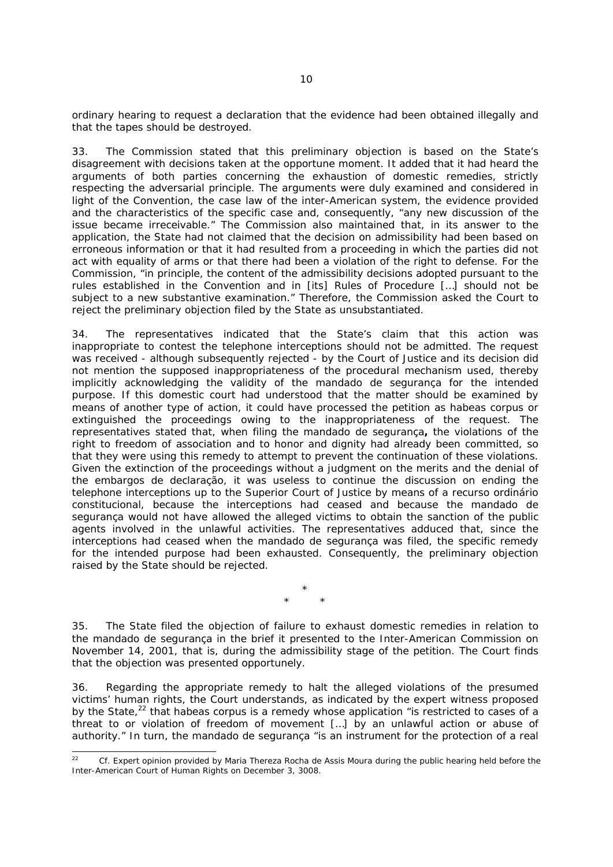ordinary hearing to request a declaration that the evidence had been obtained illegally and that the tapes should be destroyed.

33. The Commission stated that this preliminary objection is based on the State's disagreement with decisions taken at the opportune moment. It added that it had heard the arguments of both parties concerning the exhaustion of domestic remedies, strictly respecting the adversarial principle. The arguments were duly examined and considered in light of the Convention, the case law of the inter-American system, the evidence provided and the characteristics of the specific case and, consequently, "any new discussion of the issue became irreceivable." The Commission also maintained that, in its answer to the application, the State had not claimed that the decision on admissibility had been based on erroneous information or that it had resulted from a proceeding in which the parties did not act with equality of arms or that there had been a violation of the right to defense. For the Commission, "in principle, the content of the admissibility decisions adopted pursuant to the rules established in the Convention and in [its] Rules of Procedure […] should not be subject to a new substantive examination." Therefore, the Commission asked the Court to reject the preliminary objection filed by the State as unsubstantiated.

34. The representatives indicated that the State's claim that this action was inappropriate to contest the telephone interceptions should not be admitted. The request was received - although subsequently rejected - by the Court of Justice and its decision did not mention the supposed inappropriateness of the procedural mechanism used, thereby implicitly acknowledging the validity of the *mandado de segurança* for the intended purpose. If this domestic court had understood that the matter should be examined by means of another type of action, it could have processed the petition as *habeas corpus* or extinguished the proceedings owing to the inappropriateness of the request. The representatives stated that, when filing the *mandado de segurança***,** the violations of the right to freedom of association and to honor and dignity had already been committed, so that they were using this remedy to attempt to prevent the continuation of these violations. Given the extinction of the proceedings without a judgment on the merits and the denial of the *embargos de declaração*, it was useless to continue the discussion on ending the telephone interceptions up to the Superior Court of Justice by means of a *recurso ordinário constitucional*, because the interceptions had ceased and because the *mandado de segurança* would not have allowed the alleged victims to obtain the sanction of the public agents involved in the unlawful activities. The representatives adduced that, since the interceptions had ceased when the *mandado de segurança* was filed, the specific remedy for the intended purpose had been exhausted. Consequently, the preliminary objection raised by the State should be rejected.

> *\* \* \**

35. The State filed the objection of failure to exhaust domestic remedies in relation to the *mandado de segurança* in the brief it presented to the Inter-American Commission on November 14, 2001, that is, during the admissibility stage of the petition. The Court finds that the objection was presented opportunely.

36. Regarding the appropriate remedy to halt the alleged violations of the presumed victims' human rights, the Court understands, as indicated by the expert witness proposed by the State,<sup>22</sup> that *habeas corpus* is a remedy whose application "is restricted to cases of a threat to or violation of freedom of movement […] by an unlawful action or abuse of authority." In turn, the *mandado de segurança* "is an instrument for the protection of a real

<sup>22</sup> 22 *Cf.* Expert opinion provided by Maria Thereza Rocha de Assis Moura during the public hearing held before the Inter-American Court of Human Rights on December 3, 3008.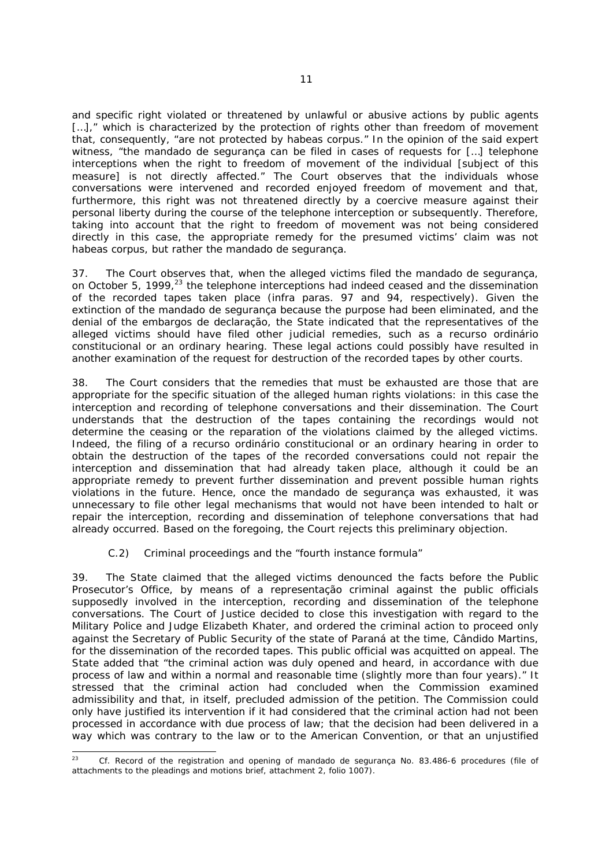and specific right violated or threatened by unlawful or abusive actions by public agents [...]," which is characterized by the protection of rights other than freedom of movement that, consequently, "are not protected by *habeas corpus.*" In the opinion of the said expert witness, "the *mandado de segurança* can be filed in cases of requests for […] telephone interceptions when the right to freedom of movement of the individual [subject of this measure] is not directly affected." The Court observes that the individuals whose conversations were intervened and recorded enjoyed freedom of movement and that, furthermore, this right was not threatened directly by a coercive measure against their personal liberty during the course of the telephone interception or subsequently. Therefore, taking into account that the right to freedom of movement was not being considered directly in this case, the appropriate remedy for the presumed victims' claim was not *habeas corpus*, but rather the *mandado de segurança*.

37. The Court observes that, when the alleged victims filed the *mandado de segurança*, on October 5, 1999, $^{23}$  the telephone interceptions had indeed ceased and the dissemination of the recorded tapes taken place (*infra* paras. 97 and 94, respectively). Given the extinction of the *mandado de segurança* because the purpose had been eliminated, and the denial of the *embargos de declaração*, the State indicated that the representatives of the alleged victims should have filed other judicial remedies, such as a *recurso ordinário constitucional* or an ordinary hearing. These legal actions could possibly have resulted in another examination of the request for destruction of the recorded tapes by other courts.

38. The Court considers that the remedies that must be exhausted are those that are appropriate for the specific situation of the alleged human rights violations: in this case the interception and recording of telephone conversations and their dissemination. The Court understands that the destruction of the tapes containing the recordings would not determine the ceasing or the reparation of the violations claimed by the alleged victims. Indeed, the filing of a *recurso ordinário constitucional* or an ordinary hearing in order to obtain the destruction of the tapes of the recorded conversations could not repair the interception and dissemination that had already taken place, although it could be an appropriate remedy to prevent further dissemination and prevent possible human rights violations in the future. Hence, once the *mandado de segurança* was exhausted, it was unnecessary to file other legal mechanisms that would not have been intended to halt or repair the interception, recording and dissemination of telephone conversations that had already occurred. Based on the foregoing, the Court rejects this preliminary objection.

## *C.2) Criminal proceedings and the "fourth instance formula"*

39. The State claimed that the alleged victims denounced the facts before the Public Prosecutor's Office, by means of a *representação criminal* against the public officials supposedly involved in the interception, recording and dissemination of the telephone conversations. The Court of Justice decided to close this investigation with regard to the Military Police and Judge Elizabeth Khater, and ordered the criminal action to proceed only against the Secretary of Public Security of the state of Paraná at the time, Cândido Martins, for the dissemination of the recorded tapes. This public official was acquitted on appeal. The State added that "the criminal action was duly opened and heard, in accordance with due process of law and within a normal and reasonable time (slightly more than four years)." It stressed that the criminal action had concluded when the Commission examined admissibility and that, in itself, precluded admission of the petition. The Commission could only have justified its intervention if it had considered that the criminal action had not been processed in accordance with due process of law; that the decision had been delivered in a way which was contrary to the law or to the American Convention, or that an unjustified

<sup>23</sup> 23 *Cf.* Record of the registration and opening of *mandado de segurança* No. 83.486-6 procedures (file of attachments to the pleadings and motions brief, attachment 2, folio 1007).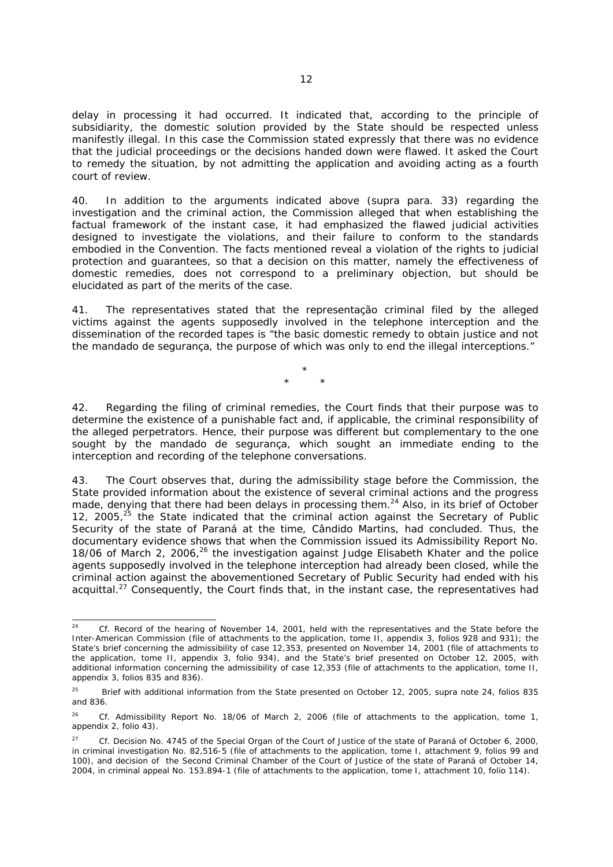delay in processing it had occurred. It indicated that, according to the principle of subsidiarity, the domestic solution provided by the State should be respected unless manifestly illegal. In this case the Commission stated expressly that there was no evidence that the judicial proceedings or the decisions handed down were flawed. It asked the Court to remedy the situation, by not admitting the application and avoiding acting as a fourth court of review.

40. In addition to the arguments indicated above (*supra* para. 33) regarding the investigation and the criminal action, the Commission alleged that when establishing the factual framework of the instant case, it had emphasized the flawed judicial activities designed to investigate the violations, and their failure to conform to the standards embodied in the Convention. The facts mentioned reveal a violation of the rights to judicial protection and guarantees, so that a decision on this matter, namely the effectiveness of domestic remedies, does not correspond to a preliminary objection, but should be elucidated as part of the merits of the case.

41. The representatives stated that the *representação criminal* filed by the alleged victims against the agents supposedly involved in the telephone interception and the dissemination of the recorded tapes is "the basic domestic remedy to obtain justice and not the *mandado de segurança*, the purpose of which was only to end the illegal interceptions."

> *\* \* \**

42. Regarding the filing of criminal remedies, the Court finds that their purpose was to determine the existence of a punishable fact and, if applicable, the criminal responsibility of the alleged perpetrators. Hence, their purpose was different but complementary to the one sought by the *mandado de segurança*, which sought an immediate ending to the interception and recording of the telephone conversations.

43. The Court observes that, during the admissibility stage before the Commission, the State provided information about the existence of several criminal actions and the progress made, denying that there had been delays in processing them.<sup>24</sup> Also, in its brief of October 12, 2005, $^{25}$  the State indicated that the criminal action against the Secretary of Public Security of the state of Paraná at the time, Cândido Martins, had concluded. Thus, the documentary evidence shows that when the Commission issued its Admissibility Report No. 18/06 of March 2, 2006, $^{26}$  the investigation against Judge Elisabeth Khater and the police agents supposedly involved in the telephone interception had already been closed, while the criminal action against the abovementioned Secretary of Public Security had ended with his acquittal.<sup>27</sup> Consequently, the Court finds that, in the instant case, the representatives had

 $24$ 24 *Cf.* Record of the hearing of November 14, 2001, held with the representatives and the State before the Inter-American Commission (file of attachments to the application, tome II, appendix 3, folios 928 and 931); the State's brief concerning the admissibility of case 12,353, presented on November 14, 2001 (file of attachments to the application, tome II, appendix 3, folio 934), and the State's brief presented on October 12, 2005, with additional information concerning the admissibility of case 12,353 (file of attachments to the application, tome II, appendix 3, folios 835 and 836).

<sup>25</sup>Brief with additional information from the State presented on October 12, 2005, *supra* note 24, folios 835 and 836.

<sup>&</sup>lt;sup>26</sup> Cf. Admissibility Report No. 18/06 of March 2, 2006 (file of attachments to the application, tome 1, appendix 2, folio 43).

<sup>27</sup> *Cf.* Decision No. 4745 of the Special Organ of the Court of Justice of the state of Paraná of October 6, 2000, in criminal investigation No. 82,516-5 (file of attachments to the application, tome I, attachment 9, folios 99 and 100), and decision of the Second Criminal Chamber of the Court of Justice of the state of Paraná of October 14, 2004, in criminal appeal No. 153.894-1 (file of attachments to the application, tome I, attachment 10, folio 114).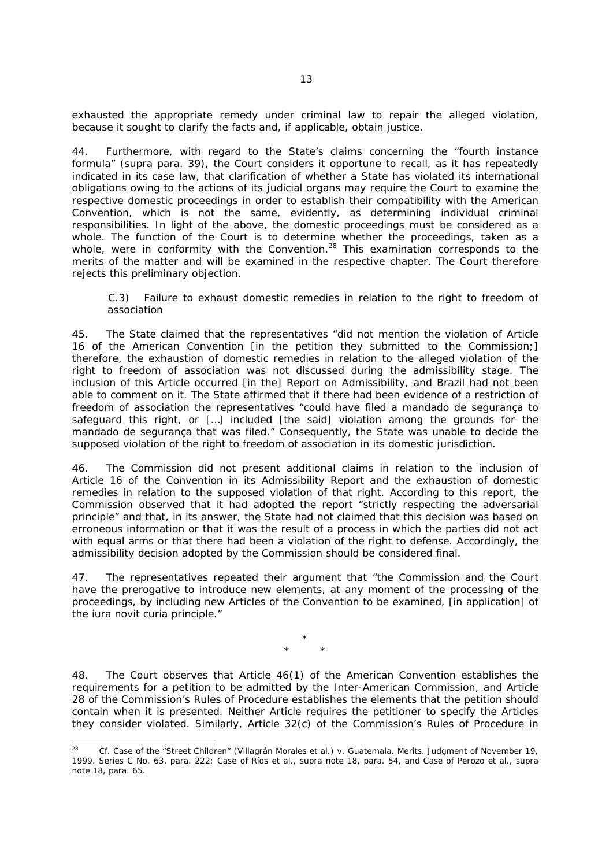exhausted the appropriate remedy under criminal law to repair the alleged violation, because it sought to clarify the facts and, if applicable, obtain justice.

44. Furthermore, with regard to the State's claims concerning the "fourth instance formula" (*supra* para. 39), the Court considers it opportune to recall, as it has repeatedly indicated in its case law, that clarification of whether a State has violated its international obligations owing to the actions of its judicial organs may require the Court to examine the respective domestic proceedings in order to establish their compatibility with the American Convention, which is not the same, evidently, as determining individual criminal responsibilities. In light of the above, the domestic proceedings must be considered as a whole. The function of the Court is to determine whether the proceedings, taken as a whole, were in conformity with the Convention.<sup>28</sup> This examination corresponds to the merits of the matter and will be examined in the respective chapter. The Court therefore rejects this preliminary objection.

#### *C.3) Failure to exhaust domestic remedies in relation to the right to freedom of association*

45. The State claimed that the representatives "did not mention the violation of Article 16 of the American Convention [in the petition they submitted to the Commission;] therefore, the exhaustion of domestic remedies in relation to the alleged violation of the right to freedom of association was not discussed during the admissibility stage. The inclusion of this Article occurred [in the] Report on Admissibility, and Brazil had not been able to comment on it. The State affirmed that if there had been evidence of a restriction of freedom of association the representatives "could have filed a *mandado de segurança* to safeguard this right, or […] included [the said] violation among the grounds for the *mandado de segurança* that was filed." Consequently, the State was unable to decide the supposed violation of the right to freedom of association in its domestic jurisdiction.

46. The Commission did not present additional claims in relation to the inclusion of Article 16 of the Convention in its Admissibility Report and the exhaustion of domestic remedies in relation to the supposed violation of that right. According to this report, the Commission observed that it had adopted the report "strictly respecting the adversarial principle" and that, in its answer, the State had not claimed that this decision was based on erroneous information or that it was the result of a process in which the parties did not act with equal arms or that there had been a violation of the right to defense. Accordingly, the admissibility decision adopted by the Commission should be considered final.

47. The representatives repeated their argument that "the Commission and the Court have the prerogative to introduce new elements, at any moment of the processing of the proceedings, by including new Articles of the Convention to be examined, [in application] of the *iura novit curia* principle.*"*

> \* \* \*

48. The Court observes that Article 46(1) of the American Convention establishes the requirements for a petition to be admitted by the Inter-American Commission, and Article 28 of the Commission's Rules of Procedure establishes the elements that the petition should contain when it is presented. Neither Article requires the petitioner to specify the Articles they consider violated. Similarly, Article 32(c) of the Commission's Rules of Procedure in

 $^{28}$ 28 *Cf. Case of the "Street Children" (Villagrán Morales et al.) v. Guatemala. Merits.* Judgment of November 19, 1999. Series C No. 63, para. 222; *Case of Ríos et al., supra* note 18, para. 54, and *Case of Perozo et al., supra* note 18, para. 65.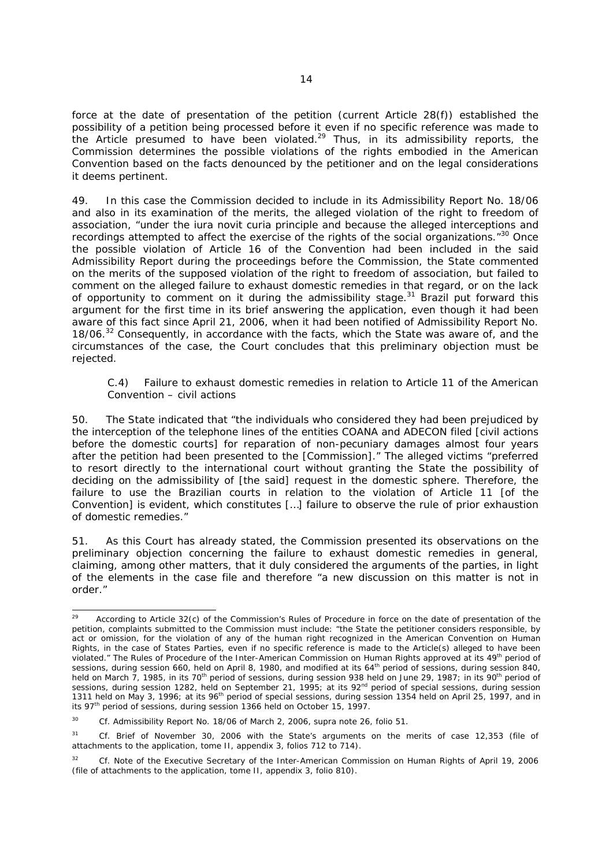force at the date of presentation of the petition (current Article 28(f)) established the possibility of a petition being processed before it even if no specific reference was made to the Article presumed to have been violated. $29$  Thus, in its admissibility reports, the Commission determines the possible violations of the rights embodied in the American Convention based on the facts denounced by the petitioner and on the legal considerations it deems pertinent.

49. In this case the Commission decided to include in its Admissibility Report No. 18/06 and also in its examination of the merits, the alleged violation of the right to freedom of association, "under the *iura novit curia* principle and because the alleged interceptions and recordings attempted to affect the exercise of the rights of the social organizations."30 Once the possible violation of Article 16 of the Convention had been included in the said Admissibility Report during the proceedings before the Commission, the State commented on the merits of the supposed violation of the right to freedom of association, but failed to comment on the alleged failure to exhaust domestic remedies in that regard, or on the lack of opportunity to comment on it during the admissibility stage. $31$  Brazil put forward this argument for the first time in its brief answering the application, even though it had been aware of this fact since April 21, 2006, when it had been notified of Admissibility Report No. 18/06.<sup>32</sup> Consequently, in accordance with the facts, which the State was aware of, and the circumstances of the case, the Court concludes that this preliminary objection must be rejected.

## *C.4) Failure to exhaust domestic remedies in relation to Article 11 of the American Convention – civil actions*

50. The State indicated that "the individuals who considered they had been prejudiced by the interception of the telephone lines of the entities COANA and ADECON filed [civil actions before the domestic courts] for reparation of non-pecuniary damages almost four years after the petition had been presented to the [Commission]." The alleged victims "preferred to resort directly to the international court without granting the State the possibility of deciding on the admissibility of [the said] request in the domestic sphere. Therefore, the failure to use the Brazilian courts in relation to the violation of Article 11 [of the Convention] is evident, which constitutes […] failure to observe the rule of prior exhaustion of domestic remedies."

51. As this Court has already stated, the Commission presented its observations on the preliminary objection concerning the failure to exhaust domestic remedies in general, claiming, among other matters, that it duly considered the arguments of the parties, in light of the elements in the case file and therefore "a new discussion on this matter is not in order."

<sup>29</sup> According to Article 32(c) of the Commission's Rules of Procedure in force on the date of presentation of the petition, complaints submitted to the Commission must include: "the State the petitioner considers responsible, by act or omission, for the violation of any of the human right recognized in the American Convention on Human Rights, in the case of States Parties, even if no specific reference is made to the Article(s) alleged to have been violated." The Rules of Procedure of the Inter-American Commission on Human Rights approved at its 49<sup>th</sup> period of sessions, during session 660, held on April 8, 1980, and modified at its 64<sup>th</sup> period of sessions, during session 840, held on March 7, 1985, in its 70<sup>th</sup> period of sessions, during session 938 held on June 29, 1987; in its 90<sup>th</sup> period of sessions, during session 1282, held on September 21, 1995; at its 92<sup>nd</sup> period of special sessions, during session sessions, during session 1311 held on May 3, 1996; at its 96th period of special sessions, during session 1354 held on April 25, 1997, and in its 97th period of sessions, during session 1366 held on October 15, 1997.

<sup>30</sup> *Cf.* Admissibility Report No. 18/06 of March 2, 2006, *supra* note 26, folio 51.

<sup>31</sup> *Cf.* Brief of November 30, 2006 with the State's arguments on the merits of case 12,353 (file of attachments to the application, tome II, appendix 3, folios 712 to 714).

<sup>&</sup>lt;sup>32</sup> *Cf.* Note of the Executive Secretary of the Inter-American Commission on Human Rights of April 19, 2006 (file of attachments to the application, tome II, appendix 3, folio 810).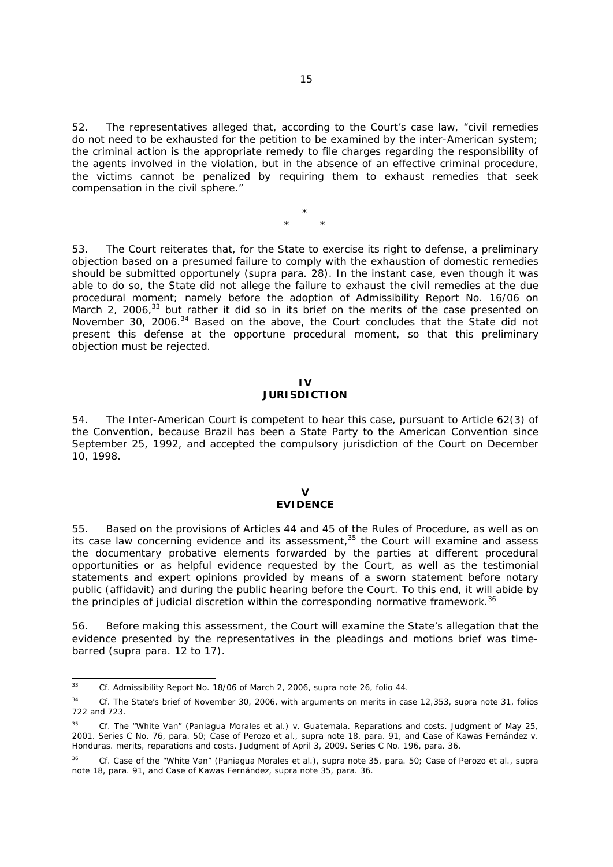52. The representatives alleged that, according to the Court's case law, "civil remedies do not need to be exhausted for the petition to be examined by the inter-American system; the criminal action is the appropriate remedy to file charges regarding the responsibility of the agents involved in the violation, but in the absence of an effective criminal procedure, the victims cannot be penalized by requiring them to exhaust remedies that seek compensation in the civil sphere."

> \* \* \*

53. The Court reiterates that, for the State to exercise its right to defense, a preliminary objection based on a presumed failure to comply with the exhaustion of domestic remedies should be submitted opportunely (*supra* para. 28). In the instant case, even though it was able to do so, the State did not allege the failure to exhaust the civil remedies at the due procedural moment; namely before the adoption of Admissibility Report No. 16/06 on March 2, 2006, $33$  but rather it did so in its brief on the merits of the case presented on November 30, 2006.<sup>34</sup> Based on the above, the Court concludes that the State did not present this defense at the opportune procedural moment, so that this preliminary objection must be rejected.

#### **IV JURISDICTION**

54. The Inter-American Court is competent to hear this case, pursuant to Article 62(3) of the Convention, because Brazil has been a State Party to the American Convention since September 25, 1992, and accepted the compulsory jurisdiction of the Court on December 10, 1998.

#### **V EVIDENCE**

55. Based on the provisions of Articles 44 and 45 of the Rules of Procedure, as well as on its case law concerning evidence and its assessment, $35$  the Court will examine and assess the documentary probative elements forwarded by the parties at different procedural opportunities or as helpful evidence requested by the Court, as well as the testimonial statements and expert opinions provided by means of a sworn statement before notary public (*affidavit*) and during the public hearing before the Court. To this end, it will abide by the principles of judicial discretion within the corresponding normative framework.<sup>36</sup>

56. Before making this assessment, the Court will examine the State's allegation that the evidence presented by the representatives in the pleadings and motions brief was timebarred (*supra* para. 12 to 17).

 $33$ <sup>33</sup> *Cf.* Admissibility Report No. 18/06 of March 2, 2006, *supra* note 26, folio 44.

<sup>34</sup> *Cf.* The State's brief of November 30, 2006, with arguments on merits in case 12,353, *supra* note 31, folios 722 and 723.

<sup>&</sup>lt;sup>35</sup> *Cf. The "White Van" (Paniagua Morales et al.) v. Guatemala. Reparations and costs. Judgment of May 25,* 2001. Series C No. 76, para. 50; *Case of Perozo et al., supra* note 18, para. 91, and *Case of Kawas Fernández v. Honduras. merits, reparations and costs.* Judgment of April 3, 2009. Series C No. 196, para. 36.

<sup>36</sup> *Cf. Case of the "White Van" (Paniagua Morales et al.), supra* note 35, para. 50; *Case of Perozo et al., supra*  note 18, para. 91, and *Case of Kawas Fernández, supra* note 35, para. 36.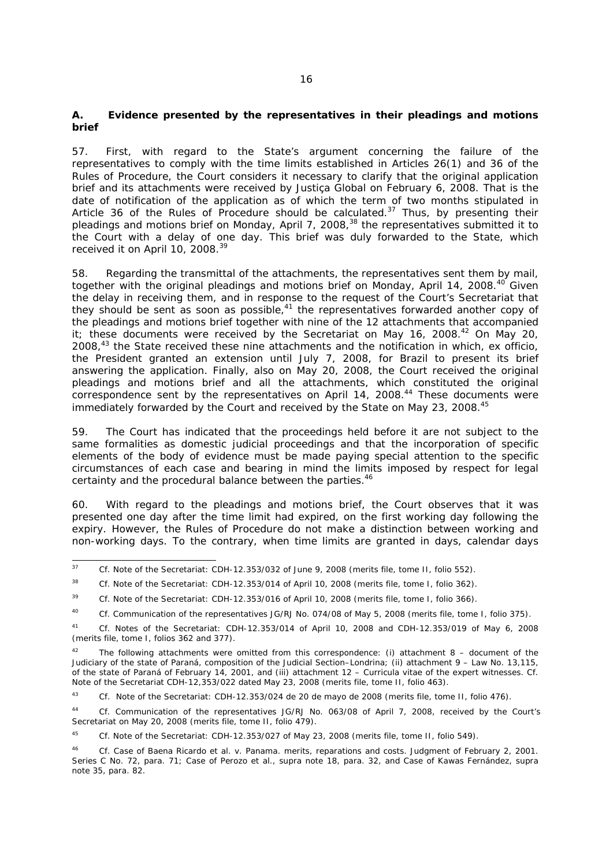## **A. Evidence presented by the representatives in their pleadings and motions brief**

57. First, with regard to the State's argument concerning the failure of the representatives to comply with the time limits established in Articles 26(1) and 36 of the Rules of Procedure, the Court considers it necessary to clarify that the original application brief and its attachments were received by *Justiça Global* on February 6, 2008. That is the date of notification of the application as of which the term of two months stipulated in Article 36 of the Rules of Procedure should be calculated. $37$  Thus, by presenting their pleadings and motions brief on Monday, April 7, 2008,<sup>38</sup> the representatives submitted it to the Court with a delay of one day. This brief was duly forwarded to the State, which received it on April 10, 2008.<sup>39</sup>

58. Regarding the transmittal of the attachments, the representatives sent them by mail, together with the original pleadings and motions brief on Monday, April 14, 2008.<sup>40</sup> Given the delay in receiving them, and in response to the request of the Court's Secretariat that they should be sent as soon as possible,<sup>41</sup> the representatives forwarded another copy of the pleadings and motions brief together with nine of the 12 attachments that accompanied it; these documents were received by the Secretariat on May 16, 2008. $42$  On May 20, 2008,43 the State received these nine attachments and the notification in which, *ex officio*, the President granted an extension until July 7, 2008, for Brazil to present its brief answering the application. Finally, also on May 20, 2008, the Court received the original pleadings and motions brief and all the attachments, which constituted the original  $\frac{1}{2}$  correspondence sent by the representatives on April 14, 2008.<sup>44</sup> These documents were immediately forwarded by the Court and received by the State on May 23, 2008.<sup>45</sup>

59. The Court has indicated that the proceedings held before it are not subject to the same formalities as domestic judicial proceedings and that the incorporation of specific elements of the body of evidence must be made paying special attention to the specific circumstances of each case and bearing in mind the limits imposed by respect for legal certainty and the procedural balance between the parties.<sup>46</sup>

60. With regard to the pleadings and motions brief, the Court observes that it was presented one day after the time limit had expired, on the first working day following the expiry. However, the Rules of Procedure do not make a distinction between working and non-working days. To the contrary, when time limits are granted in days, calendar days

39 *Cf.* Note of the Secretariat: CDH-12.353/016 of April 10, 2008 (merits file, tome I, folio 366).

 $\overline{37}$ <sup>37</sup> *Cf.* Note of the Secretariat: CDH-12.353/032 of June 9, 2008 (merits file, tome II, folio 552).

<sup>38</sup>*Cf.* Note of the Secretariat: CDH-12.353/014 of April 10, 2008 (merits file, tome I, folio 362).

<sup>40</sup>*Cf*. Communication of the representatives JG/RJ No. 074/08 of May 5, 2008 (merits file, tome I, folio 375).

<sup>41</sup> *Cf.* Notes of the Secretariat: CDH-12.353/014 of April 10, 2008 and CDH-12.353/019 of May 6, 2008 (merits file, tome I, folios 362 and 377).

The following attachments were omitted from this correspondence: (i) attachment  $8 -$  document of the Judiciary of the state of Paraná, composition of the Judicial Section–Londrina; (ii) attachment 9 – Law No. 13,115, of the state of Paraná of February 14, 2001, and (iii) attachment 12 – Curricula vitae of the expert witnesses. *Cf.* Note of the Secretariat CDH-12,353/022 dated May 23, 2008 (merits file, tome II, folio 463).

<sup>43</sup> *Cf.* Note of the Secretariat: CDH-12.353/024 de 20 de mayo de 2008 (merits file, tome II, folio 476).

<sup>44</sup> *Cf.* Communication of the representatives JG/RJ No. 063/08 of April 7, 2008, received by the Court's Secretariat on May 20, 2008 (merits file, tome II, folio 479).

<sup>45</sup> *Cf.* Note of the Secretariat: CDH-12.353/027 of May 23, 2008 (merits file, tome II, folio 549).

<sup>46</sup> *Cf. Case of Baena Ricardo et al. v. Panama. merits, reparations and costs.* Judgment of February 2, 2001. Series C No. 72, para. 71; *Case of Perozo et al., supra* note 18, para. 32, and *Case of Kawas Fernández, supra* note 35, para. 82.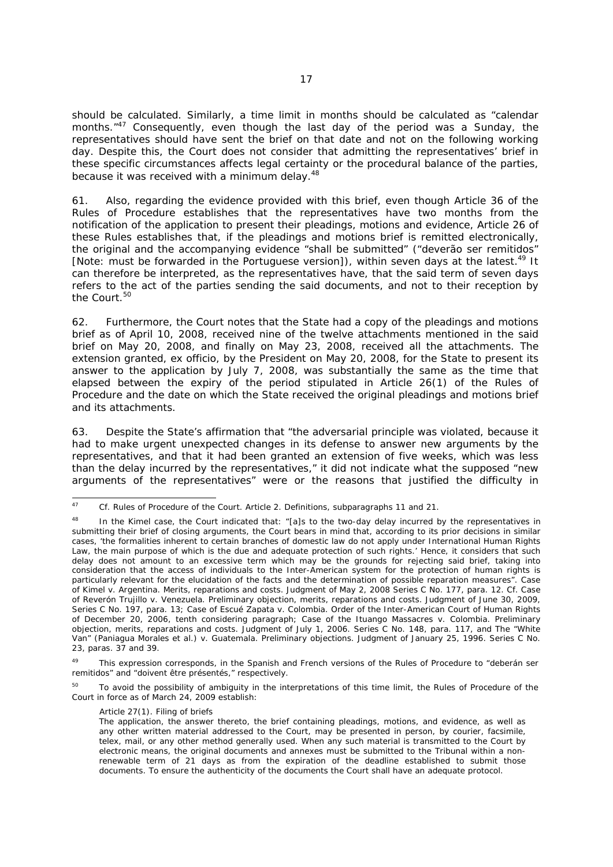should be calculated. Similarly, a time limit in months should be calculated as "calendar months."<sup>47</sup> Consequently, even though the last day of the period was a Sunday, the representatives should have sent the brief on that date and not on the following working day. Despite this, the Court does not consider that admitting the representatives' brief in these specific circumstances affects legal certainty or the procedural balance of the parties, because it was received with a minimum delay.<sup>48</sup>

61. Also, regarding the evidence provided with this brief, even though Article 36 of the Rules of Procedure establishes that the representatives have two months from the notification of the application to present their pleadings, motions and evidence, Article 26 of these Rules establishes that, if the pleadings and motions brief is remitted electronically, the original and the accompanying evidence "shall be submitted" ("deverão ser remitidos" [Note: must be forwarded in the Portuguese version]), within seven days at the latest.<sup>49</sup> It can therefore be interpreted, as the representatives have, that the said term of seven days refers to the act of the parties sending the said documents, and not to their reception by the Court.<sup>50</sup>

62. Furthermore, the Court notes that the State had a copy of the pleadings and motions brief as of April 10, 2008, received nine of the twelve attachments mentioned in the said brief on May 20, 2008, and finally on May 23, 2008, received all the attachments. The extension granted, *ex officio*, by the President on May 20, 2008, for the State to present its answer to the application by July 7, 2008, was substantially the same as the time that elapsed between the expiry of the period stipulated in Article 26(1) of the Rules of Procedure and the date on which the State received the original pleadings and motions brief and its attachments.

63. Despite the State's affirmation that "the adversarial principle was violated, because it had to make urgent unexpected changes in its defense to answer new arguments by the representatives, and that it had been granted an extension of five weeks, which was less than the delay incurred by the representatives," it did not indicate what the supposed "new arguments of the representatives" were or the reasons that justified the difficulty in

<sup>50</sup> To avoid the possibility of ambiguity in the interpretations of this time limit, the Rules of Procedure of the Court in force as of March 24, 2009 establish:

#### Article 27(1). Filing of briefs

 $\overline{47}$ 47 *Cf.* Rules of Procedure of the Court. Article 2. Definitions, subparagraphs 11 and 21.

<sup>48</sup> In the Kimel case, the Court indicated that: "[a]s to the two-day delay incurred by the representatives in submitting their brief of closing arguments, the Court bears in mind that, according to its prior decisions in similar cases, 'the formalities inherent to certain branches of domestic law do not apply under International Human Rights Law, the main purpose of which is the due and adequate protection of such rights.' Hence, it considers that such delay does not amount to an excessive term which may be the grounds for rejecting said brief, taking into consideration that the access of individuals to the Inter-American system for the protection of human rights is particularly relevant for the elucidation of the facts and the determination of possible reparation measures". *Case of Kimel v. Argentina. Merits, reparations and costs.* Judgment of May 2, 2008 Series C No. 177, para. 12. *Cf*. *Case of Reverón Trujillo v. Venezuela. Preliminary objection, merits, reparations and costs.* Judgment of June 30, 2009, Series C No. 197, para. 13; *Case of Escué Zapata v. Colombia*. Order of the Inter-American Court of Human Rights of December 20, 2006, tenth considering paragraph; *Case of the Ituango Massacres v. Colombia. Preliminary objection, merits, reparations and costs.* Judgment of July 1, 2006. Series C No. 148, para. 117, and *The "White Van" (Paniagua Morales et al.) v. Guatemala. Preliminary objections.* Judgment of January 25, 1996. Series C No. 23, paras. 37 and 39.

<sup>&</sup>lt;sup>49</sup> This expression corresponds, in the Spanish and French versions of the Rules of Procedure to "deberán ser remitidos" and "doivent être présentés," respectively.

The application, the answer thereto, the brief containing pleadings, motions, and evidence, as well as any other written material addressed to the Court, may be presented in person, by courier, facsimile, telex, mail, or any other method generally used. When any such material is transmitted to the Court by electronic means, the original documents and annexes must be submitted to the Tribunal within a nonrenewable term of 21 days as from the expiration of the deadline established to submit those documents. To ensure the authenticity of the documents the Court shall have an adequate protocol.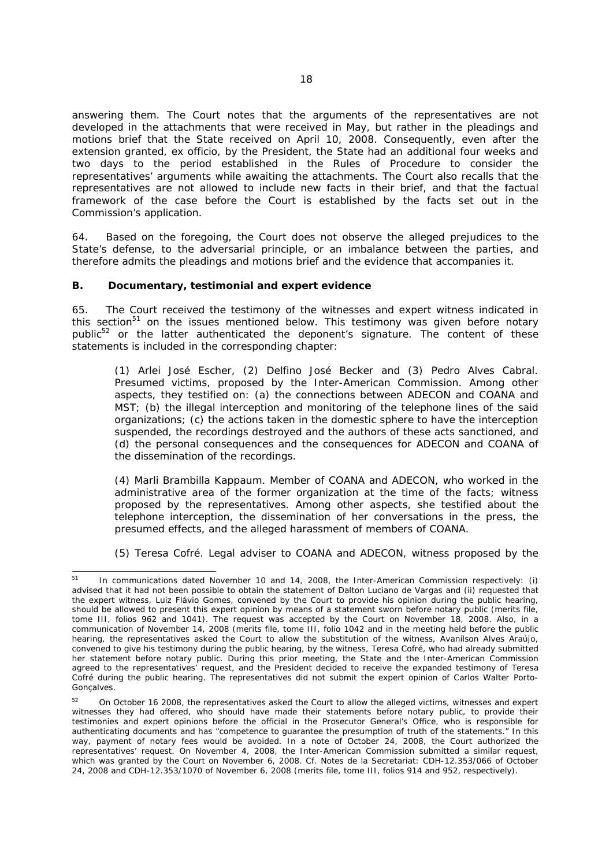answering them. The Court notes that the arguments of the representatives are not developed in the attachments that were received in May, but rather in the pleadings and motions brief that the State received on April 10, 2008. Consequently, even after the extension granted, *ex officio*, by the President, the State had an additional four weeks and two days to the period established in the Rules of Procedure to consider the representatives' arguments while awaiting the attachments. The Court also recalls that the representatives are not allowed to include new facts in their brief, and that the factual framework of the case before the Court is established by the facts set out in the Commission's application.

64. Based on the foregoing, the Court does not observe the alleged prejudices to the State's defense, to the adversarial principle, or an imbalance between the parties, and therefore admits the pleadings and motions brief and the evidence that accompanies it.

#### **B. Documentary, testimonial and expert evidence**

65. The Court received the testimony of the witnesses and expert witness indicated in this section<sup>51</sup> on the issues mentioned below. This testimony was given before notary public<sup>52</sup> or the latter authenticated the deponent's signature. The content of these statements is included in the corresponding chapter:

*(1) Arlei José Escher, (2) Delfino José Becker and (3) Pedro Alves Cabral.* Presumed victims, proposed by the Inter-American Commission. Among other aspects, they testified on: (a) the connections between ADECON and COANA and MST; (b) the illegal interception and monitoring of the telephone lines of the said organizations; (c) the actions taken in the domestic sphere to have the interception suspended, the recordings destroyed and the authors of these acts sanctioned, and (d) the personal consequences and the consequences for ADECON and COANA of the dissemination of the recordings.

*(4) Marli Brambilla Kappaum*. Member of COANA and ADECON, who worked in the administrative area of the former organization at the time of the facts; witness proposed by the representatives. Among other aspects, she testified about the telephone interception, the dissemination of her conversations in the press, the presumed effects, and the alleged harassment of members of COANA.

*(5) Teresa Cofré.* Legal adviser to COANA and ADECON, witness proposed by the

<sup>-</sup>In communications dated November 10 and 14, 2008, the Inter-American Commission respectively: (i) advised that it had not been possible to obtain the statement of Dalton Luciano de Vargas and (ii) requested that the expert witness, Luiz Flávio Gomes, convened by the Court to provide his opinion during the public hearing, should be allowed to present this expert opinion by means of a statement sworn before notary public (merits file, tome III, folios 962 and 1041). The request was accepted by the Court on November 18, 2008. Also, in a communication of November 14, 2008 (merits file, tome III, folio 1042 and in the meeting held before the public hearing, the representatives asked the Court to allow the substitution of the witness, Avanílson Alves Araújo, convened to give his testimony during the public hearing, by the witness, Teresa Cofré, who had already submitted her statement before notary public. During this prior meeting, the State and the Inter-American Commission agreed to the representatives' request, and the President decided to receive the expanded testimony of Teresa Cofré during the public hearing. The representatives did not submit the expert opinion of Carlos Walter Porto-Goncalves.

<sup>&</sup>lt;sup>52</sup> On October 16 2008, the representatives asked the Court to allow the alleged victims, witnesses and expert witnesses they had offered, who should have made their statements before notary public, to provide their testimonies and expert opinions before the official in the Prosecutor General's Office, who is responsible for authenticating documents and has "competence to guarantee the presumption of truth of the statements." In this way, payment of notary fees would be avoided. In a note of October 24, 2008, the Court authorized the representatives' request. On November 4, 2008, the Inter-American Commission submitted a similar request, which was granted by the Court on November 6, 2008. *Cf.* Notes de la Secretariat: CDH-12.353/066 of October 24, 2008 and CDH-12.353/1070 of November 6, 2008 (merits file, tome III, folios 914 and 952, respectively).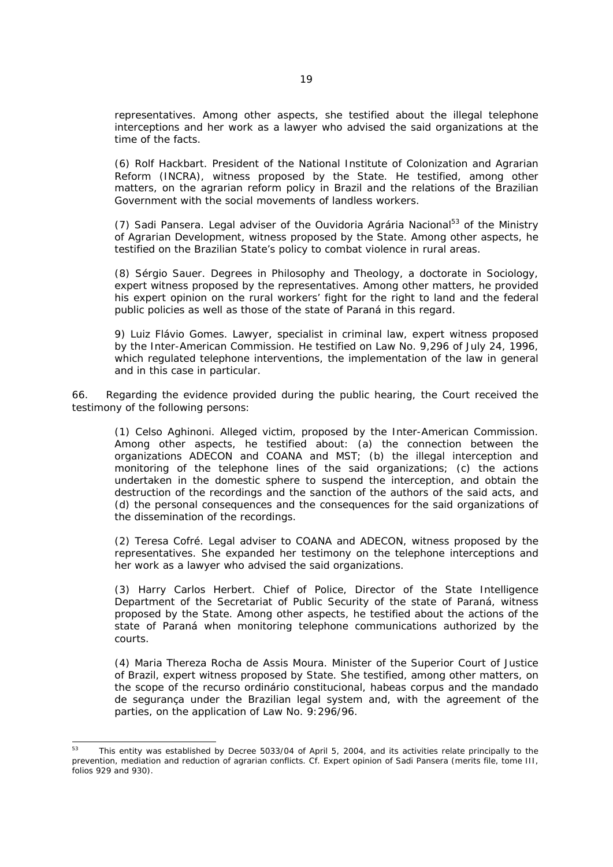representatives. Among other aspects, she testified about the illegal telephone interceptions and her work as a lawyer who advised the said organizations at the time of the facts.

*(6) Rolf Hackbart*. President of the National Institute of Colonization and Agrarian Reform (INCRA), witness proposed by the State. He testified, among other matters, on the agrarian reform policy in Brazil and the relations of the Brazilian Government with the social movements of landless workers.

*(7) Sadi Pansera.* Legal adviser of the *Ouvidoria Agrária Nacional*53 of the Ministry of Agrarian Development, witness proposed by the State. Among other aspects, he testified on the Brazilian State's policy to combat violence in rural areas.

*(8) Sérgio Sauer*. Degrees in Philosophy and Theology, a doctorate in Sociology, expert witness proposed by the representatives. Among other matters, he provided his expert opinion on the rural workers' fight for the right to land and the federal public policies as well as those of the state of Paraná in this regard.

*9) Luiz Flávio Gomes*. Lawyer, specialist in criminal law, expert witness proposed by the Inter-American Commission. He testified on Law No. 9,296 of July 24, 1996, which regulated telephone interventions, the implementation of the law in general and in this case in particular.

66. Regarding the evidence provided during the public hearing, the Court received the testimony of the following persons:

*(1) Celso Aghinoni*. Alleged victim, proposed by the Inter-American Commission. Among other aspects, he testified about: (a) the connection between the organizations ADECON and COANA and MST; (b) the illegal interception and monitoring of the telephone lines of the said organizations; (c) the actions undertaken in the domestic sphere to suspend the interception, and obtain the destruction of the recordings and the sanction of the authors of the said acts, and (d) the personal consequences and the consequences for the said organizations of the dissemination of the recordings.

*(2) Teresa Cofré*. Legal adviser to COANA and ADECON, witness proposed by the representatives. She expanded her testimony on the telephone interceptions and her work as a lawyer who advised the said organizations.

*(3) Harry Carlos Herbert*. Chief of Police, Director of the State Intelligence Department of the Secretariat of Public Security of the state of Paraná, witness proposed by the State. Among other aspects, he testified about the actions of the state of Paraná when monitoring telephone communications authorized by the courts.

*(4) Maria Thereza Rocha de Assis Moura.* Minister of the Superior Court of Justice of Brazil, expert witness proposed by State. She testified, among other matters, on the scope of the *recurso ordinário constitucional*, habeas corpus and the *mandado de segurança* under the Brazilian legal system and, with the agreement of the parties, on the application of Law No. 9:296/96.

 $53$ 53 This entity was established by Decree 5033/04 of April 5, 2004, and its activities relate principally to the prevention, mediation and reduction of agrarian conflicts. *Cf.* Expert opinion of Sadi Pansera (merits file, tome III, folios 929 and 930).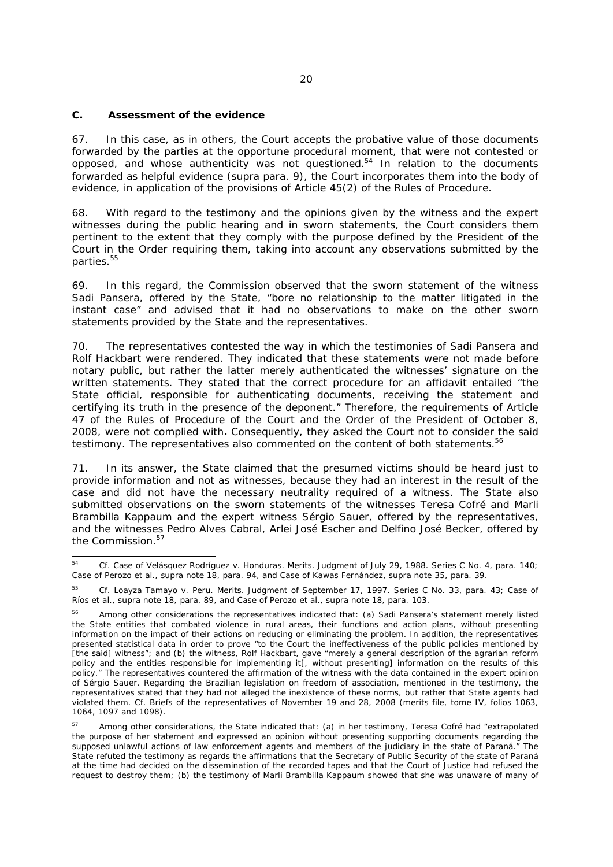### **C. Assessment of the evidence**

67. In this case, as in others, the Court accepts the probative value of those documents forwarded by the parties at the opportune procedural moment, that were not contested or opposed, and whose authenticity was not questioned.<sup>54</sup> In relation to the documents forwarded as helpful evidence (*supra* para. 9), the Court incorporates them into the body of evidence, in application of the provisions of Article 45(2) of the Rules of Procedure.

68. With regard to the testimony and the opinions given by the witness and the expert witnesses during the public hearing and in sworn statements, the Court considers them pertinent to the extent that they comply with the purpose defined by the President of the Court in the Order requiring them, taking into account any observations submitted by the parties.<sup>55</sup>

69. In this regard, the Commission observed that the sworn statement of the witness Sadi Pansera, offered by the State, "bore no relationship to the matter litigated in the instant case" and advised that it had no observations to make on the other sworn statements provided by the State and the representatives.

70. The representatives contested the way in which the testimonies of Sadi Pansera and Rolf Hackbart were rendered. They indicated that these statements were not made before notary public, but rather the latter merely authenticated the witnesses' signature on the written statements. They stated that the correct procedure for an affidavit entailed "the State official, responsible for authenticating documents, receiving the statement and certifying its truth in the presence of the deponent." Therefore, the requirements of Article 47 of the Rules of Procedure of the Court and the Order of the President of October 8, 2008, were not complied with**.** Consequently, they asked the Court not to consider the said testimony. The representatives also commented on the content of both statements.<sup>56</sup>

71. In its answer, the State claimed that the presumed victims should be heard just to provide information and not as witnesses, because they had an interest in the result of the case and did not have the necessary neutrality required of a witness. The State also submitted observations on the sworn statements of the witnesses Teresa Cofré and Marli Brambilla Kappaum and the expert witness Sérgio Sauer, offered by the representatives, and the witnesses Pedro Alves Cabral, Arlei José Escher and Delfino José Becker, offered by the Commission.<sup>57</sup>

 $BA$ 54 *Cf. Case of Velásquez Rodríguez v. Honduras. Merits.* Judgment of July 29, 1988. Series C No. 4, para. 140; *Case of Perozo et al., supra* note 18, para. 94, and *Case of Kawas Fernández, supra* note 35, para. 39.

<sup>55</sup> *Cf. Loayza Tamayo v. Peru. Merits.* Judgment of September 17, 1997. Series C No. 33, para. 43; *Case of Ríos et al., supra* note 18, para. 89, and *Case of Perozo et al., supra* note 18, para. 103.

<sup>56</sup> Among other considerations the representatives indicated that: (a) Sadi Pansera's statement merely listed the State entities that combated violence in rural areas, their functions and action plans, without presenting information on the impact of their actions on reducing or eliminating the problem. In addition, the representatives presented statistical data in order to prove "to the Court the ineffectiveness of the public policies mentioned by [the said] witness"; and (b) the witness, Rolf Hackbart, gave "merely a general description of the agrarian reform policy and the entities responsible for implementing it[, without presenting] information on the results of this policy." The representatives countered the affirmation of the witness with the data contained in the expert opinion of Sérgio Sauer. Regarding the Brazilian legislation on freedom of association, mentioned in the testimony, the representatives stated that they had not alleged the inexistence of these norms, but rather that State agents had violated them. *Cf.* Briefs of the representatives of November 19 and 28, 2008 (merits file, tome IV, folios 1063, 1064, 1097 and 1098).

<sup>&</sup>lt;sup>57</sup> Among other considerations, the State indicated that: (a) in her testimony, Teresa Cofré had "extrapolated the purpose of her statement and expressed an opinion without presenting supporting documents regarding the supposed unlawful actions of law enforcement agents and members of the judiciary in the state of Paraná." The State refuted the testimony as regards the affirmations that the Secretary of Public Security of the state of Paraná at the time had decided on the dissemination of the recorded tapes and that the Court of Justice had refused the request to destroy them; (b) the testimony of Marli Brambilla Kappaum showed that she was unaware of many of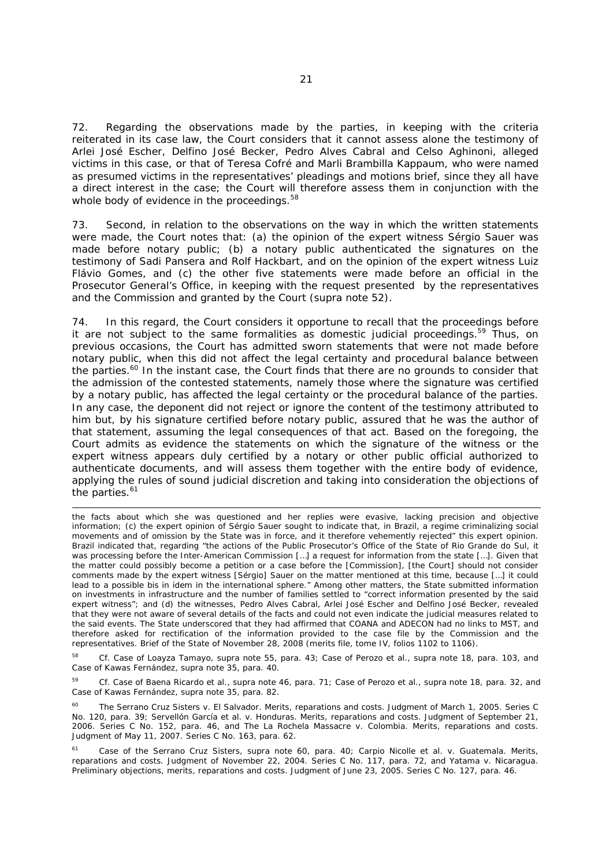72. Regarding the observations made by the parties, in keeping with the criteria reiterated in its case law, the Court considers that it cannot assess alone the testimony of Arlei José Escher, Delfino José Becker, Pedro Alves Cabral and Celso Aghinoni, alleged victims in this case, or that of Teresa Cofré and Marli Brambilla Kappaum, who were named as presumed victims in the representatives' pleadings and motions brief, since they all have a direct interest in the case; the Court will therefore assess them in conjunction with the whole body of evidence in the proceedings.<sup>58</sup>

73. Second, in relation to the observations on the way in which the written statements were made, the Court notes that: (a) the opinion of the expert witness Sérgio Sauer was made before notary public; (b) a notary public authenticated the signatures on the testimony of Sadi Pansera and Rolf Hackbart, and on the opinion of the expert witness Luiz Flávio Gomes, and (c) the other five statements were made before an official in the Prosecutor General's Office, in keeping with the request presented by the representatives and the Commission and granted by the Court (*supra* note 52).

74. In this regard, the Court considers it opportune to recall that the proceedings before it are not subject to the same formalities as domestic judicial proceedings.<sup>59</sup> Thus, on previous occasions, the Court has admitted sworn statements that were not made before notary public, when this did not affect the legal certainty and procedural balance between the parties.<sup>60</sup> In the instant case, the Court finds that there are no grounds to consider that the admission of the contested statements, namely those where the signature was certified by a notary public, has affected the legal certainty or the procedural balance of the parties. In any case, the deponent did not reject or ignore the content of the testimony attributed to him but, by his signature certified before notary public, assured that he was the author of that statement, assuming the legal consequences of that act. Based on the foregoing, the Court admits as evidence the statements on which the signature of the witness or the expert witness appears duly certified by a notary or other public official authorized to authenticate documents, and will assess them together with the entire body of evidence, applying the rules of sound judicial discretion and taking into consideration the objections of the parties. $61$ 

 $\overline{\phantom{0}}$ 

58 *Cf. Case of Loayza Tamayo, supra* note 55, para. 43; *Case of Perozo et al., supra* note 18, para. 103, and *Case of Kawas Fernández, supra* note 35, para. 40.

59 *Cf. Case of Baena Ricardo et al., supra* note 46, para. 71; *Case of Perozo et al., supra* note 18, para. 32, and *Case of Kawas Fernández, supra* note 35, para. 82.

60 *The Serrano Cruz Sisters v. El Salvador. Merits, reparations and costs*. Judgment of March 1, 2005. Series C No. 120, para. 39; *Servellón García et al. v. Honduras. Merits, reparations and costs.* Judgment of September 21, 2006. Series C No. 152, para. 46, and *The La Rochela Massacre v. Colombia. Merits, reparations and costs.* Judgment of May 11, 2007. Series C No. 163, para. 62.

61 Case of the Serrano Cruz Sisters*, supra* note 60, para. 40; *Carpio Nicolle et al. v. Guatemala. Merits, reparations and costs*. Judgment of November 22, 2004. Series C No. 117, para. 72, and *Yatama v. Nicaragua. Preliminary objections, merits, reparations and costs*. Judgment of June 23, 2005. Series C No. 127, para. 46.

the facts about which she was questioned and her replies were evasive, lacking precision and objective information; (c) the expert opinion of Sérgio Sauer sought to indicate that, in Brazil, a regime criminalizing social movements and of omission by the State was in force, and it therefore vehemently rejected" this expert opinion. Brazil indicated that, regarding "the actions of the Public Prosecutor's Office of the State of Rio Grande do Sul, it was processing before the Inter-American Commission […] a request for information from the state […]. Given that the matter could possibly become a petition or a case before the [Commission], [the Court] should not consider comments made by the expert witness [Sérgio] Sauer on the matter mentioned at this time, because […] it could lead to a possible *bis in idem* in the international sphere." Among other matters, the State submitted information on investments in infrastructure and the number of families settled to "correct information presented by the said expert witness"; and (d) the witnesses, Pedro Alves Cabral, Arlei José Escher and Delfino José Becker, revealed that they were not aware of several details of the facts and could not even indicate the judicial measures related to the said events. The State underscored that they had affirmed that COANA and ADECON had no links to MST, and therefore asked for rectification of the information provided to the case file by the Commission and the representatives. Brief of the State of November 28, 2008 (merits file, tome IV, folios 1102 to 1106).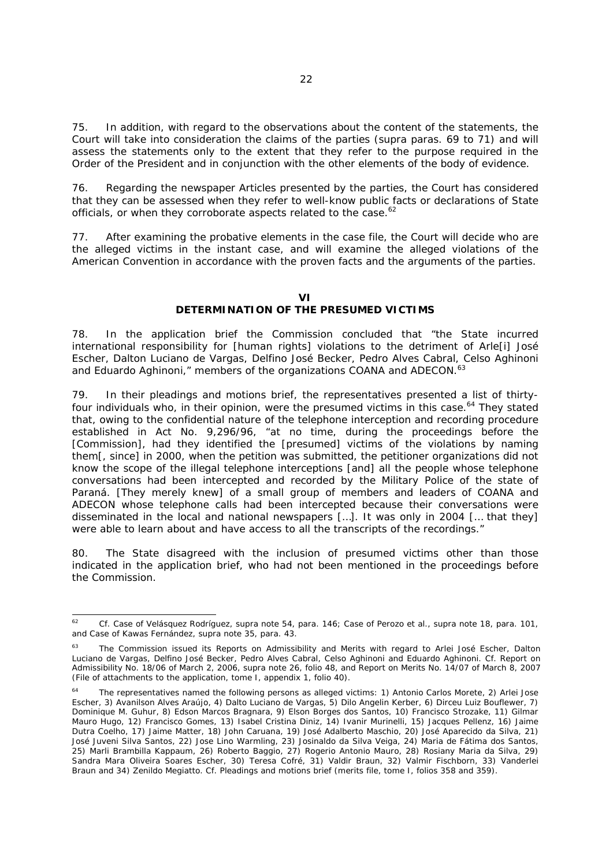75. In addition, with regard to the observations about the content of the statements, the Court will take into consideration the claims of the parties (*supra* paras. 69 to 71) and will assess the statements only to the extent that they refer to the purpose required in the Order of the President and in conjunction with the other elements of the body of evidence.

76. Regarding the newspaper Articles presented by the parties, the Court has considered that they can be assessed when they refer to well-know public facts or declarations of State officials, or when they corroborate aspects related to the case.<sup>62</sup>

77. After examining the probative elements in the case file, the Court will decide who are the alleged victims in the instant case, and will examine the alleged violations of the American Convention in accordance with the proven facts and the arguments of the parties.

#### **VI**

## **DETERMINATION OF THE PRESUMED VICTIMS**

78. In the application brief the Commission concluded that "the State incurred international responsibility for [human rights] violations to the detriment of Arle[i] José Escher, Dalton Luciano de Vargas, Delfino José Becker, Pedro Alves Cabral, Celso Aghinoni and Eduardo Aghinoni," members of the organizations COANA and ADECON.<sup>63</sup>

79. In their pleadings and motions brief, the representatives presented a list of thirtyfour individuals who, in their opinion, were the presumed victims in this case.<sup>64</sup> They stated that, owing to the confidential nature of the telephone interception and recording procedure established in Act No. 9,296/96, "at no time, during the proceedings before the [Commission], had they identified the [presumed] victims of the violations by naming them[, since] in 2000, when the petition was submitted, the petitioner organizations did not know the scope of the illegal telephone interceptions [and] all the people whose telephone conversations had been intercepted and recorded by the Military Police of the state of Paraná. [They merely knew] of a small group of members and leaders of COANA and ADECON whose telephone calls had been intercepted because their conversations were disseminated in the local and national newspapers […]. It was only in 2004 [… that they] were able to learn about and have access to all the transcripts of the recordings."

80. The State disagreed with the inclusion of presumed victims other than those indicated in the application brief, who had not been mentioned in the proceedings before the Commission.

 $62$ 62 *Cf. Case of Velásquez Rodríguez, supra* note 54, para. 146; *Case of Perozo et al., supra* note 18, para. 101, and *Case of Kawas Fernández, supra* note 35, para. 43.

<sup>&</sup>lt;sup>63</sup> The Commission issued its Reports on Admissibility and Merits with regard to Arlei José Escher, Dalton Luciano de Vargas, Delfino José Becker, Pedro Alves Cabral, Celso Aghinoni and Eduardo Aghinoni. *Cf.* Report on Admissibility No. 18/06 of March 2, 2006, *supra* note 26, folio 48, and Report on Merits No. 14/07 of March 8, 2007 (File of attachments to the application, tome I, appendix 1, folio 40).

<sup>&</sup>lt;sup>64</sup> The representatives named the following persons as alleged victims: 1) Antonio Carlos Morete, 2) Arlei Jose Escher, 3) Avanilson Alves Araújo, 4) Dalto Luciano de Vargas, 5) Dilo Angelin Kerber, 6) Dirceu Luiz Bouflewer, 7) Dominique M. Guhur, 8) Edson Marcos Bragnara, 9) Elson Borges dos Santos, 10) Francisco Strozake, 11) Gilmar Mauro Hugo, 12) Francisco Gomes, 13) Isabel Cristina Diniz, 14) Ivanir Murinelli, 15) Jacques Pellenz, 16) Jaime Dutra Coelho, 17) Jaime Matter, 18) John Caruana, 19) José Adalberto Maschio, 20) José Aparecido da Silva, 21) José Juveni Silva Santos, 22) Jose Lino Warmling, 23) Josinaldo da Silva Veiga, 24) Maria de Fátima dos Santos, 25) Marli Brambilla Kappaum, 26) Roberto Baggio, 27) Rogerio Antonio Mauro, 28) Rosiany Maria da Silva, 29) Sandra Mara Oliveira Soares Escher, 30) Teresa Cofré, 31) Valdir Braun, 32) Valmir Fischborn, 33) Vanderlei Braun and 34) Zenildo Megiatto. *Cf.* Pleadings and motions brief (merits file, tome I, folios 358 and 359).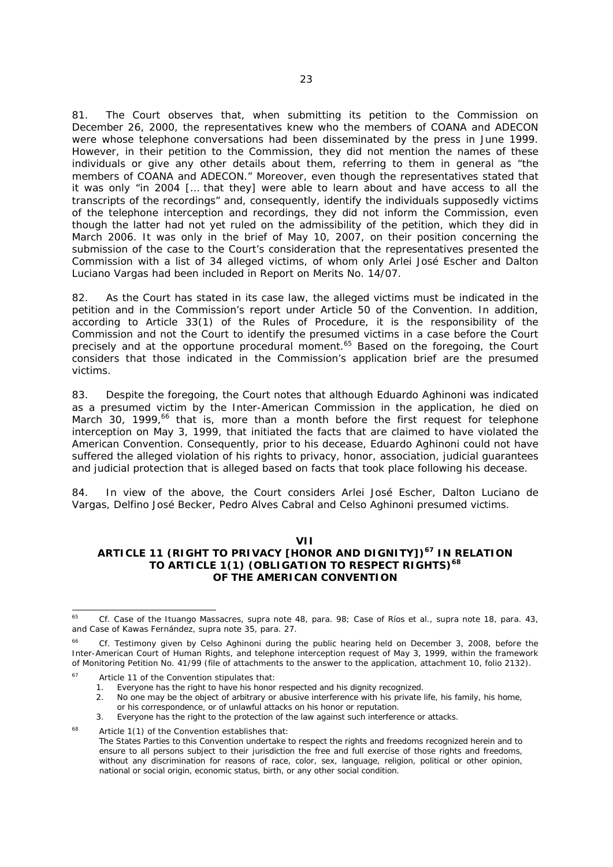81. The Court observes that, when submitting its petition to the Commission on December 26, 2000, the representatives knew who the members of COANA and ADECON were whose telephone conversations had been disseminated by the press in June 1999. However, in their petition to the Commission, they did not mention the names of these individuals or give any other details about them, referring to them in general as "the members of COANA and ADECON." Moreover, even though the representatives stated that it was only "in 2004 [… that they] were able to learn about and have access to all the transcripts of the recordings" and, consequently, identify the individuals supposedly victims of the telephone interception and recordings, they did not inform the Commission, even though the latter had not yet ruled on the admissibility of the petition, which they did in March 2006. It was only in the brief of May 10, 2007, on their position concerning the submission of the case to the Court's consideration that the representatives presented the Commission with a list of 34 alleged victims, of whom only Arlei José Escher and Dalton Luciano Vargas had been included in Report on Merits No. 14/07.

82. As the Court has stated in its case law, the alleged victims must be indicated in the petition and in the Commission's report under Article 50 of the Convention. In addition, according to Article 33(1) of the Rules of Procedure, it is the responsibility of the Commission and not the Court to identify the presumed victims in a case before the Court precisely and at the opportune procedural moment.<sup>65</sup> Based on the foregoing, the Court considers that those indicated in the Commission's application brief are the presumed victims.

83. Despite the foregoing, the Court notes that although Eduardo Aghinoni was indicated as a presumed victim by the Inter-American Commission in the application, he died on March 30, 1999, $^{66}$  that is, more than a month before the first request for telephone interception on May 3, 1999, that initiated the facts that are claimed to have violated the American Convention. Consequently, prior to his decease, Eduardo Aghinoni could not have suffered the alleged violation of his rights to privacy, honor, association, judicial guarantees and judicial protection that is alleged based on facts that took place following his decease.

84. In view of the above, the Court considers Arlei José Escher, Dalton Luciano de Vargas, Delfino José Becker, Pedro Alves Cabral and Celso Aghinoni presumed victims.

**VII** 

# **ARTICLE 11 (RIGHT TO PRIVACY [HONOR AND DIGNITY])67 IN RELATION TO ARTICLE 1(1) (OBLIGATION TO RESPECT RIGHTS)68 OF THE AMERICAN CONVENTION**

- 
- 1. Everyone has the right to have his honor respected and his dignity recognized.<br>2. No one may be the obiect of arbitrary or abusive interference with his private No one may be the object of arbitrary or abusive interference with his private life, his family, his home,
- or his correspondence, or of unlawful attacks on his honor or reputation.
- 3. Everyone has the right to the protection of the law against such interference or attacks.
- <sup>68</sup> Article 1(1) of the Convention establishes that:

<sup>65</sup> 65 *Cf. Case of the Ituango Massacres, supra* note 48*,* para. 98; *Case of Ríos et al., supra* note 18, para. 43, and *Case of Kawas Fernández, supra* note 35, para. 27.

<sup>66</sup> *Cf*. Testimony given by Celso Aghinoni during the public hearing held on December 3, 2008, before the Inter-American Court of Human Rights, and telephone interception request of May 3, 1999, within the framework of Monitoring Petition No. 41/99 (file of attachments to the answer to the application, attachment 10, folio 2132).

Article 11 of the Convention stipulates that:

The States Parties to this Convention undertake to respect the rights and freedoms recognized herein and to ensure to all persons subject to their jurisdiction the free and full exercise of those rights and freedoms, without any discrimination for reasons of race, color, sex, language, religion, political or other opinion, national or social origin, economic status, birth, or any other social condition.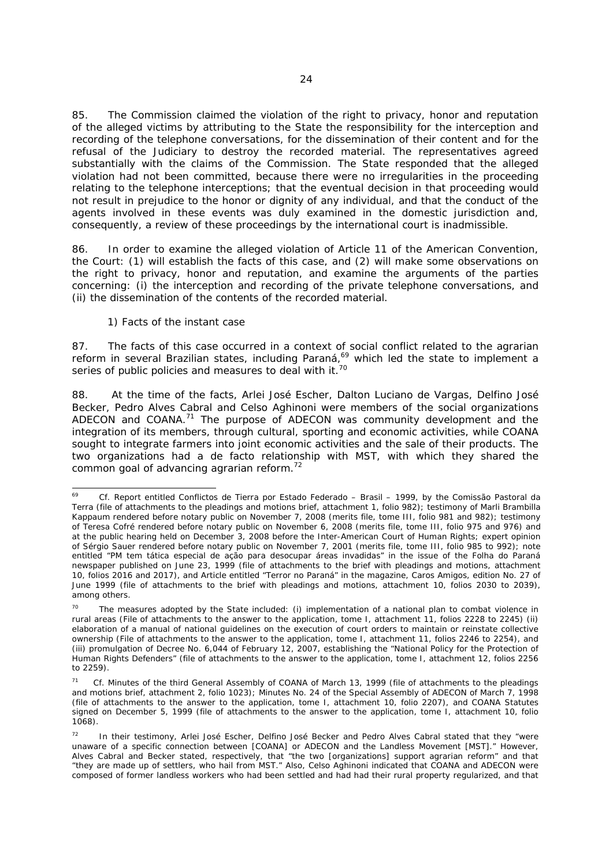85. The Commission claimed the violation of the right to privacy, honor and reputation of the alleged victims by attributing to the State the responsibility for the interception and recording of the telephone conversations, for the dissemination of their content and for the refusal of the Judiciary to destroy the recorded material. The representatives agreed substantially with the claims of the Commission. The State responded that the alleged violation had not been committed, because there were no irregularities in the proceeding relating to the telephone interceptions; that the eventual decision in that proceeding would not result in prejudice to the honor or dignity of any individual, and that the conduct of the agents involved in these events was duly examined in the domestic jurisdiction and, consequently, a review of these proceedings by the international court is inadmissible.

86. In order to examine the alleged violation of Article 11 of the American Convention, the Court: (1) will establish the facts of this case, and (2) will make some observations on the right to privacy, honor and reputation, and examine the arguments of the parties concerning: (i) the interception and recording of the private telephone conversations, and (ii) the dissemination of the contents of the recorded material.

#### *1) Facts of the instant case*

87. The facts of this case occurred in a context of social conflict related to the agrarian reform in several Brazilian states, including Paraná,<sup>69</sup> which led the state to implement a series of public policies and measures to deal with it.<sup>70</sup>

88. At the time of the facts, Arlei José Escher, Dalton Luciano de Vargas, Delfino José Becker, Pedro Alves Cabral and Celso Aghinoni were members of the social organizations ADECON and COANA. $71$  The purpose of ADECON was community development and the integration of its members, through cultural, sporting and economic activities, while COANA sought to integrate farmers into joint economic activities and the sale of their products. The two organizations had a *de facto* relationship with MST, with which they shared the common goal of advancing agrarian reform.72

 $69$ 69 *Cf.* Report entitled *Conflictos de Tierra por Estado Federado – Brasil – 1999*, by the Comissão Pastoral da Terra (file of attachments to the pleadings and motions brief, attachment 1, folio 982); testimony of Marli Brambilla Kappaum rendered before notary public on November 7, 2008 (merits file, tome III, folio 981 and 982); testimony of Teresa Cofré rendered before notary public on November 6, 2008 (merits file, tome III, folio 975 and 976) and at the public hearing held on December 3, 2008 before the Inter-American Court of Human Rights; expert opinion of Sérgio Sauer rendered before notary public on November 7, 2001 (merits file, tome III, folio 985 to 992); note entitled *"PM tem tática especial de ação para desocupar áreas invadidas"* in the issue of the *Folha do Paraná* newspaper published on June 23, 1999 (file of attachments to the brief with pleadings and motions, attachment 10, folios 2016 and 2017), and Article entitled *"Terror no Paraná"* in the magazine, *Caros Amigos*, edition No. 27 of June 1999 (file of attachments to the brief with pleadings and motions, attachment 10, folios 2030 to 2039), among others.

The measures adopted by the State included: (i) implementation of a national plan to combat violence in rural areas (File of attachments to the answer to the application, tome I, attachment 11, folios 2228 to 2245) (ii) elaboration of a manual of national guidelines on the execution of court orders to maintain or reinstate collective ownership (File of attachments to the answer to the application, tome I, attachment 11, folios 2246 to 2254), and (iii) promulgation of Decree No. 6,044 of February 12, 2007, establishing the "National Policy for the Protection of Human Rights Defenders" (file of attachments to the answer to the application, tome I, attachment 12, folios 2256 to 2259).

<sup>71</sup> *Cf.* Minutes of the third General Assembly of COANA of March 13, 1999 (file of attachments to the pleadings and motions brief, attachment 2, folio 1023); Minutes No. 24 of the Special Assembly of ADECON of March 7, 1998 (file of attachments to the answer to the application, tome I, attachment 10, folio 2207), and COANA Statutes signed on December 5, 1999 (file of attachments to the answer to the application, tome I, attachment 10, folio 1068).

In their testimony, Arlei José Escher, Delfino José Becker and Pedro Alves Cabral stated that they "were unaware of a specific connection between [COANA] or ADECON and the Landless Movement [MST]." However, Alves Cabral and Becker stated, respectively, that "the two [organizations] support agrarian reform" and that "they are made up of settlers, who hail from MST." Also, Celso Aghinoni indicated that COANA and ADECON were composed of former landless workers who had been settled and had had their rural property regularized, and that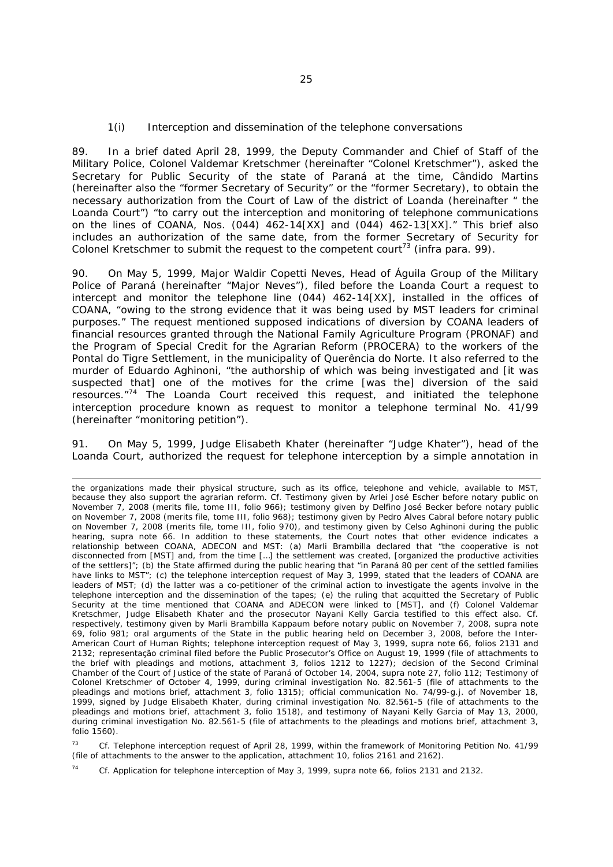#### *1(i) Interception and dissemination of the telephone conversations*

89. In a brief dated April 28, 1999, the Deputy Commander and Chief of Staff of the Military Police, Colonel Valdemar Kretschmer (hereinafter "Colonel Kretschmer"), asked the Secretary for Public Security of the state of Paraná at the time, Cândido Martins (hereinafter also the "former Secretary of Security" or the "former Secretary), to obtain the necessary authorization from the Court of Law of the district of Loanda (hereinafter " the Loanda Court") "to carry out the interception and monitoring of telephone communications on the lines of COANA, Nos. (044) 462-14[XX] and (044) 462-13[XX]." This brief also includes an authorization of the same date, from the former Secretary of Security for Colonel Kretschmer to submit the request to the competent court<sup>73</sup> (*infra* para. 99).

90. On May 5, 1999, Major Waldir Copetti Neves, Head of Águila Group of the Military Police of Paraná (hereinafter "Major Neves"), filed before the Loanda Court a request to intercept and monitor the telephone line (044) 462-14[XX], installed in the offices of COANA, "owing to the strong evidence that it was being used by MST leaders for criminal purposes." The request mentioned supposed indications of diversion by COANA leaders of financial resources granted through the National Family Agriculture Program (PRONAF) and the Program of Special Credit for the Agrarian Reform (PROCERA) to the workers of the Pontal do Tigre Settlement, in the municipality of Querência do Norte. It also referred to the murder of Eduardo Aghinoni, "the authorship of which was being investigated and [it was suspected that] one of the motives for the crime [was the] diversion of the said resources."74 The Loanda Court received this request, and initiated the telephone interception procedure known as request to monitor a telephone terminal No. 41/99 (hereinafter "monitoring petition").

91. On May 5, 1999, Judge Elisabeth Khater (hereinafter "Judge Khater"), head of the Loanda Court, authorized the request for telephone interception by a simple annotation in

 $\overline{\phantom{0}}$ 

<sup>73</sup> *Cf.* Telephone interception request of April 28, 1999, within the framework of Monitoring Petition No. 41/99 (file of attachments to the answer to the application, attachment 10, folios 2161 and 2162).

74 *Cf.* Application for telephone interception of May 3, 1999, *supra* note 66, folios 2131 and 2132.

the organizations made their physical structure, such as its office, telephone and vehicle, available to MST, because they also support the agrarian reform. *Cf.* Testimony given by Arlei José Escher before notary public on November 7, 2008 (merits file, tome III, folio 966); testimony given by Delfino José Becker before notary public on November 7, 2008 (merits file, tome III, folio 968); testimony given by Pedro Alves Cabral before notary public on November 7, 2008 (merits file, tome III, folio 970), and testimony given by Celso Aghinoni during the public hearing, *supra* note 66. In addition to these statements, the Court notes that other evidence indicates a relationship between COANA, ADECON and MST: (a) Marli Brambilla declared that "the cooperative is not disconnected from [MST] and, from the time […] the settlement was created, [organized the productive activities of the settlers]"; (b) the State affirmed during the public hearing that "in Paraná 80 per cent of the settled families have links to MST"; (c) the telephone interception request of May 3, 1999, stated that the leaders of COANA are leaders of MST; (d) the latter was a co-petitioner of the criminal action to investigate the agents involve in the telephone interception and the dissemination of the tapes; (e) the ruling that acquitted the Secretary of Public Security at the time mentioned that COANA and ADECON were linked to [MST], and (f) Colonel Valdemar Kretschmer, Judge Elisabeth Khater and the prosecutor Nayani Kelly Garcia testified to this effect also. *Cf.*  respectively, testimony given by Marli Brambilla Kappaum before notary public on November 7, 2008*, supra* note 69, folio 981; oral arguments of the State in the public hearing held on December 3, 2008, before the Inter-American Court of Human Rights; telephone interception request of May 3, 1999, *supra* note 66, folios 2131 and 2132; *representação criminal* filed before the Public Prosecutor's Office on August 19, 1999 (file of attachments to the brief with pleadings and motions, attachment 3, folios 1212 to 1227); decision of the Second Criminal Chamber of the Court of Justice of the state of Paraná of October 14, 2004, *supra* note 27, folio 112; Testimony of Colonel Kretschmer of October 4, 1999, during criminal investigation No. 82.561-5 (file of attachments to the pleadings and motions brief, attachment 3, folio 1315); official communication No. 74/99-g.j. of November 18, 1999, signed by Judge Elisabeth Khater, during criminal investigation No. 82.561-5 (file of attachments to the pleadings and motions brief, attachment 3, folio 1518), and testimony of Nayani Kelly Garcia of May 13, 2000, during criminal investigation No. 82.561-5 (file of attachments to the pleadings and motions brief, attachment 3, folio 1560).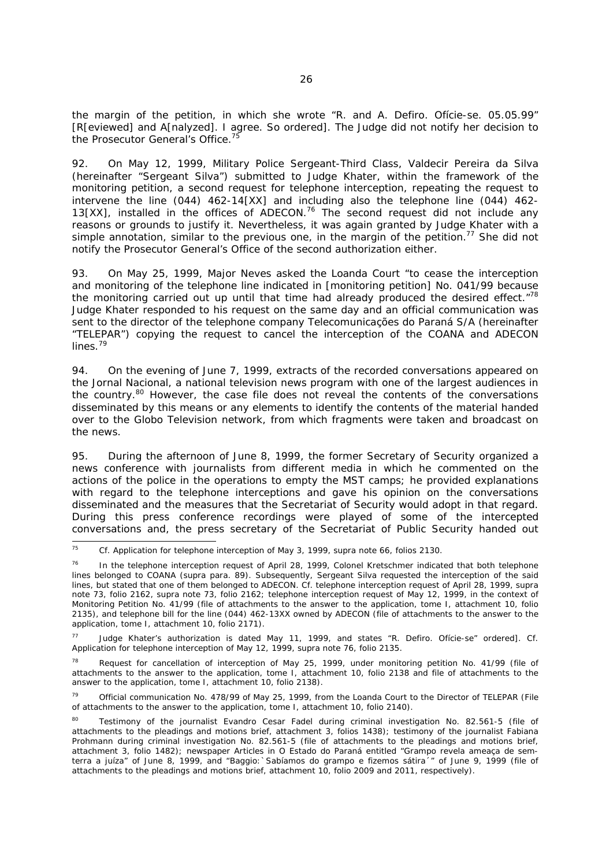the margin of the petition, in which she wrote *"R. and A. Defiro. Ofície-se. 05.05.99*" [R[eviewed] and A[nalyzed]. I agree. So ordered]. The Judge did not notify her decision to the Prosecutor General's Office.<sup>75</sup>

92. On May 12, 1999, Military Police Sergeant-Third Class, Valdecir Pereira da Silva (hereinafter "Sergeant Silva") submitted to Judge Khater, within the framework of the monitoring petition, a second request for telephone interception, repeating the request to intervene the line (044) 462-14[XX] and including also the telephone line (044) 462- 13[XX], installed in the offices of ADECON.<sup>76</sup> The second request did not include any reasons or grounds to justify it. Nevertheless, it was again granted by Judge Khater with a simple annotation, similar to the previous one, in the margin of the petition.<sup>77</sup> She did not notify the Prosecutor General's Office of the second authorization either.

93. On May 25, 1999, Major Neves asked the Loanda Court "to cease the interception and monitoring of the telephone line indicated in [monitoring petition] No. 041/99 because the monitoring carried out up until that time had already produced the desired effect. $78$ Judge Khater responded to his request on the same day and an official communication was sent to the director of the telephone company *Telecomunicações do Paraná S/A* (hereinafter "TELEPAR") copying the request to cancel the interception of the COANA and ADECON lines.<sup>79</sup>

94. On the evening of June 7, 1999, extracts of the recorded conversations appeared on the *Jornal Nacional*, a national television news program with one of the largest audiences in the country.<sup>80</sup> However, the case file does not reveal the contents of the conversations disseminated by this means or any elements to identify the contents of the material handed over to the Globo Television network, from which fragments were taken and broadcast on the news.

95. During the afternoon of June 8, 1999, the former Secretary of Security organized a news conference with journalists from different media in which he commented on the actions of the police in the operations to empty the MST camps; he provided explanations with regard to the telephone interceptions and gave his opinion on the conversations disseminated and the measures that the Secretariat of Security would adopt in that regard. During this press conference recordings were played of some of the intercepted conversations and, the press secretary of the Secretariat of Public Security handed out

77 Judge Khater's authorization is dated May 11, 1999, and states "*R. Defiro. Ofície-se*" ordered]. *Cf.* Application for telephone interception of May 12, 1999, *supra* note 76, folio 2135.

Request for cancellation of interception of May 25, 1999, under monitoring petition No. 41/99 (file of attachments to the answer to the application, tome I, attachment 10, folio 2138 and file of attachments to the answer to the application, tome I, attachment 10, folio 2138).

79 Official communication No. 478/99 of May 25, 1999, from the Loanda Court to the Director of TELEPAR (File of attachments to the answer to the application, tome I, attachment 10, folio 2140).

<sup>75</sup> 75 *Cf.* Application for telephone interception of May 3, 1999, *supra* note 66, folios 2130.

<sup>&</sup>lt;sup>76</sup> In the telephone interception request of April 28, 1999, Colonel Kretschmer indicated that both telephone lines belonged to COANA (*supra* para. 89). Subsequently, Sergeant Silva requested the interception of the said lines, but stated that one of them belonged to ADECON. *Cf.* telephone interception request of April 28, 1999, *supra* note 73, folio 2162, *supra* note 73, folio 2162; telephone interception request of May 12, 1999, in the context of Monitoring Petition No. 41/99 (file of attachments to the answer to the application, tome I, attachment 10, folio 2135), and telephone bill for the line (044) 462-13XX owned by ADECON (file of attachments to the answer to the application, tome I, attachment 10, folio 2171).

<sup>80</sup> Testimony of the journalist Evandro Cesar Fadel during criminal investigation No. 82.561-5 (file of attachments to the pleadings and motions brief, attachment 3, folios 1438); testimony of the journalist Fabiana Prohmann during criminal investigation No. 82.561-5 (file of attachments to the pleadings and motions brief, attachment 3, folio 1482); newspaper Articles in *O Estado do Paraná* entitled *"Grampo revela ameaça de semterra a juíza"* of June 8, 1999, and *"Baggio:`Sabíamos do grampo e fizemos sátira´"* of June 9, 1999 (file of attachments to the pleadings and motions brief, attachment 10, folio 2009 and 2011, respectively).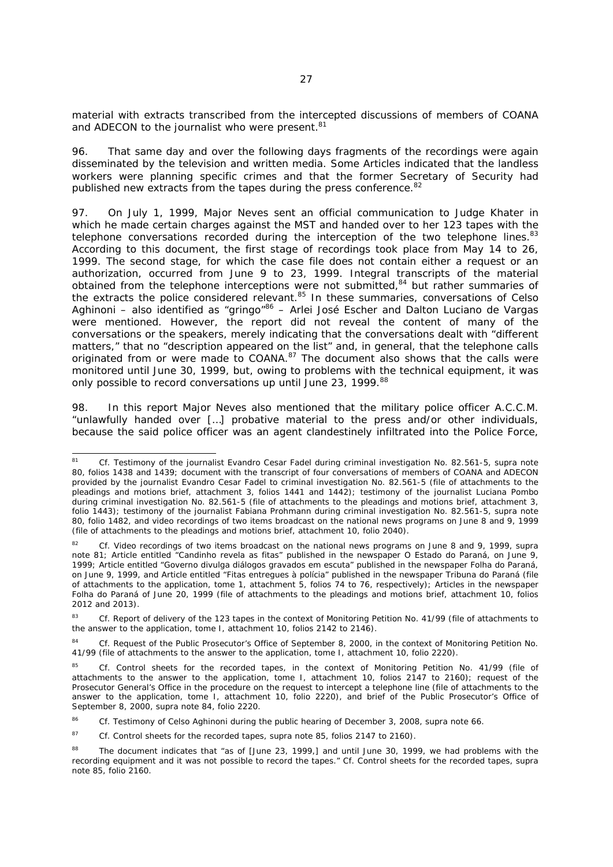material with extracts transcribed from the intercepted discussions of members of COANA and ADECON to the journalist who were present.<sup>81</sup>

96. That same day and over the following days fragments of the recordings were again disseminated by the television and written media. Some Articles indicated that the landless workers were planning specific crimes and that the former Secretary of Security had published new extracts from the tapes during the press conference.<sup>82</sup>

97. On July 1, 1999, Major Neves sent an official communication to Judge Khater in which he made certain charges against the MST and handed over to her 123 tapes with the telephone conversations recorded during the interception of the two telephone lines.<sup>83</sup> According to this document, the first stage of recordings took place from May 14 to 26, 1999. The second stage, for which the case file does not contain either a request or an authorization, occurred from June 9 to 23, 1999. Integral transcripts of the material obtained from the telephone interceptions were not submitted,<sup>84</sup> but rather summaries of the extracts the police considered relevant.<sup>85</sup> In these summaries, conversations of Celso Aghinoni – also identified as "gringo"<sup>86</sup> – Arlei José Escher and Dalton Luciano de Vargas were mentioned. However, the report did not reveal the content of many of the conversations or the speakers, merely indicating that the conversations dealt with "different matters," that no "description appeared on the list" and, in general, that the telephone calls originated from or were made to COANA.87 The document also shows that the calls were monitored until June 30, 1999, but, owing to problems with the technical equipment, it was only possible to record conversations up until June 23, 1999.<sup>88</sup>

98. In this report Major Neves also mentioned that the military police officer A.C.C.M. "unlawfully handed over […] probative material to the press and/or other individuals, because the said police officer was an agent clandestinely infiltrated into the Police Force,

 $_{\mathbf{R1}}$ 81 *Cf.* Testimony of the journalist Evandro Cesar Fadel during criminal investigation No. 82.561-5, *supra* note 80, folios 1438 and 1439; document with the transcript of four conversations of members of COANA and ADECON provided by the journalist Evandro Cesar Fadel to criminal investigation No. 82.561-5 (file of attachments to the pleadings and motions brief, attachment 3, folios 1441 and 1442); testimony of the journalist Luciana Pombo during criminal investigation No. 82.561-5 (file of attachments to the pleadings and motions brief, attachment 3, folio 1443); testimony of the journalist Fabiana Prohmann during criminal investigation No. 82.561-5, *supra* note 80, folio 1482, and video recordings of two items broadcast on the national news programs on June 8 and 9, 1999 (file of attachments to the pleadings and motions brief, attachment 10, folio 2040).

<sup>82</sup> *Cf.* Video recordings of two items broadcast on the national news programs on June 8 and 9, 1999, *supra* note 81; Article entitled "*Candinho revela as fitas*" published in the newspaper *O Estado do Paraná*, on June 9, 1999; Article entitled "*Governo divulga diálogos gravados em escuta*" published in the newspaper *Folha do Paraná*, on June 9, 1999, and Article entitled "*Fitas entregues à polícia*" published in the newspaper *Tribuna do Paraná* (file of attachments to the application, tome 1, attachment 5, folios 74 to 76, respectively); Articles in the newspaper *Folha do Paraná* of June 20, 1999 (file of attachments to the pleadings and motions brief, attachment 10, folios 2012 and 2013).

<sup>&</sup>lt;sup>83</sup> *Cf.* Report of delivery of the 123 tapes in the context of Monitoring Petition No. 41/99 (file of attachments to the answer to the application, tome I, attachment 10, folios 2142 to 2146).

<sup>84</sup> *Cf.* Request of the Public Prosecutor's Office of September 8, 2000, in the context of Monitoring Petition No. 41/99 (file of attachments to the answer to the application, tome I, attachment 10, folio 2220).

<sup>85</sup> *Cf.* Control sheets for the recorded tapes, in the context of Monitoring Petition No. 41/99 (file of attachments to the answer to the application, tome I, attachment 10, folios 2147 to 2160); request of the Prosecutor General's Office in the procedure on the request to intercept a telephone line (file of attachments to the answer to the application, tome I, attachment 10, folio 2220), and brief of the Public Prosecutor's Office of September 8, 2000, *supra* note 84, folio 2220.

<sup>86</sup> *Cf.* Testimony of Celso Aghinoni during the public hearing of December 3, 2008, *supra* note 66.

<sup>87</sup> *Cf.* Control sheets for the recorded tapes, *supra* note 85, folios 2147 to 2160).

<sup>&</sup>lt;sup>88</sup> The document indicates that "as of [June 23, 1999,] and until June 30, 1999, we had problems with the recording equipment and it was not possible to record the tapes." *Cf.* Control sheets for the recorded tapes, *supra*  note 85, folio 2160.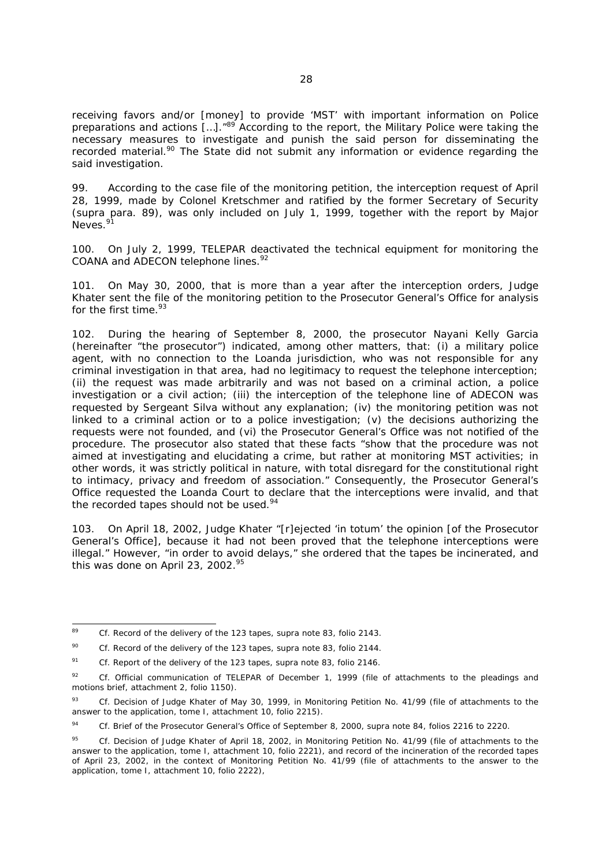receiving favors and/or [money] to provide 'MST' with important information on Police preparations and actions [...].<sup>"89</sup> According to the report, the Military Police were taking the necessary measures to investigate and punish the said person for disseminating the recorded material.<sup>90</sup> The State did not submit any information or evidence regarding the said investigation.

99. According to the case file of the monitoring petition, the interception request of April 28, 1999, made by Colonel Kretschmer and ratified by the former Secretary of Security (*supra* para. 89), was only included on July 1, 1999, together with the report by Major Neves.<sup>91</sup>

100. On July 2, 1999, TELEPAR deactivated the technical equipment for monitoring the COANA and ADECON telephone lines.<sup>92</sup>

101. On May 30, 2000, that is more than a year after the interception orders, Judge Khater sent the file of the monitoring petition to the Prosecutor General's Office for analysis for the first time.<sup>93</sup>

102. During the hearing of September 8, 2000, the prosecutor Nayani Kelly Garcia (hereinafter "the prosecutor") indicated, among other matters, that: (i) a military police agent, with no connection to the Loanda jurisdiction, who was not responsible for any criminal investigation in that area, had no legitimacy to request the telephone interception; (ii) the request was made arbitrarily and was not based on a criminal action, a police investigation or a civil action; (iii) the interception of the telephone line of ADECON was requested by Sergeant Silva without any explanation; (iv) the monitoring petition was not linked to a criminal action or to a police investigation; (v) the decisions authorizing the requests were not founded, and (vi) the Prosecutor General's Office was not notified of the procedure. The prosecutor also stated that these facts "show that the procedure was not aimed at investigating and elucidating a crime, but rather at monitoring MST activities; in other words, it was strictly political in nature, with total disregard for the constitutional right to intimacy, privacy and freedom of association." Consequently, the Prosecutor General's Office requested the Loanda Court to declare that the interceptions were invalid, and that the recorded tapes should not be used.<sup>94</sup>

103. On April 18, 2002, Judge Khater "[r]ejected '*in totum'* the opinion [of the Prosecutor General's Office], because it had not been proved that the telephone interceptions were illegal." However, "in order to avoid delays," she ordered that the tapes be incinerated, and this was done on April 23, 2002. $95$ 

-

<sup>89</sup> *Cf.* Record of the delivery of the 123 tapes, *supra* note 83, folio 2143.

<sup>90</sup> *Cf.* Record of the delivery of the 123 tapes, *supra* note 83, folio 2144.

<sup>91</sup> *Cf.* Report of the delivery of the 123 tapes, *supra* note 83, folio 2146.

<sup>92</sup> *Cf.* Official communication of TELEPAR of December 1, 1999 (file of attachments to the pleadings and motions brief, attachment 2, folio 1150).

<sup>93</sup> *Cf.* Decision of Judge Khater of May 30, 1999, in Monitoring Petition No. 41/99 (file of attachments to the answer to the application, tome I, attachment 10, folio 2215).

<sup>94</sup> *Cf.* Brief of the Prosecutor General's Office of September 8, 2000, *supra* note 84, folios 2216 to 2220.

<sup>95</sup> *Cf.* Decision of Judge Khater of April 18, 2002, in Monitoring Petition No. 41/99 (file of attachments to the answer to the application, tome I, attachment 10, folio 2221), and record of the incineration of the recorded tapes of April 23, 2002, in the context of Monitoring Petition No. 41/99 (file of attachments to the answer to the application, tome I, attachment 10, folio 2222),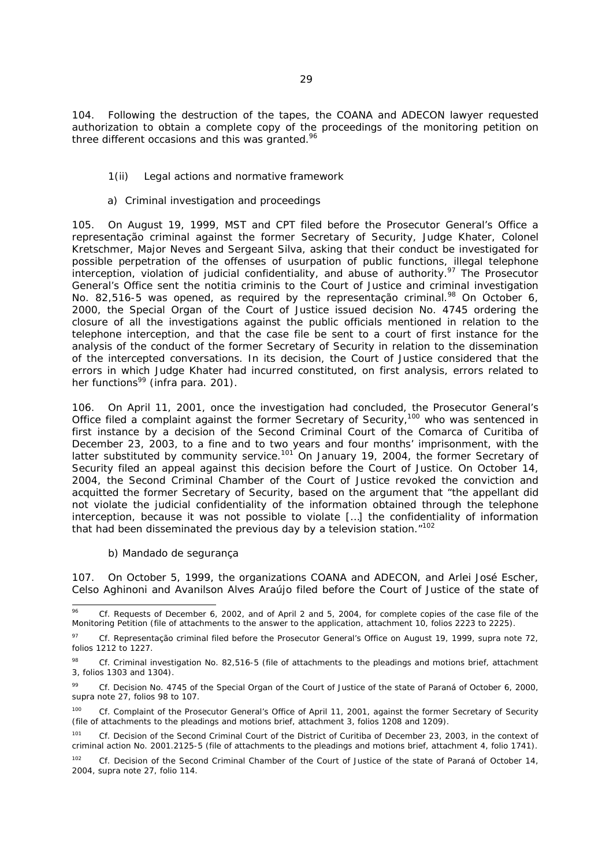104. Following the destruction of the tapes, the COANA and ADECON lawyer requested authorization to obtain a complete copy of the proceedings of the monitoring petition on three different occasions and this was granted.<sup>96</sup>

### *1(ii) Legal actions and normative framework*

### *a) Criminal investigation and proceedings*

105. On August 19, 1999, MST and CPT filed before the Prosecutor General's Office a *representação criminal* against the former Secretary of Security, Judge Khater, Colonel Kretschmer, Major Neves and Sergeant Silva, asking that their conduct be investigated for possible perpetration of the offenses of usurpation of public functions, illegal telephone interception, violation of judicial confidentiality, and abuse of authority.<sup>97</sup> The Prosecutor General's Office sent the *notitia criminis* to the Court of Justice and criminal investigation No. 82,516-5 was opened, as required by the *representação criminal.*<sup>98</sup> On October 6, 2000, the Special Organ of the Court of Justice issued decision No. 4745 ordering the closure of all the investigations against the public officials mentioned in relation to the telephone interception, and that the case file be sent to a court of first instance for the analysis of the conduct of the former Secretary of Security in relation to the dissemination of the intercepted conversations. In its decision, the Court of Justice considered that the errors in which Judge Khater had incurred constituted, on first analysis, errors related to her functions<sup>99</sup> (*infra* para. 201).

106. On April 11, 2001, once the investigation had concluded, the Prosecutor General's Office filed a complaint against the former Secretary of Security,100 who was sentenced in first instance by a decision of the Second Criminal Court of the Comarca of Curitiba of December 23, 2003, to a fine and to two years and four months' imprisonment, with the latter substituted by community service.<sup>101</sup> On January 19, 2004, the former Secretary of Security filed an appeal against this decision before the Court of Justice. On October 14, 2004, the Second Criminal Chamber of the Court of Justice revoked the conviction and acquitted the former Secretary of Security, based on the argument that "the appellant did not violate the judicial confidentiality of the information obtained through the telephone interception, because it was not possible to violate […] the confidentiality of information that had been disseminated the previous day by a television station."<sup>102</sup>

#### *b) Mandado de segurança*

107. On October 5, 1999, the organizations COANA and ADECON, and Arlei José Escher, Celso Aghinoni and Avanilson Alves Araújo filed before the Court of Justice of the state of

 $0<sub>A</sub>$ 96 *Cf*. Requests of December 6, 2002, and of April 2 and 5, 2004, for complete copies of the case file of the Monitoring Petition (file of attachments to the answer to the application, attachment 10, folios 2223 to 2225).

<sup>97</sup> *Cf. Representação criminal* filed before the Prosecutor General's Office on August 19, 1999, *supra* note 72, folios 1212 to 1227.

<sup>98</sup> *Cf.* Criminal investigation No. 82,516-5 (file of attachments to the pleadings and motions brief, attachment 3, folios 1303 and 1304).

<sup>99</sup> *Cf.* Decision No. 4745 of the Special Organ of the Court of Justice of the state of Paraná of October 6, 2000, *supra* note 27, folios 98 to 107.

<sup>&</sup>lt;sup>100</sup> *Cf.* Complaint of the Prosecutor General's Office of April 11, 2001, against the former Secretary of Security (file of attachments to the pleadings and motions brief, attachment 3, folios 1208 and 1209).

Cf. Decision of the Second Criminal Court of the District of Curitiba of December 23, 2003, in the context of criminal action No. 2001.2125-5 (file of attachments to the pleadings and motions brief, attachment 4, folio 1741).

<sup>&</sup>lt;sup>102</sup> *Cf.* Decision of the Second Criminal Chamber of the Court of Justice of the state of Paraná of October 14, 2004, *supra* note 27, folio 114.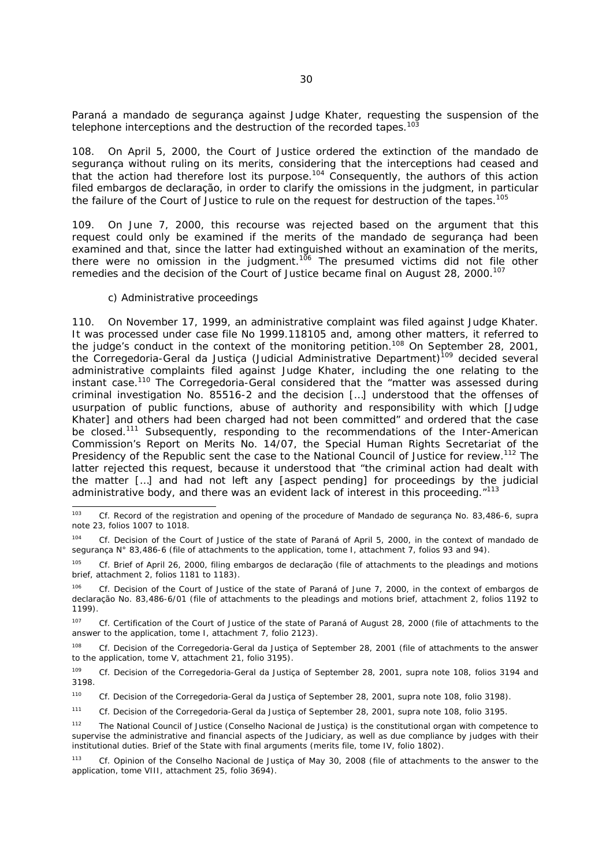Paraná a *mandado de segurança* against Judge Khater, requesting the suspension of the telephone interceptions and the destruction of the recorded tapes.<sup>103</sup>

108. On April 5, 2000, the Court of Justice ordered the extinction of the *mandado de segurança* without ruling on its merits, considering that the interceptions had ceased and that the action had therefore lost its purpose.104 Consequently, the authors of this action filed *embargos de declaração*, in order to clarify the omissions in the judgment, in particular the failure of the Court of Justice to rule on the request for destruction of the tapes.<sup>105</sup>

109. On June 7, 2000, this recourse was rejected based on the argument that this request could only be examined if the merits of the *mandado de segurança* had been examined and that, since the latter had extinguished without an examination of the merits, there were no omission in the judgment.<sup>106</sup> The presumed victims did not file other remedies and the decision of the Court of Justice became final on August 28, 2000.<sup>107</sup>

#### *c) Administrative proceedings*

110. On November 17, 1999, an administrative complaint was filed against Judge Khater. It was processed under case file No 1999.118105 and, among other matters, it referred to the judge's conduct in the context of the monitoring petition.<sup>108</sup> On September 28, 2001, the *Corregedoria-Geral da Justiça (Judicial Administrative Department*)<sup>109</sup> decided several administrative complaints filed against Judge Khater, including the one relating to the instant case.110 The *Corregedoria-Geral* considered that the "matter was assessed during criminal investigation No. 85516-2 and the decision […] understood that the offenses of usurpation of public functions, abuse of authority and responsibility with which [Judge Khater] and others had been charged had not been committed" and ordered that the case be closed.<sup>111</sup> Subsequently, responding to the recommendations of the Inter-American Commission's Report on Merits No. 14/07, the Special Human Rights Secretariat of the Presidency of the Republic sent the case to the National Council of Justice for review.<sup>112</sup> The latter rejected this request, because it understood that "the criminal action had dealt with the matter […] and had not left any [aspect pending] for proceedings by the judicial administrative body, and there was an evident lack of interest in this proceeding."113

 $103$ 103 *Cf.* Record of the registration and opening of the procedure of *Mandado de segurança* No. 83,486-6, *supra* note 23, folios 1007 to 1018.

<sup>104</sup> *Cf.* Decision of the Court of Justice of the state of Paraná of April 5, 2000, in the context of *mandado de segurança* N° 83,486-6 (file of attachments to the application, tome I, attachment 7, folios 93 and 94).

<sup>105</sup> *Cf.* Brief of April 26, 2000, filing *embargos de declaração* (file of attachments to the pleadings and motions brief, attachment 2, folios 1181 to 1183).

<sup>106</sup> *Cf.* Decision of the Court of Justice of the state of Paraná of June 7, 2000, in the context of *embargos de declaração* No. 83,486-6/01 (file of attachments to the pleadings and motions brief, attachment 2, folios 1192 to 1199).

<sup>&</sup>lt;sup>107</sup> *Cf.* Certification of the Court of Justice of the state of Paraná of August 28, 2000 (file of attachments to the answer to the application, tome I, attachment 7, folio 2123).

<sup>108</sup> *Cf.* Decision of the *Corregedoria-Geral da Justiça* of September 28, 2001 (file of attachments to the answer to the application, tome V, attachment 21, folio 3195).

<sup>109</sup> *Cf.* Decision of the *Corregedoria-Geral da Justiça* of September 28, 2001, *supra* note 108, folios 3194 and 3198.

<sup>110</sup> *Cf.* Decision of the *Corregedoria-Geral da Justiça* of September 28, 2001, *supra* note 108, folio 3198).

<sup>111</sup> *Cf.* Decision of the *Corregedoria-Geral da Justiça* of September 28, 2001, *supra* note 108, folio 3195.

<sup>112</sup> The National Council of Justice (*Conselho Nacional de Justiça)* is the constitutional organ with competence to supervise the administrative and financial aspects of the Judiciary, as well as due compliance by judges with their institutional duties. Brief of the State with final arguments (merits file, tome IV, folio 1802).

<sup>113</sup> Cf. Opinion of the *Conselho Nacional de Justiça* of May 30, 2008 (file of attachments to the answer to the application, tome VIII, attachment 25, folio 3694).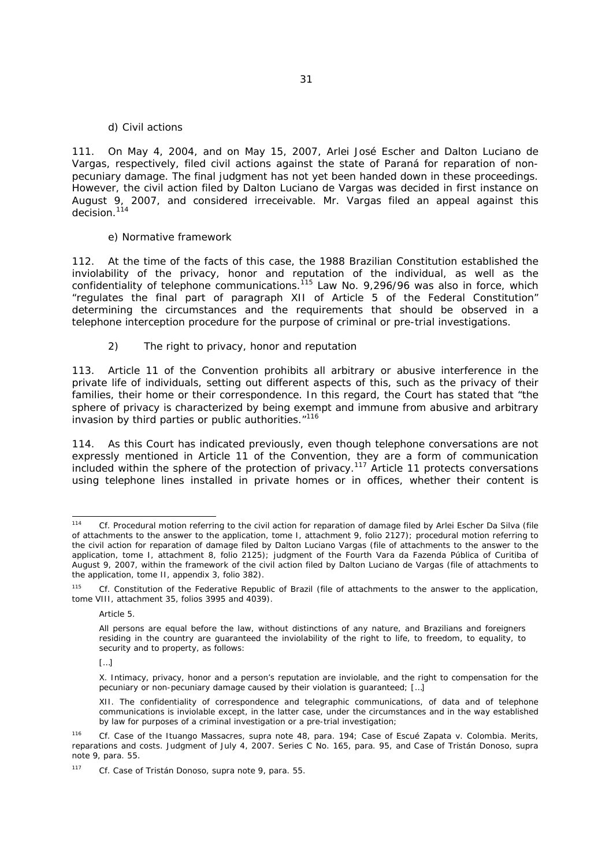#### *d) Civil actions*

111. On May 4, 2004, and on May 15, 2007, Arlei José Escher and Dalton Luciano de Vargas, respectively, filed civil actions against the state of Paraná for reparation of nonpecuniary damage. The final judgment has not yet been handed down in these proceedings. However, the civil action filed by Dalton Luciano de Vargas was decided in first instance on August 9, 2007, and considered irreceivable. Mr. Vargas filed an appeal against this decision.<sup>114</sup>

#### *e) Normative framework*

112. At the time of the facts of this case, the 1988 Brazilian Constitution established the inviolability of the privacy, honor and reputation of the individual, as well as the confidentiality of telephone communications.<sup>115</sup> Law No. 9,296/96 was also in force, which "regulates the final part of paragraph XII of Article 5 of the Federal Constitution" determining the circumstances and the requirements that should be observed in a telephone interception procedure for the purpose of criminal or pre-trial investigations.

#### *2) The right to privacy, honor and reputation*

113. Article 11 of the Convention prohibits all arbitrary or abusive interference in the private life of individuals, setting out different aspects of this, such as the privacy of their families, their home or their correspondence. In this regard, the Court has stated that "the sphere of privacy is characterized by being exempt and immune from abusive and arbitrary invasion by third parties or public authorities."<sup>116</sup>

114. As this Court has indicated previously, even though telephone conversations are not expressly mentioned in Article 11 of the Convention, they are a form of communication included within the sphere of the protection of privacy.117 Article 11 protects conversations using telephone lines installed in private homes or in offices, whether their content is

 $[$   $]$ 

 $114$ Cf. Procedural motion referring to the civil action for reparation of damage filed by Arlei Escher Da Silva (file of attachments to the answer to the application, tome I, attachment 9, folio 2127); procedural motion referring to the civil action for reparation of damage filed by Dalton Luciano Vargas (file of attachments to the answer to the application, tome I, attachment 8, folio 2125); judgment of the Fourth *Vara da Fazenda Pública* of Curitiba of August 9, 2007, within the framework of the civil action filed by Dalton Luciano de Vargas (file of attachments to the application, tome II, appendix 3, folio 382).

Cf. Constitution of the Federative Republic of Brazil (file of attachments to the answer to the application, tome VIII, attachment 35, folios 3995 and 4039).

Article 5.

All persons are equal before the law, without distinctions of any nature, and Brazilians and foreigners residing in the country are guaranteed the inviolability of the right to life, to freedom, to equality, to security and to property, as follows:

X. Intimacy, privacy, honor and a person's reputation are inviolable, and the right to compensation for the pecuniary or non-pecuniary damage caused by their violation is guaranteed; […]

XII. The confidentiality of correspondence and telegraphic communications, of data and of telephone communications is inviolable except, in the latter case, under the circumstances and in the way established by law for purposes of a criminal investigation or a pre-trial investigation;

<sup>116</sup> *Cf. Case of the Ituango Massacres, supra* note 48, para. 194; Case of *Escué Zapata v. Colombia. Merits, reparations and costs*. Judgment of July 4, 2007. Series C No. 165, para. 95, and *Case of Tristán Donoso, supra* note 9, para. 55.

<sup>117</sup> *Cf. Case of Tristán Donoso, supra* note 9, para. 55.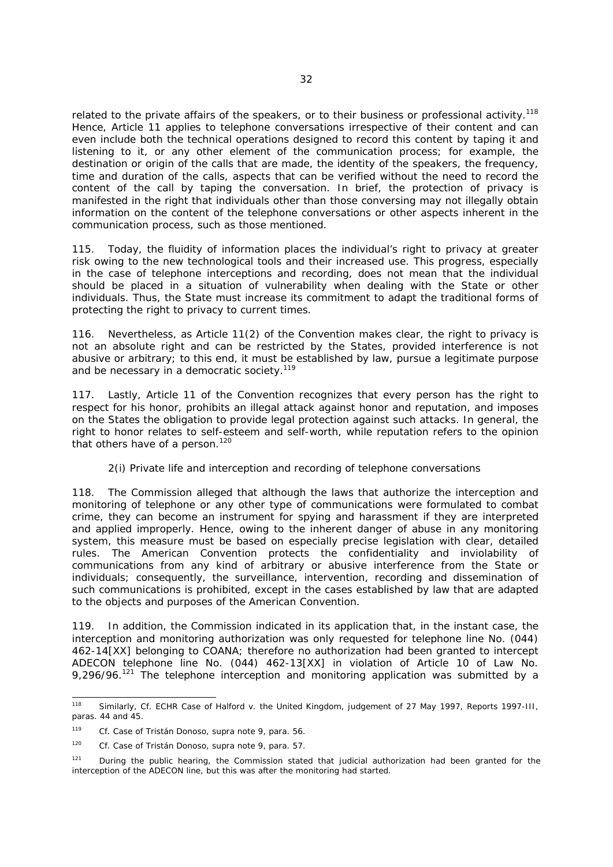related to the private affairs of the speakers, or to their business or professional activity.<sup>118</sup> Hence, Article 11 applies to telephone conversations irrespective of their content and can even include both the technical operations designed to record this content by taping it and listening to it, or any other element of the communication process; for example, the destination or origin of the calls that are made, the identity of the speakers, the frequency, time and duration of the calls, aspects that can be verified without the need to record the content of the call by taping the conversation. In brief, the protection of privacy is manifested in the right that individuals other than those conversing may not illegally obtain information on the content of the telephone conversations or other aspects inherent in the communication process, such as those mentioned.

115. Today, the fluidity of information places the individual's right to privacy at greater risk owing to the new technological tools and their increased use. This progress, especially in the case of telephone interceptions and recording, does not mean that the individual should be placed in a situation of vulnerability when dealing with the State or other individuals. Thus, the State must increase its commitment to adapt the traditional forms of protecting the right to privacy to current times.

116. Nevertheless, as Article 11(2) of the Convention makes clear, the right to privacy is not an absolute right and can be restricted by the States, provided interference is not abusive or arbitrary; to this end, it must be established by law, pursue a legitimate purpose and be necessary in a democratic society.<sup>119</sup>

117. Lastly, Article 11 of the Convention recognizes that every person has the right to respect for his honor, prohibits an illegal attack against honor and reputation, and imposes on the States the obligation to provide legal protection against such attacks. In general, the right to honor relates to self-esteem and self-worth, while reputation refers to the opinion that others have of a person.<sup>120</sup>

#### *2(i) Private life and interception and recording of telephone conversations*

118. The Commission alleged that although the laws that authorize the interception and monitoring of telephone or any other type of communications were formulated to combat crime, they can become an instrument for spying and harassment if they are interpreted and applied improperly. Hence, owing to the inherent danger of abuse in any monitoring system, this measure must be based on especially precise legislation with clear, detailed rules. The American Convention protects the confidentiality and inviolability of communications from any kind of arbitrary or abusive interference from the State or individuals; consequently, the surveillance, intervention, recording and dissemination of such communications is prohibited, except in the cases established by law that are adapted to the objects and purposes of the American Convention.

119. In addition, the Commission indicated in its application that, in the instant case, the interception and monitoring authorization was only requested for telephone line No. (044) 462-14[XX] belonging to COANA; therefore no authorization had been granted to intercept ADECON telephone line No. (044) 462-13[XX] in violation of Article 10 of Law No. 9,296/96.<sup>121</sup> The telephone interception and monitoring application was submitted by a

<sup>118</sup> 118 Similarly, *Cf.* ECHR *Case of Halford v. the United Kingdom*, judgement of 27 May 1997, Reports 1997-III, paras. 44 and 45.

<sup>119</sup> *Cf. Case of Tristán Donoso, supra* note 9, para. 56.

<sup>120</sup> *Cf. Case of Tristán Donoso, supra* note 9, para. 57.

<sup>&</sup>lt;sup>121</sup> During the public hearing, the Commission stated that judicial authorization had been granted for the interception of the ADECON line, but this was after the monitoring had started.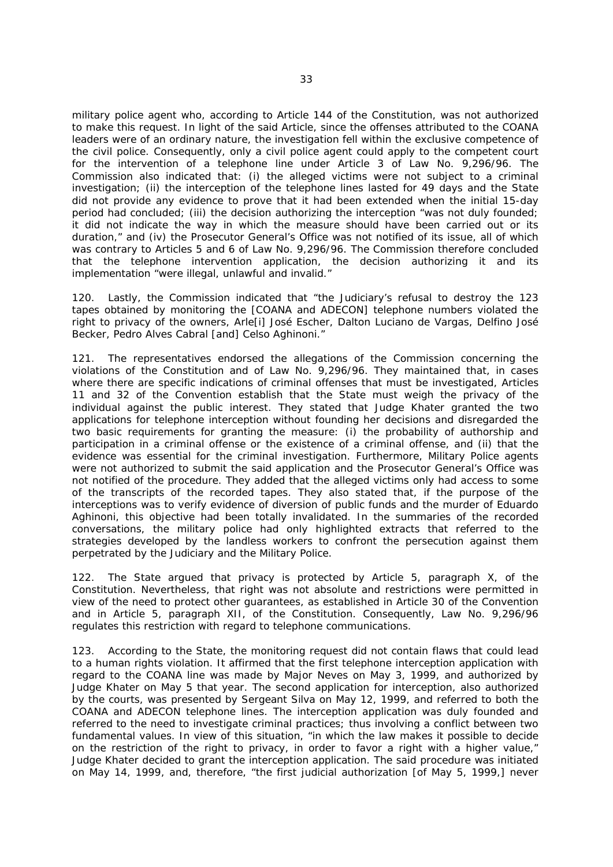military police agent who, according to Article 144 of the Constitution, was not authorized to make this request. In light of the said Article, since the offenses attributed to the COANA leaders were of an ordinary nature, the investigation fell within the exclusive competence of the civil police. Consequently, only a civil police agent could apply to the competent court for the intervention of a telephone line under Article 3 of Law No. 9,296/96. The Commission also indicated that: (i) the alleged victims were not subject to a criminal investigation; (ii) the interception of the telephone lines lasted for 49 days and the State did not provide any evidence to prove that it had been extended when the initial 15-day period had concluded; (iii) the decision authorizing the interception "was not duly founded; it did not indicate the way in which the measure should have been carried out or its duration," and (iv) the Prosecutor General's Office was not notified of its issue, all of which was contrary to Articles 5 and 6 of Law No. 9,296/96. The Commission therefore concluded that the telephone intervention application, the decision authorizing it and its implementation "were illegal, unlawful and invalid."

120. Lastly, the Commission indicated that "the Judiciary's refusal to destroy the 123 tapes obtained by monitoring the [COANA and ADECON] telephone numbers violated the right to privacy of the owners, Arle[i] José Escher, Dalton Luciano de Vargas, Delfino José Becker, Pedro Alves Cabral [and] Celso Aghinoni."

121. The representatives endorsed the allegations of the Commission concerning the violations of the Constitution and of Law No. 9,296/96. They maintained that, in cases where there are specific indications of criminal offenses that must be investigated, Articles 11 and 32 of the Convention establish that the State must weigh the privacy of the individual against the public interest. They stated that Judge Khater granted the two applications for telephone interception without founding her decisions and disregarded the two basic requirements for granting the measure: (i) the probability of authorship and participation in a criminal offense or the existence of a criminal offense, and (ii) that the evidence was essential for the criminal investigation. Furthermore, Military Police agents were not authorized to submit the said application and the Prosecutor General's Office was not notified of the procedure. They added that the alleged victims only had access to some of the transcripts of the recorded tapes. They also stated that, if the purpose of the interceptions was to verify evidence of diversion of public funds and the murder of Eduardo Aghinoni, this objective had been totally invalidated. In the summaries of the recorded conversations, the military police had only highlighted extracts that referred to the strategies developed by the landless workers to confront the persecution against them perpetrated by the Judiciary and the Military Police.

122. The State argued that privacy is protected by Article 5, paragraph X, of the Constitution. Nevertheless, that right was not absolute and restrictions were permitted in view of the need to protect other guarantees, as established in Article 30 of the Convention and in Article 5, paragraph XII, of the Constitution. Consequently, Law No. 9,296/96 regulates this restriction with regard to telephone communications.

123. According to the State, the monitoring request did not contain flaws that could lead to a human rights violation. It affirmed that the first telephone interception application with regard to the COANA line was made by Major Neves on May 3, 1999, and authorized by Judge Khater on May 5 that year. The second application for interception, also authorized by the courts, was presented by Sergeant Silva on May 12, 1999, and referred to both the COANA and ADECON telephone lines. The interception application was duly founded and referred to the need to investigate criminal practices; thus involving a conflict between two fundamental values. In view of this situation, "in which the law makes it possible to decide on the restriction of the right to privacy, in order to favor a right with a higher value," Judge Khater decided to grant the interception application. The said procedure was initiated on May 14, 1999, and, therefore, "the first judicial authorization [of May 5, 1999,] never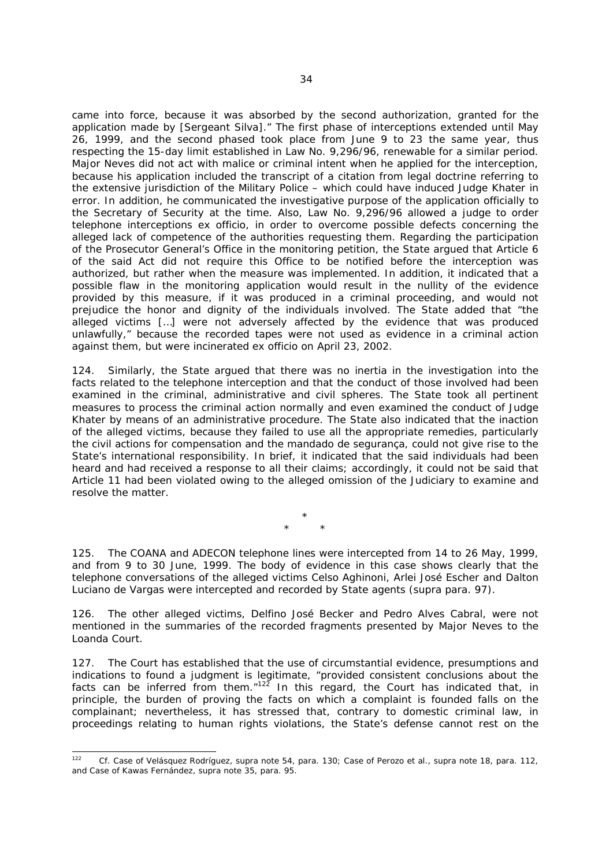came into force, because it was absorbed by the second authorization, granted for the application made by [Sergeant Silva]." The first phase of interceptions extended until May 26, 1999, and the second phased took place from June 9 to 23 the same year, thus respecting the 15-day limit established in Law No. 9,296/96, renewable for a similar period. Major Neves did not act with malice or criminal intent when he applied for the interception, because his application included the transcript of a citation from legal doctrine referring to the extensive jurisdiction of the Military Police – which could have induced Judge Khater in error. In addition, he communicated the investigative purpose of the application officially to the Secretary of Security at the time. Also, Law No. 9,296/96 allowed a judge to order telephone interceptions *ex officio*, in order to overcome possible defects concerning the alleged lack of competence of the authorities requesting them. Regarding the participation of the Prosecutor General's Office in the monitoring petition, the State argued that Article 6 of the said Act did not require this Office to be notified before the interception was authorized, but rather when the measure was implemented. In addition, it indicated that a possible flaw in the monitoring application would result in the nullity of the evidence provided by this measure, if it was produced in a criminal proceeding, and would not prejudice the honor and dignity of the individuals involved. The State added that "the alleged victims […] were not adversely affected by the evidence that was produced unlawfully," because the recorded tapes were not used as evidence in a criminal action against them, but were incinerated *ex officio* on April 23, 2002.

124. Similarly, the State argued that there was no inertia in the investigation into the facts related to the telephone interception and that the conduct of those involved had been examined in the criminal, administrative and civil spheres. The State took all pertinent measures to process the criminal action normally and even examined the conduct of Judge Khater by means of an administrative procedure. The State also indicated that the inaction of the alleged victims, because they failed to use all the appropriate remedies, particularly the civil actions for compensation and the *mandado de segurança*, could not give rise to the State's international responsibility. In brief, it indicated that the said individuals had been heard and had received a response to all their claims; accordingly, it could not be said that Article 11 had been violated owing to the alleged omission of the Judiciary to examine and resolve the matter.

> \* \* \*

125. The COANA and ADECON telephone lines were intercepted from 14 to 26 May, 1999, and from 9 to 30 June, 1999. The body of evidence in this case shows clearly that the telephone conversations of the alleged victims Celso Aghinoni, Arlei José Escher and Dalton Luciano de Vargas were intercepted and recorded by State agents (*supra* para. 97).

126. The other alleged victims, Delfino José Becker and Pedro Alves Cabral, were not mentioned in the summaries of the recorded fragments presented by Major Neves to the Loanda Court.

127. The Court has established that the use of circumstantial evidence, presumptions and indications to found a judgment is legitimate, "provided consistent conclusions about the facts can be inferred from them. $n^{122}$  In this regard, the Court has indicated that, in principle, the burden of proving the facts on which a complaint is founded falls on the complainant; nevertheless, it has stressed that, contrary to domestic criminal law, in proceedings relating to human rights violations, the State's defense cannot rest on the

<sup>122</sup> 122 *Cf. Case of Velásquez Rodríguez, supra* note 54, para. 130; *Case of Perozo et al.*, *supra* note 18, para. 112, and *Case of Kawas Fernández, supra* note 35, para. 95.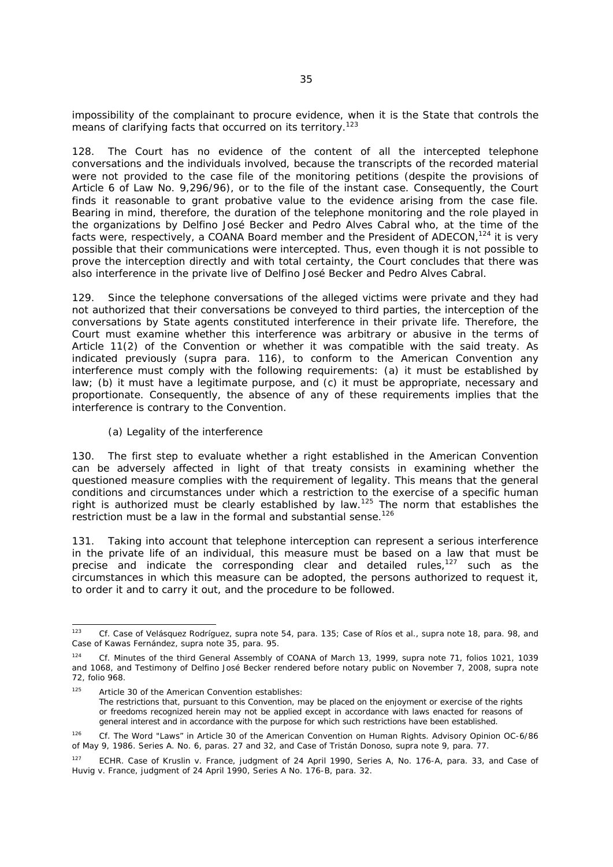impossibility of the complainant to procure evidence, when it is the State that controls the means of clarifying facts that occurred on its territory.<sup>123</sup>

128. The Court has no evidence of the content of all the intercepted telephone conversations and the individuals involved, because the transcripts of the recorded material were not provided to the case file of the monitoring petitions (despite the provisions of Article 6 of Law No. 9,296/96), or to the file of the instant case. Consequently, the Court finds it reasonable to grant probative value to the evidence arising from the case file. Bearing in mind, therefore, the duration of the telephone monitoring and the role played in the organizations by Delfino José Becker and Pedro Alves Cabral who, at the time of the facts were, respectively, a COANA Board member and the President of ADECON,<sup>124</sup> it is very possible that their communications were intercepted. Thus, even though it is not possible to prove the interception directly and with total certainty, the Court concludes that there was also interference in the private live of Delfino José Becker and Pedro Alves Cabral.

129. Since the telephone conversations of the alleged victims were private and they had not authorized that their conversations be conveyed to third parties, the interception of the conversations by State agents constituted interference in their private life. Therefore, the Court must examine whether this interference was arbitrary or abusive in the terms of Article 11(2) of the Convention or whether it was compatible with the said treaty. As indicated previously (*supra* para. 116), to conform to the American Convention any interference must comply with the following requirements: (a) it must be established by law; (b) it must have a legitimate purpose, and (c) it must be appropriate, necessary and proportionate. Consequently, the absence of any of these requirements implies that the interference is contrary to the Convention.

### *(a) Legality of the interference*

130. The first step to evaluate whether a right established in the American Convention can be adversely affected in light of that treaty consists in examining whether the questioned measure complies with the requirement of legality. This means that the general conditions and circumstances under which a restriction to the exercise of a specific human right is authorized must be clearly established by law.<sup>125</sup> The norm that establishes the restriction must be a law in the formal and substantial sense.<sup>126</sup>

131. Taking into account that telephone interception can represent a serious interference in the private life of an individual, this measure must be based on a law that must be precise and indicate the corresponding clear and detailed rules, $127$  such as the circumstances in which this measure can be adopted, the persons authorized to request it, to order it and to carry it out, and the procedure to be followed.

 $123$ 123 *Cf. Case of Velásquez Rodríguez, supra* note 54, para. 135; *Case of Ríos et al.*, *supra* note 18, para. 98, and *Case of Kawas Fernández, supra* note 35, para. 95.

<sup>124</sup> *Cf*. Minutes of the third General Assembly of COANA of March 13, 1999, *supra* note 71, folios 1021, 1039 and 1068, and Testimony of Delfino José Becker rendered before notary public on November 7, 2008, *supra* note 72, folio 968.

<sup>125</sup> Article 30 of the American Convention establishes: The restrictions that, pursuant to this Convention, may be placed on the enjoyment or exercise of the rights or freedoms recognized herein may not be applied except in accordance with laws enacted for reasons of general interest and in accordance with the purpose for which such restrictions have been established.

<sup>126</sup>*Cf. The Word "Laws" in Article 30 of the American Convention on Human Rights*. Advisory Opinion OC-6/86 of May 9, 1986. Series A. No. 6, paras. 27 and 32, and Case of *Tristán Donoso*, *supra* note 9, para. 77.

<sup>127</sup> ECHR. *Case of Kruslin v. France*, judgment of 24 April 1990, Series A, No. 176-A, para. 33, and *Case of Huvig v. France*, judgment of 24 April 1990, Series A No. 176-B, para. 32.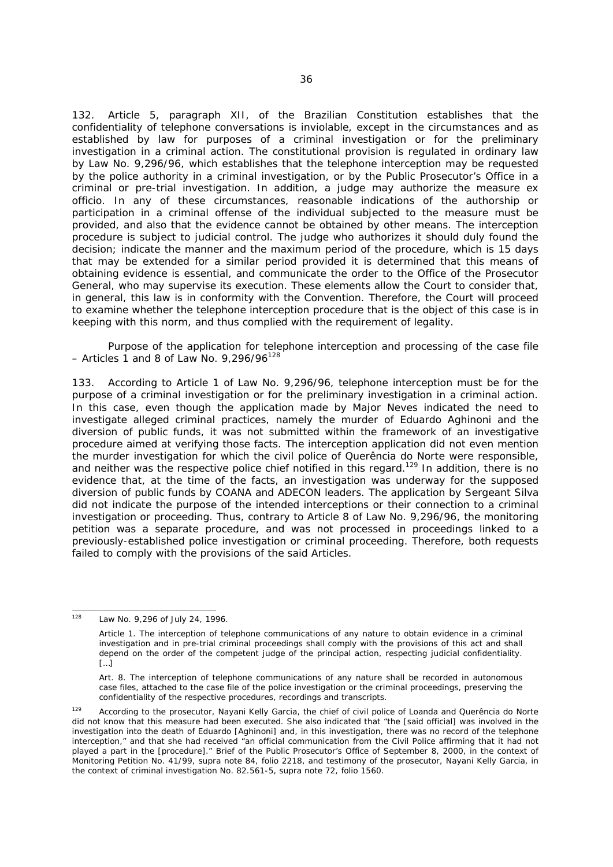132. Article 5, paragraph XII, of the Brazilian Constitution establishes that the confidentiality of telephone conversations is inviolable, except in the circumstances and as established by law for purposes of a criminal investigation or for the preliminary investigation in a criminal action. The constitutional provision is regulated in ordinary law by Law No. 9,296/96, which establishes that the telephone interception may be requested by the police authority in a criminal investigation, or by the Public Prosecutor's Office in a criminal or pre-trial investigation. In addition, a judge may authorize the measure *ex officio*. In any of these circumstances, reasonable indications of the authorship or participation in a criminal offense of the individual subjected to the measure must be provided, and also that the evidence cannot be obtained by other means. The interception procedure is subject to judicial control. The judge who authorizes it should duly found the decision; indicate the manner and the maximum period of the procedure, which is 15 days that may be extended for a similar period provided it is determined that this means of obtaining evidence is essential, and communicate the order to the Office of the Prosecutor General, who may supervise its execution. These elements allow the Court to consider that, in general, this law is in conformity with the Convention. Therefore, the Court will proceed to examine whether the telephone interception procedure that is the object of this case is in keeping with this norm, and thus complied with the requirement of legality.

## *Purpose of the application for telephone interception and processing of the case file – Articles 1 and 8 of Law No. 9,296/96128*

133. According to Article 1 of Law No. 9,296/96*,* telephone interception must be for the purpose of a criminal investigation or for the preliminary investigation in a criminal action. In this case, even though the application made by Major Neves indicated the need to investigate alleged criminal practices, namely the murder of Eduardo Aghinoni and the diversion of public funds, it was not submitted within the framework of an investigative procedure aimed at verifying those facts. The interception application did not even mention the murder investigation for which the civil police of Querência do Norte were responsible, and neither was the respective police chief notified in this regard.<sup>129</sup> In addition, there is no evidence that, at the time of the facts, an investigation was underway for the supposed diversion of public funds by COANA and ADECON leaders. The application by Sergeant Silva did not indicate the purpose of the intended interceptions or their connection to a criminal investigation or proceeding. Thus, contrary to Article 8 of Law No. 9,296/96, the monitoring petition was a separate procedure, and was not processed in proceedings linked to a previously-established police investigation or criminal proceeding. Therefore, both requests failed to comply with the provisions of the said Articles.

<sup>128</sup> Law No. 9,296 of July 24, 1996.

Article 1. The interception of telephone communications of any nature to obtain evidence in a criminal investigation and in pre-trial criminal proceedings shall comply with the provisions of this act and shall depend on the order of the competent judge of the principal action, respecting judicial confidentiality. […]

Art. 8. The interception of telephone communications of any nature shall be recorded in autonomous case files, attached to the case file of the police investigation or the criminal proceedings, preserving the confidentiality of the respective procedures, recordings and transcripts.

<sup>&</sup>lt;sup>129</sup> According to the prosecutor, Nayani Kelly Garcia, the chief of civil police of Loanda and Querência do Norte did not know that this measure had been executed. She also indicated that "the [said official] was involved in the investigation into the death of Eduardo [Aghinoni] and, in this investigation, there was no record of the telephone interception," and that she had received "an official communication from the Civil Police affirming that it had not played a part in the [procedure]." Brief of the Public Prosecutor's Office of September 8, 2000, in the context of Monitoring Petition No. 41/99, *supra* note 84, folio 2218, and testimony of the prosecutor, Nayani Kelly Garcia, in the context of criminal investigation No. 82.561-5, *supra* note 72, folio 1560.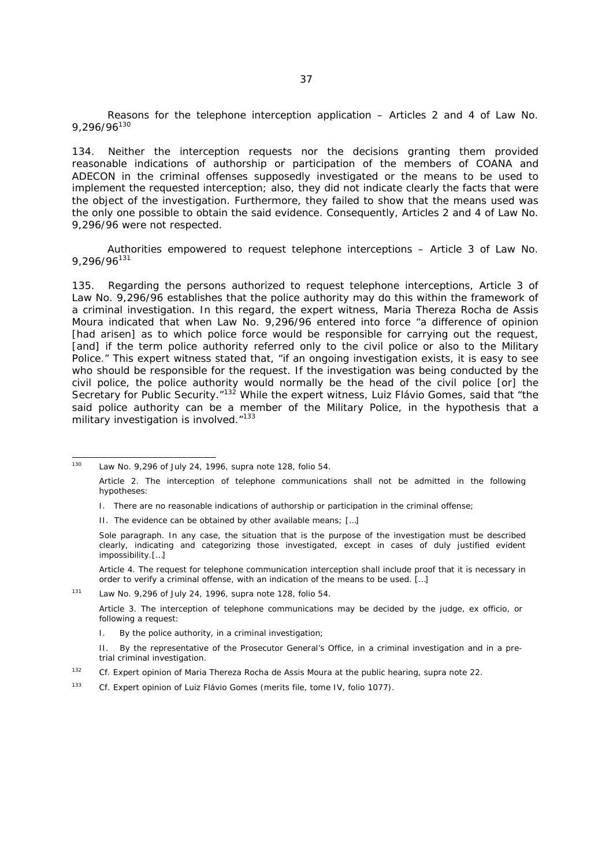*Reasons for the telephone interception application – Articles 2 and 4 of Law No. 9,296/96130*

134. Neither the interception requests nor the decisions granting them provided reasonable indications of authorship or participation of the members of COANA and ADECON in the criminal offenses supposedly investigated or the means to be used to implement the requested interception; also, they did not indicate clearly the facts that were the object of the investigation. Furthermore, they failed to show that the means used was the only one possible to obtain the said evidence. Consequently, Articles 2 and 4 of Law No. 9,296/96 were not respected.

*Authorities empowered to request telephone interceptions – Article 3 of Law No. 9,296/96131*

135. Regarding the persons authorized to request telephone interceptions, Article 3 of Law No. 9,296/96 establishes that the police authority may do this within the framework of a criminal investigation. In this regard, the expert witness, Maria Thereza Rocha de Assis Moura indicated that when Law No. 9,296/96 entered into force "a difference of opinion [had arisen] as to which police force would be responsible for carrying out the request, [and] if the term police authority referred only to the civil police or also to the Military Police." This expert witness stated that, "if an ongoing investigation exists, it is easy to see who should be responsible for the request. If the investigation was being conducted by the civil police, the police authority would normally be the head of the civil police [or] the Secretary for Public Security."<sup>132</sup> While the expert witness, Luiz Flávio Gomes, said that "the said police authority can be a member of the Military Police, in the hypothesis that a military investigation is involved."<sup>133</sup>

I. There are no reasonable indications of authorship or participation in the criminal offense;

II. The evidence can be obtained by other available means; […]

Article 4. The request for telephone communication interception shall include proof that it is necessary in order to verify a criminal offense, with an indication of the means to be used. […]

131 Law No. 9,296 of July 24, 1996, *supra* note 128, folio 54.

Article 3. The interception of telephone communications may be decided by the judge, *ex officio*, or following a request:

I. By the police authority, in a criminal investigation;

133 Cf. Expert opinion of Luiz Flávio Gomes (merits file, tome IV, folio 1077).

 $130$ 130 Law No. 9,296 of July 24, 1996, *supra* note 128, folio 54.

Article 2. The interception of telephone communications shall not be admitted in the following hypotheses:

Sole paragraph. In any case, the situation that is the purpose of the investigation must be described clearly, indicating and categorizing those investigated, except in cases of duly justified evident impossibility.[…]

II. By the representative of the Prosecutor General's Office, in a criminal investigation and in a pretrial criminal investigation.

<sup>132</sup> *Cf.* Expert opinion of Maria Thereza Rocha de Assis Moura at the public hearing, *supra* note 22.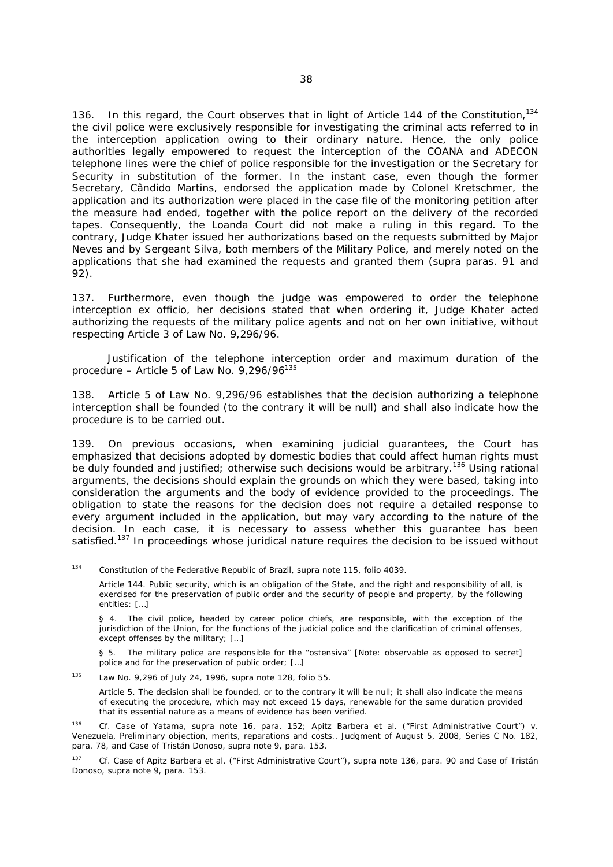136. In this regard, the Court observes that in light of Article 144 of the Constitution,  $134$ the civil police were exclusively responsible for investigating the criminal acts referred to in the interception application owing to their ordinary nature. Hence, the only police authorities legally empowered to request the interception of the COANA and ADECON telephone lines were the chief of police responsible for the investigation or the Secretary for Security in substitution of the former. In the instant case, even though the former Secretary, Cândido Martins, endorsed the application made by Colonel Kretschmer, the application and its authorization were placed in the case file of the monitoring petition after the measure had ended, together with the police report on the delivery of the recorded tapes. Consequently, the Loanda Court did not make a ruling in this regard. To the contrary, Judge Khater issued her authorizations based on the requests submitted by Major Neves and by Sergeant Silva, both members of the Military Police, and merely noted on the applications that she had examined the requests and granted them (*supra* paras. 91 and 92).

137. Furthermore, even though the judge was empowered to order the telephone interception *ex officio*, her decisions stated that when ordering it, Judge Khater acted authorizing the requests of the military police agents and not on her own initiative, without respecting Article 3 of Law No. 9,296/96.

*Justification of the telephone interception order and maximum duration of the procedure – Article 5 of Law No. 9,296/96135*

138. Article 5 of Law No. 9,296/96 establishes that the decision authorizing a telephone interception shall be founded (to the contrary it will be null) and shall also indicate how the procedure is to be carried out.

139. On previous occasions, when examining judicial guarantees, the Court has emphasized that decisions adopted by domestic bodies that could affect human rights must be duly founded and justified; otherwise such decisions would be arbitrary.<sup>136</sup> Using rational arguments, the decisions should explain the grounds on which they were based, taking into consideration the arguments and the body of evidence provided to the proceedings. The obligation to state the reasons for the decision does not require a detailed response to every argument included in the application, but may vary according to the nature of the decision. In each case, it is necessary to assess whether this guarantee has been satisfied.<sup>137</sup> In proceedings whose juridical nature requires the decision to be issued without

 $134$ 134 Constitution of the Federative Republic of Brazil, *supra* note 115, folio 4039.

Article 144. Public security, which is an obligation of the State, and the right and responsibility of all, is exercised for the preservation of public order and the security of people and property, by the following entities: […]

<sup>§ 4.</sup> The civil police, headed by career police chiefs, are responsible, with the exception of the jurisdiction of the Union, for the functions of the judicial police and the clarification of criminal offenses, except offenses by the military; [...]

<sup>§ 5.</sup> The military police are responsible for the "*ostensiva*" [Note: observable as opposed to secret] police and for the preservation of public order; […]

<sup>135</sup> Law No. 9,296 of July 24, 1996, *supra* note 128, folio 55.

Article 5. The decision shall be founded, or to the contrary it will be null; it shall also indicate the means of executing the procedure, which may not exceed 15 days, renewable for the same duration provided that its essential nature as a means of evidence has been verified.

<sup>136</sup> *Cf. Case of Yatama, supra* note 16, para. 152; *Apitz Barbera et al. ("First Administrative Court") v. Venezuela, Preliminary objection, merits, reparations and costs..* Judgment of August 5, 2008, Series C No. 182, para. 78, and *Case of Tristán Donoso, supra* note 9, para. 153.

<sup>137</sup> *Cf. Case of Apitz Barbera et al. ("First Administrative Court"), supra* note 136, para. 90 and *Case of Tristán Donoso*, *supra* note 9, para. 153.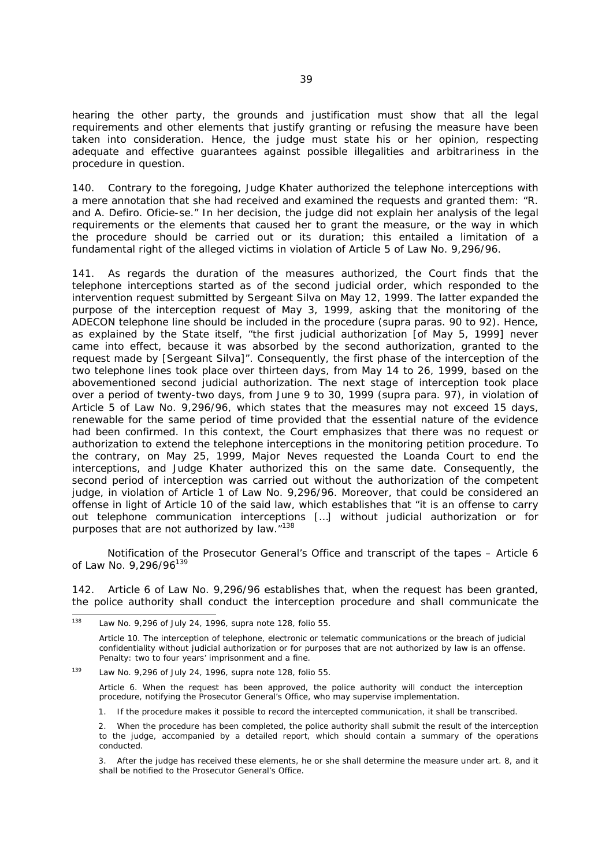hearing the other party, the grounds and justification must show that all the legal requirements and other elements that justify granting or refusing the measure have been taken into consideration. Hence, the judge must state his or her opinion, respecting adequate and effective guarantees against possible illegalities and arbitrariness in the procedure in question.

140. Contrary to the foregoing, Judge Khater authorized the telephone interceptions with a mere annotation that she had received and examined the requests and granted them: "*R. and A. Defiro. Oficie-se.*" In her decision, the judge did not explain her analysis of the legal requirements or the elements that caused her to grant the measure, or the way in which the procedure should be carried out or its duration; this entailed a limitation of a fundamental right of the alleged victims in violation of Article 5 of Law No. 9,296/96.

141. As regards the duration of the measures authorized, the Court finds that the telephone interceptions started as of the second judicial order, which responded to the intervention request submitted by Sergeant Silva on May 12, 1999. The latter expanded the purpose of the interception request of May 3, 1999, asking that the monitoring of the ADECON telephone line should be included in the procedure (*supra* paras. 90 to 92). Hence, as explained by the State itself, "the first judicial authorization [of May 5, 1999] never came into effect, because it was absorbed by the second authorization, granted to the request made by [Sergeant Silva]". Consequently, the first phase of the interception of the two telephone lines took place over thirteen days, from May 14 to 26, 1999, based on the abovementioned second judicial authorization. The next stage of interception took place over a period of twenty-two days, from June 9 to 30, 1999 (*supra* para. 97), in violation of Article 5 of Law No. 9,296/96, which states that the measures may not exceed 15 days, renewable for the same period of time provided that the essential nature of the evidence had been confirmed. In this context, the Court emphasizes that there was no request or authorization to extend the telephone interceptions in the monitoring petition procedure. To the contrary, on May 25, 1999, Major Neves requested the Loanda Court to end the interceptions, and Judge Khater authorized this on the same date. Consequently, the second period of interception was carried out without the authorization of the competent judge, in violation of Article 1 of Law No. 9,296/96. Moreover, that could be considered an offense in light of Article 10 of the said law, which establishes that "it is an offense to carry out telephone communication interceptions […] without judicial authorization or for purposes that are not authorized by law.<sup>"138</sup>

*Notification of the Prosecutor General's Office and transcript of the tapes – Article 6 of Law No. 9,296/96139*

142. Article 6 of Law No. 9,296/96 establishes that, when the request has been granted, the police authority shall conduct the interception procedure and shall communicate the

Article 10. The interception of telephone, electronic or telematic communications or the breach of judicial confidentiality without judicial authorization or for purposes that are not authorized by law is an offense. Penalty: two to four years' imprisonment and a fine.

<sup>138</sup> 138 Law No. 9,296 of July 24, 1996, *supra* note 128, folio 55.

<sup>139</sup> Law No. 9,296 of July 24, 1996, *supra* note 128, folio 55.

Article 6. When the request has been approved, the police authority will conduct the interception procedure, notifying the Prosecutor General's Office, who may supervise implementation.

<sup>1.</sup> If the procedure makes it possible to record the intercepted communication, it shall be transcribed.

<sup>2.</sup> When the procedure has been completed, the police authority shall submit the result of the interception to the judge, accompanied by a detailed report, which should contain a summary of the operations conducted.

<sup>3.</sup> After the judge has received these elements, he or she shall determine the measure under art. 8, and it shall be notified to the Prosecutor General's Office.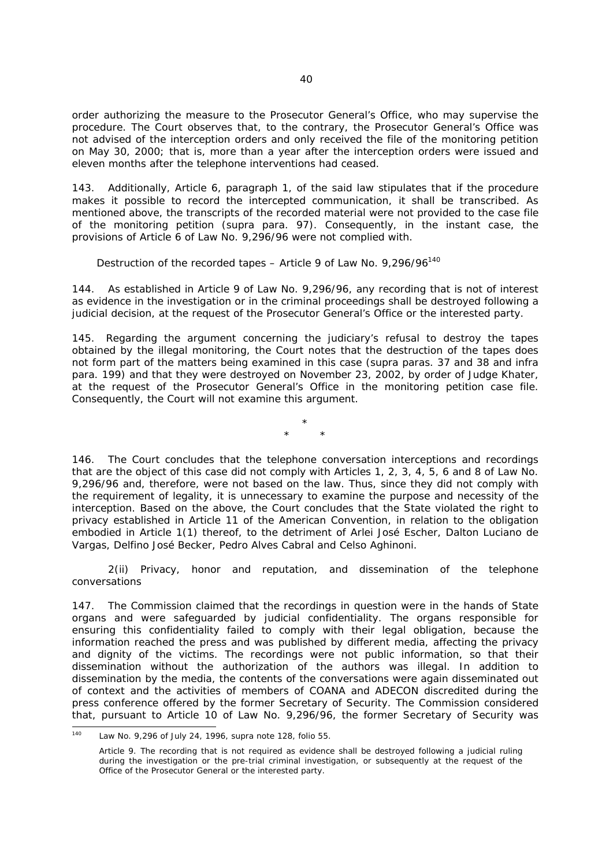order authorizing the measure to the Prosecutor General's Office, who may supervise the procedure. The Court observes that, to the contrary, the Prosecutor General's Office was not advised of the interception orders and only received the file of the monitoring petition on May 30, 2000; that is, more than a year after the interception orders were issued and eleven months after the telephone interventions had ceased.

143. Additionally, Article 6, paragraph 1, of the said law stipulates that if the procedure makes it possible to record the intercepted communication, it shall be transcribed. As mentioned above, the transcripts of the recorded material were not provided to the case file of the monitoring petition (*supra* para. 97). Consequently, in the instant case, the provisions of Article 6 of Law No. 9,296/96 were not complied with.

#### *Destruction of the recorded tapes – Article 9 of Law No. 9,296/96140*

144. As established in Article 9 of Law No. 9,296/96, any recording that is not of interest as evidence in the investigation or in the criminal proceedings shall be destroyed following a judicial decision, at the request of the Prosecutor General's Office or the interested party.

145. Regarding the argument concerning the judiciary's refusal to destroy the tapes obtained by the illegal monitoring, the Court notes that the destruction of the tapes does not form part of the matters being examined in this case (*supra* paras. 37 and 38 and *infra* para. 199) and that they were destroyed on November 23, 2002, by order of Judge Khater, at the request of the Prosecutor General's Office in the monitoring petition case file. Consequently, the Court will not examine this argument.

> \* \* \*

146. The Court concludes that the telephone conversation interceptions and recordings that are the object of this case did not comply with Articles 1, 2, 3, 4, 5, 6 and 8 of Law No. 9,296/96 and, therefore, were not based on the law. Thus, since they did not comply with the requirement of legality, it is unnecessary to examine the purpose and necessity of the interception. Based on the above, the Court concludes that the State violated the right to privacy established in Article 11 of the American Convention, in relation to the obligation embodied in Article 1(1) thereof, to the detriment of Arlei José Escher, Dalton Luciano de Vargas, Delfino José Becker, Pedro Alves Cabral and Celso Aghinoni.

*2(ii) Privacy, honor and reputation, and dissemination of the telephone conversations* 

147. The Commission claimed that the recordings in question were in the hands of State organs and were safeguarded by judicial confidentiality. The organs responsible for ensuring this confidentiality failed to comply with their legal obligation, because the information reached the press and was published by different media, affecting the privacy and dignity of the victims. The recordings were not public information, so that their dissemination without the authorization of the authors was illegal. In addition to dissemination by the media, the contents of the conversations were again disseminated out of context and the activities of members of COANA and ADECON discredited during the press conference offered by the former Secretary of Security. The Commission considered that, pursuant to Article 10 of Law No. 9,296/96, the former Secretary of Security was

 $140$ 140 Law No. 9,296 of July 24, 1996, *supra* note 128, folio 55.

Article 9. The recording that is not required as evidence shall be destroyed following a judicial ruling during the investigation or the pre-trial criminal investigation, or subsequently at the request of the Office of the Prosecutor General or the interested party.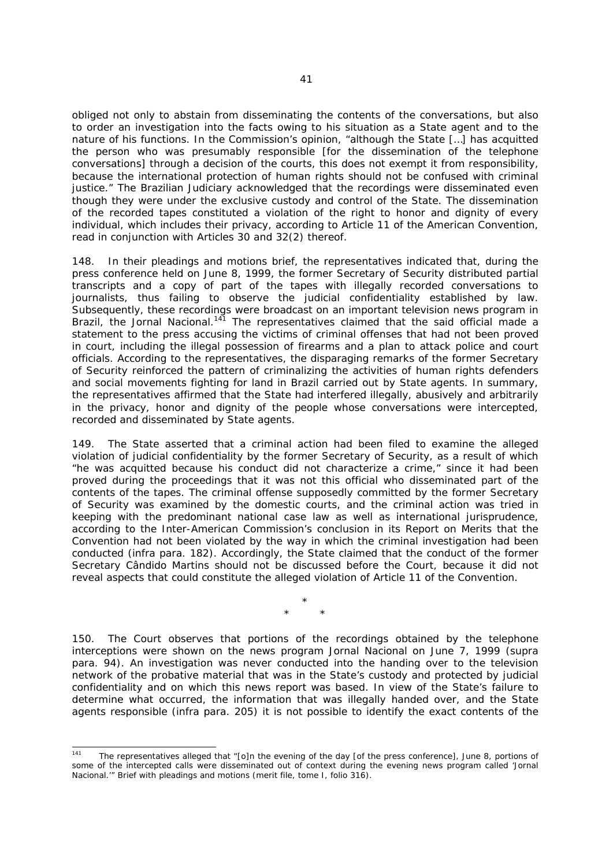obliged not only to abstain from disseminating the contents of the conversations, but also to order an investigation into the facts owing to his situation as a State agent and to the nature of his functions. In the Commission's opinion, "although the State […] has acquitted the person who was presumably responsible [for the dissemination of the telephone conversations] through a decision of the courts, this does not exempt it from responsibility, because the international protection of human rights should not be confused with criminal justice." The Brazilian Judiciary acknowledged that the recordings were disseminated even though they were under the exclusive custody and control of the State. The dissemination of the recorded tapes constituted a violation of the right to honor and dignity of every individual, which includes their privacy, according to Article 11 of the American Convention, read in conjunction with Articles 30 and 32(2) thereof.

148. In their pleadings and motions brief, the representatives indicated that, during the press conference held on June 8, 1999, the former Secretary of Security distributed partial transcripts and a copy of part of the tapes with illegally recorded conversations to journalists, thus failing to observe the judicial confidentiality established by law. Subsequently, these recordings were broadcast on an important television news program in Brazil, the *Jornal Nacional.*<sup>141</sup> The representatives claimed that the said official made a statement to the press accusing the victims of criminal offenses that had not been proved in court, including the illegal possession of firearms and a plan to attack police and court officials. According to the representatives, the disparaging remarks of the former Secretary of Security reinforced the pattern of criminalizing the activities of human rights defenders and social movements fighting for land in Brazil carried out by State agents. In summary, the representatives affirmed that the State had interfered illegally, abusively and arbitrarily in the privacy, honor and dignity of the people whose conversations were intercepted, recorded and disseminated by State agents.

149. The State asserted that a criminal action had been filed to examine the alleged violation of judicial confidentiality by the former Secretary of Security, as a result of which "he was acquitted because his conduct did not characterize a crime," since it had been proved during the proceedings that it was not this official who disseminated part of the contents of the tapes. The criminal offense supposedly committed by the former Secretary of Security was examined by the domestic courts, and the criminal action was tried in keeping with the predominant national case law as well as international jurisprudence, according to the Inter-American Commission's conclusion in its Report on Merits that the Convention had not been violated by the way in which the criminal investigation had been conducted (*infra* para. 182). Accordingly, the State claimed that the conduct of the former Secretary Cândido Martins should not be discussed before the Court, because it did not reveal aspects that could constitute the alleged violation of Article 11 of the Convention.

> \* \* \*

150. The Court observes that portions of the recordings obtained by the telephone interceptions were shown on the news program *Jornal Nacional* on June 7, 1999 (*supra* para. 94). An investigation was never conducted into the handing over to the television network of the probative material that was in the State's custody and protected by judicial confidentiality and on which this news report was based. In view of the State's failure to determine what occurred, the information that was illegally handed over, and the State agents responsible (*infra* para. 205) it is not possible to identify the exact contents of the

 $141$ The representatives alleged that "[o]n the evening of the day [of the press conference], June 8, portions of some of the intercepted calls were disseminated out of context during the evening news program called '*Jornal Nacional.'"* Brief with pleadings and motions (merit file, tome I, folio 316).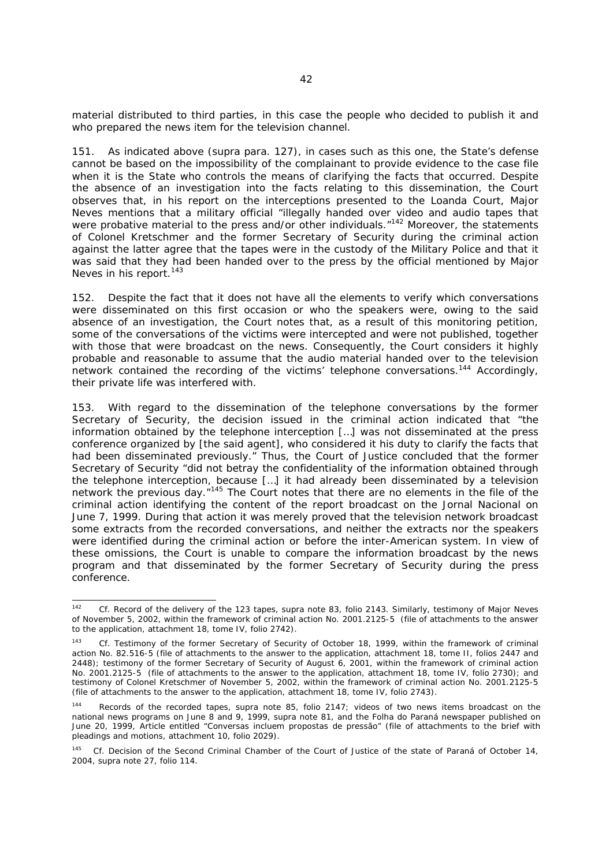material distributed to third parties, in this case the people who decided to publish it and who prepared the news item for the television channel.

151. As indicated above (*supra* para. 127), in cases such as this one, the State's defense cannot be based on the impossibility of the complainant to provide evidence to the case file when it is the State who controls the means of clarifying the facts that occurred. Despite the absence of an investigation into the facts relating to this dissemination, the Court observes that, in his report on the interceptions presented to the Loanda Court, Major Neves mentions that a military official "illegally handed over video and audio tapes that were probative material to the press and/or other individuals."<sup>142</sup> Moreover, the statements of Colonel Kretschmer and the former Secretary of Security during the criminal action against the latter agree that the tapes were in the custody of the Military Police and that it was said that they had been handed over to the press by the official mentioned by Major Neves in his report.<sup>143</sup>

152. Despite the fact that it does not have all the elements to verify which conversations were disseminated on this first occasion or who the speakers were, owing to the said absence of an investigation, the Court notes that, as a result of this monitoring petition, some of the conversations of the victims were intercepted and were not published, together with those that were broadcast on the news. Consequently, the Court considers it highly probable and reasonable to assume that the audio material handed over to the television network contained the recording of the victims' telephone conversations.<sup>144</sup> Accordingly, their private life was interfered with.

153. With regard to the dissemination of the telephone conversations by the former Secretary of Security, the decision issued in the criminal action indicated that "the information obtained by the telephone interception […] was not disseminated at the press conference organized by [the said agent], who considered it his duty to clarify the facts that had been disseminated previously." Thus, the Court of Justice concluded that the former Secretary of Security "did not betray the confidentiality of the information obtained through the telephone interception, because […] it had already been disseminated by a television network the previous day."145 The Court notes that there are no elements in the file of the criminal action identifying the content of the report broadcast on the *Jornal Nacional* on June 7, 1999. During that action it was merely proved that the television network broadcast some extracts from the recorded conversations, and neither the extracts nor the speakers were identified during the criminal action or before the inter-American system. In view of these omissions, the Court is unable to compare the information broadcast by the news program and that disseminated by the former Secretary of Security during the press conference.

 $142$ 142 *Cf.* Record of the delivery of the 123 tapes, *supra* note 83, folio 2143. Similarly, testimony of Major Neves of November 5, 2002, within the framework of criminal action No. 2001.2125-5 (file of attachments to the answer to the application, attachment 18, tome IV, folio 2742).

Cf. Testimony of the former Secretary of Security of October 18, 1999, within the framework of criminal action No. 82.516-5 (file of attachments to the answer to the application, attachment 18, tome II, folios 2447 and 2448); testimony of the former Secretary of Security of August 6, 2001, within the framework of criminal action No. 2001.2125-5 (file of attachments to the answer to the application, attachment 18, tome IV, folio 2730); and testimony of Colonel Kretschmer of November 5, 2002, within the framework of criminal action No. 2001.2125-5 (file of attachments to the answer to the application, attachment 18, tome IV, folio 2743).

<sup>144</sup> Records of the recorded tapes, *supra* note 85, folio 2147; videos of two news items broadcast on the national news programs on June 8 and 9, 1999, *supra* note 81, and the *Folha do Paraná* newspaper published on June 20, 1999, Article entitled *"Conversas incluem propostas de pressão"* (file of attachments to the brief with pleadings and motions, attachment 10, folio 2029).

Cf. Decision of the Second Criminal Chamber of the Court of Justice of the state of Paraná of October 14, 2004, *supra* note 27, folio 114.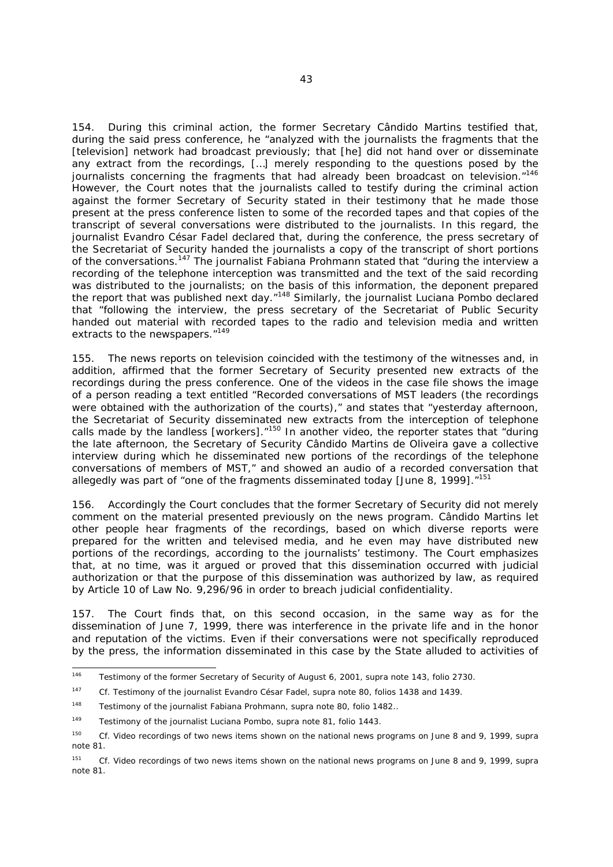154. During this criminal action, the former Secretary Cândido Martins testified that, during the said press conference, he "analyzed with the journalists the fragments that the [television] network had broadcast previously; that [he] did not hand over or disseminate any extract from the recordings, […] merely responding to the questions posed by the journalists concerning the fragments that had already been broadcast on television."<sup>146</sup> However, the Court notes that the journalists called to testify during the criminal action against the former Secretary of Security stated in their testimony that he made those present at the press conference listen to some of the recorded tapes and that copies of the transcript of several conversations were distributed to the journalists. In this regard, the journalist Evandro César Fadel declared that, during the conference, the press secretary of the Secretariat of Security handed the journalists a copy of the transcript of short portions of the conversations.147 The journalist Fabiana Prohmann stated that "during the interview a recording of the telephone interception was transmitted and the text of the said recording was distributed to the journalists; on the basis of this information, the deponent prepared the report that was published next day."<sup>148</sup> Similarly, the journalist Luciana Pombo declared that "following the interview, the press secretary of the Secretariat of Public Security handed out material with recorded tapes to the radio and television media and written extracts to the newspapers."<sup>149</sup>

155. The news reports on television coincided with the testimony of the witnesses and, in addition, affirmed that the former Secretary of Security presented new extracts of the recordings during the press conference. One of the videos in the case file shows the image of a person reading a text entitled "Recorded conversations of MST leaders (the recordings were obtained with the authorization of the courts)," and states that "yesterday afternoon, the Secretariat of Security disseminated new extracts from the interception of telephone calls made by the landless [workers]. $n^{150}$  In another video, the reporter states that "during the late afternoon, the Secretary of Security Cândido Martins de Oliveira gave a collective interview during which he disseminated new portions of the recordings of the telephone conversations of members of MST," and showed an audio of a recorded conversation that allegedly was part of "one of the fragments disseminated today [June 8, 1999]. $n^{151}$ 

156. Accordingly the Court concludes that the former Secretary of Security did not merely comment on the material presented previously on the news program. Cândido Martins let other people hear fragments of the recordings, based on which diverse reports were prepared for the written and televised media, and he even may have distributed new portions of the recordings, according to the journalists' testimony. The Court emphasizes that, at no time, was it argued or proved that this dissemination occurred with judicial authorization or that the purpose of this dissemination was authorized by law, as required by Article 10 of Law No. 9,296/96 in order to breach judicial confidentiality.

157. The Court finds that, on this second occasion, in the same way as for the dissemination of June 7, 1999, there was interference in the private life and in the honor and reputation of the victims. Even if their conversations were not specifically reproduced by the press, the information disseminated in this case by the State alluded to activities of

 $\frac{1}{146}$ 146 Testimony of the former Secretary of Security of August 6, 2001, *supra* note 143, folio 2730.

<sup>147</sup> *Cf*. Testimony of the journalist Evandro César Fadel, *supra* note 80, folios 1438 and 1439.

<sup>148</sup> Testimony of the journalist Fabiana Prohmann, *supra* note 80, folio 1482..

<sup>149</sup> Testimony of the journalist Luciana Pombo, *supra* note 81, folio 1443.

<sup>150</sup> *Cf.* Video recordings of two news items shown on the national news programs on June 8 and 9, 1999*, supra* note 81.

<sup>151</sup> *Cf.* Video recordings of two news items shown on the national news programs on June 8 and 9, 1999, *supra* note 81.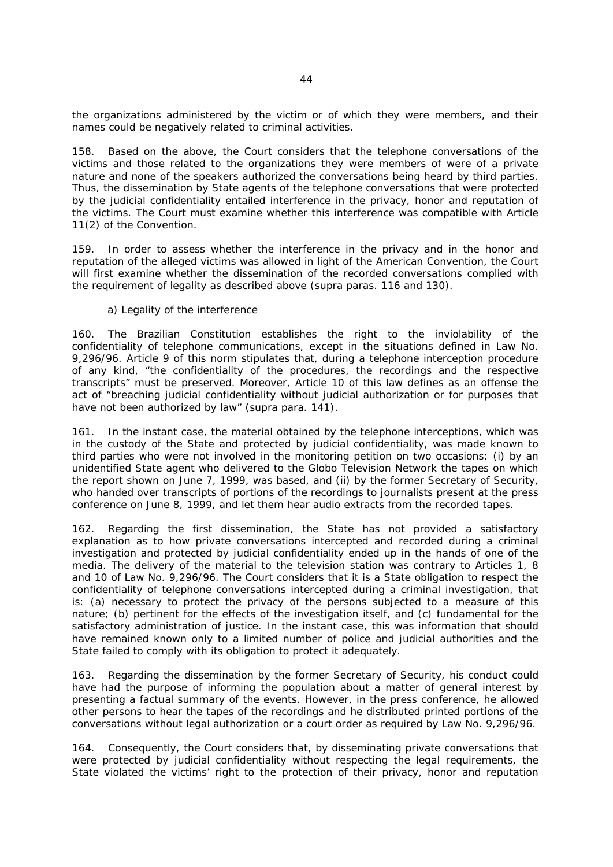the organizations administered by the victim or of which they were members, and their names could be negatively related to criminal activities.

158. Based on the above, the Court considers that the telephone conversations of the victims and those related to the organizations they were members of were of a private nature and none of the speakers authorized the conversations being heard by third parties. Thus, the dissemination by State agents of the telephone conversations that were protected by the judicial confidentiality entailed interference in the privacy, honor and reputation of the victims. The Court must examine whether this interference was compatible with Article 11(2) of the Convention.

159. In order to assess whether the interference in the privacy and in the honor and reputation of the alleged victims was allowed in light of the American Convention, the Court will first examine whether the dissemination of the recorded conversations complied with the requirement of legality as described above (*supra* paras. 116 and 130).

### *a) Legality of the interference*

160. The Brazilian Constitution establishes the right to the inviolability of the confidentiality of telephone communications, except in the situations defined in Law No. 9,296/96. Article 9 of this norm stipulates that, during a telephone interception procedure of any kind, "the confidentiality of the procedures, the recordings and the respective transcripts" must be preserved. Moreover, Article 10 of this law defines as an offense the act of "breaching judicial confidentiality without judicial authorization or for purposes that have not been authorized by law" (*supra* para. 141).

161. In the instant case, the material obtained by the telephone interceptions, which was in the custody of the State and protected by judicial confidentiality, was made known to third parties who were not involved in the monitoring petition on two occasions: (i) by an unidentified State agent who delivered to the Globo Television Network the tapes on which the report shown on June 7, 1999, was based, and (ii) by the former Secretary of Security, who handed over transcripts of portions of the recordings to journalists present at the press conference on June 8, 1999, and let them hear audio extracts from the recorded tapes.

162. Regarding the first dissemination, the State has not provided a satisfactory explanation as to how private conversations intercepted and recorded during a criminal investigation and protected by judicial confidentiality ended up in the hands of one of the media. The delivery of the material to the television station was contrary to Articles 1, 8 and 10 of Law No. 9,296/96. The Court considers that it is a State obligation to respect the confidentiality of telephone conversations intercepted during a criminal investigation, that is: (a) necessary to protect the privacy of the persons subjected to a measure of this nature; (b) pertinent for the effects of the investigation itself, and (c) fundamental for the satisfactory administration of justice. In the instant case, this was information that should have remained known only to a limited number of police and judicial authorities and the State failed to comply with its obligation to protect it adequately.

163. Regarding the dissemination by the former Secretary of Security, his conduct could have had the purpose of informing the population about a matter of general interest by presenting a factual summary of the events. However, in the press conference, he allowed other persons to hear the tapes of the recordings and he distributed printed portions of the conversations without legal authorization or a court order as required by Law No. 9,296/96.

164. Consequently, the Court considers that, by disseminating private conversations that were protected by judicial confidentiality without respecting the legal requirements, the State violated the victims' right to the protection of their privacy, honor and reputation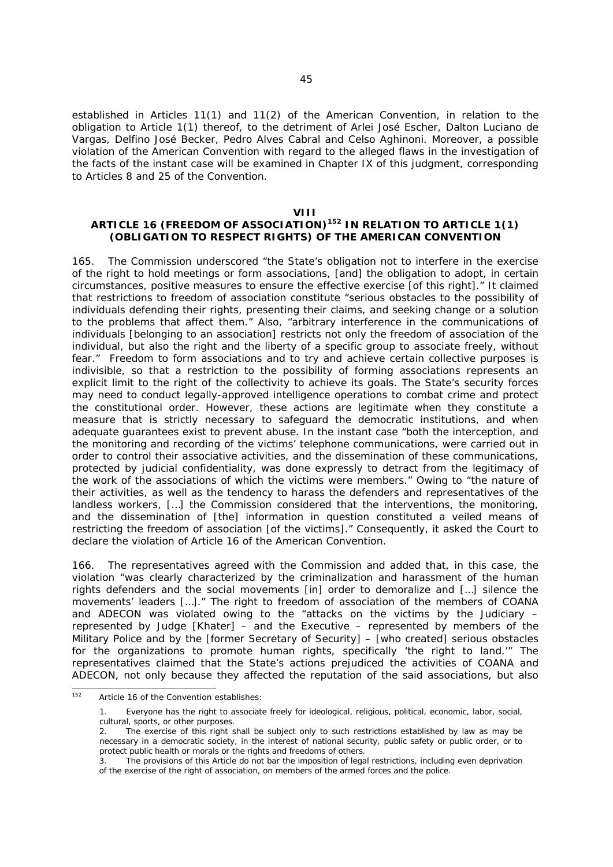established in Articles 11(1) and 11(2) of the American Convention, in relation to the obligation to Article 1(1) thereof, to the detriment of Arlei José Escher, Dalton Luciano de Vargas, Delfino José Becker, Pedro Alves Cabral and Celso Aghinoni. Moreover, a possible violation of the American Convention with regard to the alleged flaws in the investigation of the facts of the instant case will be examined in Chapter IX of this judgment, corresponding to Articles 8 and 25 of the Convention.

#### **VIII**

# **ARTICLE 16 (FREEDOM OF ASSOCIATION)152 IN RELATION TO ARTICLE 1(1) (OBLIGATION TO RESPECT RIGHTS) OF THE AMERICAN CONVENTION**

165. The Commission underscored "the State's obligation not to interfere in the exercise of the right to hold meetings or form associations, [and] the obligation to adopt, in certain circumstances, positive measures to ensure the effective exercise [of this right]." It claimed that restrictions to freedom of association constitute "serious obstacles to the possibility of individuals defending their rights, presenting their claims, and seeking change or a solution to the problems that affect them." Also, "arbitrary interference in the communications of individuals [belonging to an association] restricts not only the freedom of association of the individual, but also the right and the liberty of a specific group to associate freely, without fear." Freedom to form associations and to try and achieve certain collective purposes is indivisible, so that a restriction to the possibility of forming associations represents an explicit limit to the right of the collectivity to achieve its goals. The State's security forces may need to conduct legally-approved intelligence operations to combat crime and protect the constitutional order. However, these actions are legitimate when they constitute a measure that is strictly necessary to safeguard the democratic institutions, and when adequate guarantees exist to prevent abuse. In the instant case "both the interception, and the monitoring and recording of the victims' telephone communications, were carried out in order to control their associative activities, and the dissemination of these communications, protected by judicial confidentiality, was done expressly to detract from the legitimacy of the work of the associations of which the victims were members." Owing to "the nature of their activities, as well as the tendency to harass the defenders and representatives of the landless workers, […] the Commission considered that the interventions, the monitoring, and the dissemination of [the] information in question constituted a veiled means of restricting the freedom of association [of the victims]." Consequently, it asked the Court to declare the violation of Article 16 of the American Convention.

166. The representatives agreed with the Commission and added that, in this case, the violation "was clearly characterized by the criminalization and harassment of the human rights defenders and the social movements [in] order to demoralize and […] silence the movements' leaders […]." The right to freedom of association of the members of COANA and ADECON was violated owing to the "attacks on the victims by the Judiciary  $$ represented by Judge [Khater] – and the Executive – represented by members of the Military Police and by the [former Secretary of Security] – [who created] serious obstacles for the organizations to promote human rights, specifically 'the right to land.'" The representatives claimed that the State's actions prejudiced the activities of COANA and ADECON, not only because they affected the reputation of the said associations, but also

 $\frac{1}{152}$ Article 16 of the Convention establishes:

<sup>1.</sup> Everyone has the right to associate freely for ideological, religious, political, economic, labor, social, cultural, sports, or other purposes.

The exercise of this right shall be subject only to such restrictions established by law as may be necessary in a democratic society, in the interest of national security, public safety or public order, or to protect public health or morals or the rights and freedoms of others.

The provisions of this Article do not bar the imposition of legal restrictions, including even deprivation of the exercise of the right of association, on members of the armed forces and the police.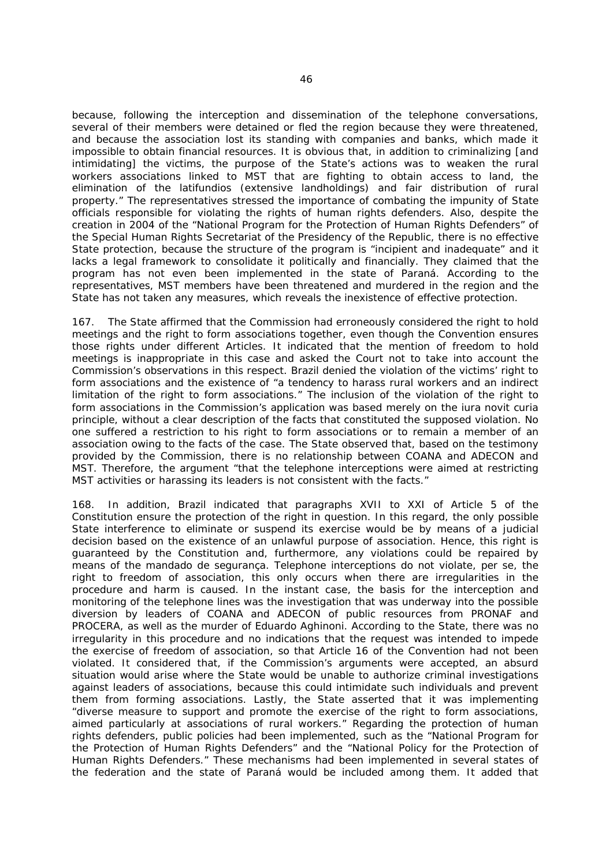because, following the interception and dissemination of the telephone conversations, several of their members were detained or fled the region because they were threatened, and because the association lost its standing with companies and banks, which made it impossible to obtain financial resources. It is obvious that, in addition to criminalizing [and intimidating] the victims, the purpose of the State's actions was to weaken the rural workers associations linked to MST that are fighting to obtain access to land, the elimination of the *latifundios* (extensive landholdings) and fair distribution of rural property." The representatives stressed the importance of combating the impunity of State officials responsible for violating the rights of human rights defenders. Also, despite the creation in 2004 of the "National Program for the Protection of Human Rights Defenders" of the Special Human Rights Secretariat of the Presidency of the Republic, there is no effective State protection, because the structure of the program is "incipient and inadequate" and it lacks a legal framework to consolidate it politically and financially. They claimed that the program has not even been implemented in the state of Paraná. According to the representatives, MST members have been threatened and murdered in the region and the State has not taken any measures, which reveals the inexistence of effective protection.

167. The State affirmed that the Commission had erroneously considered the right to hold meetings and the right to form associations together, even though the Convention ensures those rights under different Articles. It indicated that the mention of freedom to hold meetings is inappropriate in this case and asked the Court not to take into account the Commission's observations in this respect. Brazil denied the violation of the victims' right to form associations and the existence of "a tendency to harass rural workers and an indirect limitation of the right to form associations." The inclusion of the violation of the right to form associations in the Commission's application was based merely on the *iura novit curia* principle, without a clear description of the facts that constituted the supposed violation. No one suffered a restriction to his right to form associations or to remain a member of an association owing to the facts of the case. The State observed that, based on the testimony provided by the Commission, there is no relationship between COANA and ADECON and MST. Therefore, the argument "that the telephone interceptions were aimed at restricting MST activities or harassing its leaders is not consistent with the facts."

168. In addition, Brazil indicated that paragraphs XVII to XXI of Article 5 of the Constitution ensure the protection of the right in question. In this regard, the only possible State interference to eliminate or suspend its exercise would be by means of a judicial decision based on the existence of an unlawful purpose of association. Hence, this right is guaranteed by the Constitution and, furthermore, any violations could be repaired by means of the *mandado de segurança*. Telephone interceptions do not violate, *per se*, the right to freedom of association, this only occurs when there are irregularities in the procedure and harm is caused. In the instant case, the basis for the interception and monitoring of the telephone lines was the investigation that was underway into the possible diversion by leaders of COANA and ADECON of public resources from PRONAF and PROCERA, as well as the murder of Eduardo Aghinoni. According to the State, there was no irregularity in this procedure and no indications that the request was intended to impede the exercise of freedom of association, so that Article 16 of the Convention had not been violated. It considered that, if the Commission's arguments were accepted, an absurd situation would arise where the State would be unable to authorize criminal investigations against leaders of associations, because this could intimidate such individuals and prevent them from forming associations. Lastly, the State asserted that it was implementing "diverse measure to support and promote the exercise of the right to form associations, aimed particularly at associations of rural workers." Regarding the protection of human rights defenders, public policies had been implemented, such as the "National Program for the Protection of Human Rights Defenders" and the "National Policy for the Protection of Human Rights Defenders." These mechanisms had been implemented in several states of the federation and the state of Paraná would be included among them. It added that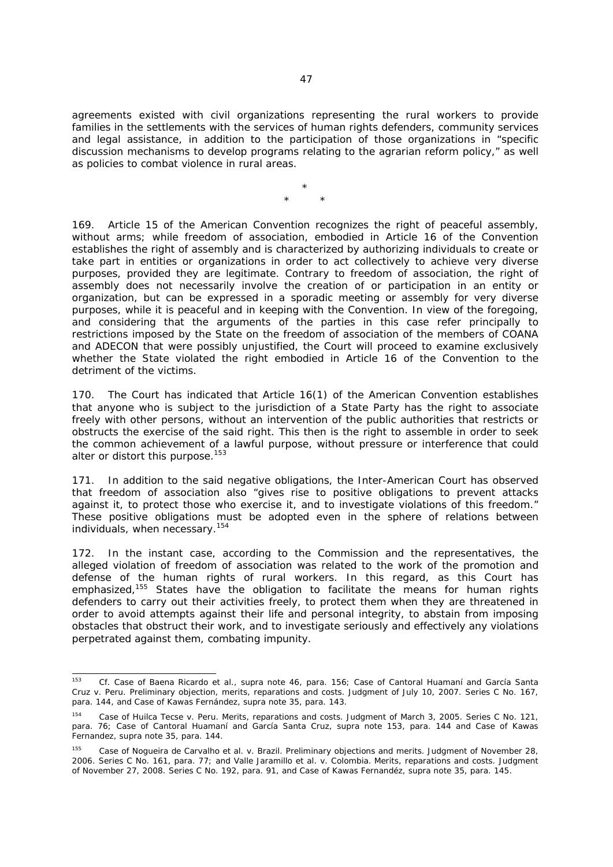agreements existed with civil organizations representing the rural workers to provide families in the settlements with the services of human rights defenders, community services and legal assistance, in addition to the participation of those organizations in "specific discussion mechanisms to develop programs relating to the agrarian reform policy," as well as policies to combat violence in rural areas.

> \* \* \*

169. Article 15 of the American Convention recognizes the right of peaceful assembly, without arms; while freedom of association, embodied in Article 16 of the Convention establishes the right of assembly and is characterized by authorizing individuals to create or take part in entities or organizations in order to act collectively to achieve very diverse purposes, provided they are legitimate. Contrary to freedom of association, the right of assembly does not necessarily involve the creation of or participation in an entity or organization, but can be expressed in a sporadic meeting or assembly for very diverse purposes, while it is peaceful and in keeping with the Convention. In view of the foregoing, and considering that the arguments of the parties in this case refer principally to restrictions imposed by the State on the freedom of association of the members of COANA and ADECON that were possibly unjustified, the Court will proceed to examine exclusively whether the State violated the right embodied in Article 16 of the Convention to the detriment of the victims.

170. The Court has indicated that Article 16(1) of the American Convention establishes that anyone who is subject to the jurisdiction of a State Party has the right to associate freely with other persons, without an intervention of the public authorities that restricts or obstructs the exercise of the said right. This then is the right to assemble in order to seek the common achievement of a lawful purpose, without pressure or interference that could alter or distort this purpose.<sup>153</sup>

171. In addition to the said negative obligations, the Inter-American Court has observed that freedom of association also "gives rise to positive obligations to prevent attacks against it, to protect those who exercise it, and to investigate violations of this freedom." These positive obligations must be adopted even in the sphere of relations between individuals, when necessary.<sup>154</sup>

172. In the instant case, according to the Commission and the representatives, the alleged violation of freedom of association was related to the work of the promotion and defense of the human rights of rural workers. In this regard, as this Court has emphasized,<sup>155</sup> States have the obligation to facilitate the means for human rights defenders to carry out their activities freely, to protect them when they are threatened in order to avoid attempts against their life and personal integrity, to abstain from imposing obstacles that obstruct their work, and to investigate seriously and effectively any violations perpetrated against them, combating impunity.

 $153$ <sup>153</sup> *Cf*. *Case of Baena Ricardo et al., supra* note 46, para. 156; *Case of Cantoral Huamaní and García Santa Cruz v. Peru. Preliminary objection, merits, reparations and costs*. Judgment of July 10, 2007. Series C No. 167*,* para. 144, and *Case of Kawas Fernández, supra* note 35, para. 143.

<sup>154</sup> *Case of Huilca Tecse v. Peru. Merits, reparations and costs*. Judgment of March 3, 2005. Series C No. 121, para. 76; *Case of Cantoral Huamaní and García Santa Cruz, supra* note 153, para. 144 and *Case of Kawas Fernandez, supra* note 35, para. 144.

<sup>155</sup> *Case of Nogueira de Carvalho et al. v. Brazil. Preliminary objections and merits*. Judgment of November 28, 2006. Series C No. 161, para. 77; and *Valle Jaramillo et al. v. Colombia*. Merits, reparations and costs. Judgment of November 27, 2008. Series C No. 192, para. 91, and *Case of Kawas Fernandéz, supra* note 35, para. 145.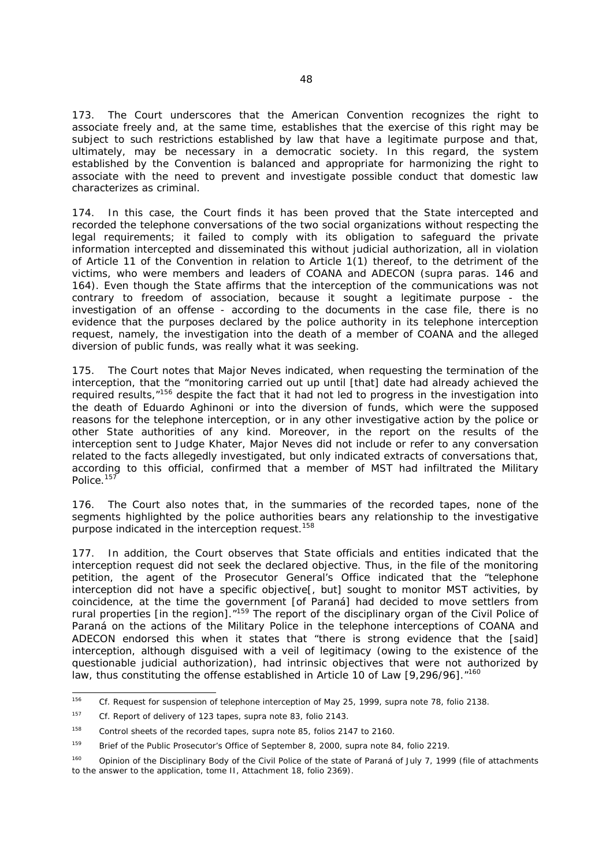173. The Court underscores that the American Convention recognizes the right to associate freely and, at the same time, establishes that the exercise of this right may be subject to such restrictions established by law that have a legitimate purpose and that, ultimately, may be necessary in a democratic society. In this regard, the system established by the Convention is balanced and appropriate for harmonizing the right to associate with the need to prevent and investigate possible conduct that domestic law characterizes as criminal.

174. In this case, the Court finds it has been proved that the State intercepted and recorded the telephone conversations of the two social organizations without respecting the legal requirements; it failed to comply with its obligation to safeguard the private information intercepted and disseminated this without judicial authorization, all in violation of Article 11 of the Convention in relation to Article 1(1) thereof, to the detriment of the victims, who were members and leaders of COANA and ADECON (*supra* paras. 146 and 164). Even though the State affirms that the interception of the communications was not contrary to freedom of association, because it sought a legitimate purpose - the investigation of an offense - according to the documents in the case file, there is no evidence that the purposes declared by the police authority in its telephone interception request, namely, the investigation into the death of a member of COANA and the alleged diversion of public funds, was really what it was seeking.

175. The Court notes that Major Neves indicated, when requesting the termination of the interception, that the "monitoring carried out up until [that] date had already achieved the required results,"156 despite the fact that it had not led to progress in the investigation into the death of Eduardo Aghinoni or into the diversion of funds, which were the supposed reasons for the telephone interception, or in any other investigative action by the police or other State authorities of any kind. Moreover, in the report on the results of the interception sent to Judge Khater, Major Neves did not include or refer to any conversation related to the facts allegedly investigated, but only indicated extracts of conversations that, according to this official, confirmed that a member of MST had infiltrated the Military Police.<sup>157</sup>

176. The Court also notes that, in the summaries of the recorded tapes, none of the segments highlighted by the police authorities bears any relationship to the investigative purpose indicated in the interception request.<sup>158</sup>

177. In addition, the Court observes that State officials and entities indicated that the interception request did not seek the declared objective. Thus, in the file of the monitoring petition, the agent of the Prosecutor General's Office indicated that the "telephone interception did not have a specific objective[, but] sought to monitor MST activities, by coincidence, at the time the government [of Paraná] had decided to move settlers from rural properties [in the region]."159 The report of the disciplinary organ of the Civil Police of Paraná on the actions of the Military Police in the telephone interceptions of COANA and ADECON endorsed this when it states that "there is strong evidence that the [said] interception, although disguised with a veil of legitimacy (owing to the existence of the questionable judicial authorization), had intrinsic objectives that were not authorized by law, thus constituting the offense established in Article 10 of Law [9,296/96]. "<sup>160</sup>

<sup>156</sup> 156 *Cf.* Request for suspension of telephone interception of May 25, 1999, *supra* note 78, folio 2138.

<sup>157</sup> *Cf.* Report of delivery of 123 tapes, *supra* note 83, folio 2143.

<sup>158</sup> Control sheets of the recorded tapes, *supra* note 85, folios 2147 to 2160.

<sup>159</sup> Brief of the Public Prosecutor's Office of September 8, 2000, *supra* note 84, folio 2219.

<sup>&</sup>lt;sup>160</sup> Opinion of the Disciplinary Body of the Civil Police of the state of Paraná of July 7, 1999 (file of attachments to the answer to the application, tome II, Attachment 18, folio 2369).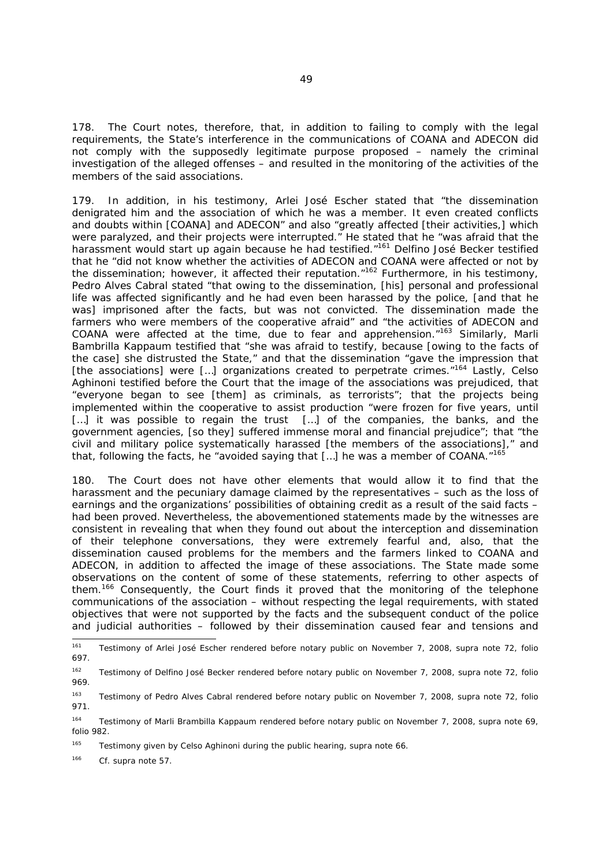178. The Court notes, therefore, that, in addition to failing to comply with the legal requirements, the State's interference in the communications of COANA and ADECON did not comply with the supposedly legitimate purpose proposed – namely the criminal investigation of the alleged offenses – and resulted in the monitoring of the activities of the members of the said associations.

179. In addition, in his testimony, Arlei José Escher stated that "the dissemination denigrated him and the association of which he was a member. It even created conflicts and doubts within [COANA] and ADECON" and also "greatly affected [their activities,] which were paralyzed, and their projects were interrupted." He stated that he "was afraid that the harassment would start up again because he had testified.<sup>"161</sup> Delfino José Becker testified that he "did not know whether the activities of ADECON and COANA were affected or not by the dissemination; however, it affected their reputation."<sup>162</sup> Furthermore, in his testimony, Pedro Alves Cabral stated "that owing to the dissemination, [his] personal and professional life was affected significantly and he had even been harassed by the police, [and that he was] imprisoned after the facts, but was not convicted. The dissemination made the farmers who were members of the cooperative afraid" and "the activities of ADECON and COANA were affected at the time, due to fear and apprehension."163 Similarly, Marli Bambrilla Kappaum testified that "she was afraid to testify, because [owing to the facts of the case] she distrusted the State," and that the dissemination "gave the impression that [the associations] were [...] organizations created to perpetrate crimes.<sup>"164</sup> Lastly, Celso Aghinoni testified before the Court that the image of the associations was prejudiced, that "everyone began to see [them] as criminals, as terrorists"; that the projects being implemented within the cooperative to assist production "were frozen for five years, until [...] it was possible to regain the trust [...] of the companies, the banks, and the government agencies, [so they] suffered immense moral and financial prejudice"; that "the civil and military police systematically harassed [the members of the associations]," and that, following the facts, he "avoided saying that […] he was a member of COANA."<sup>165</sup>

180. The Court does not have other elements that would allow it to find that the harassment and the pecuniary damage claimed by the representatives – such as the loss of earnings and the organizations' possibilities of obtaining credit as a result of the said facts – had been proved. Nevertheless, the abovementioned statements made by the witnesses are consistent in revealing that when they found out about the interception and dissemination of their telephone conversations, they were extremely fearful and, also, that the dissemination caused problems for the members and the farmers linked to COANA and ADECON, in addition to affected the image of these associations. The State made some observations on the content of some of these statements, referring to other aspects of them.166 Consequently, the Court finds it proved that the monitoring of the telephone communications of the association – without respecting the legal requirements, with stated objectives that were not supported by the facts and the subsequent conduct of the police and judicial authorities – followed by their dissemination caused fear and tensions and

166 *Cf. supra* note 57.

<sup>161</sup> 161 Testimony of Arlei José Escher rendered before notary public on November 7, 2008, *supra* note 72, folio 697.

<sup>162</sup> Testimony of Delfino José Becker rendered before notary public on November 7, 2008, *supra* note 72, folio 969.

<sup>163</sup> Testimony of Pedro Alves Cabral rendered before notary public on November 7, 2008, *supra* note 72, folio 971.

<sup>164</sup> Testimony of Marli Brambilla Kappaum rendered before notary public on November 7, 2008, *supra* note 69, folio 982.

<sup>165</sup> Testimony given by Celso Aghinoni during the public hearing, *supra* note 66.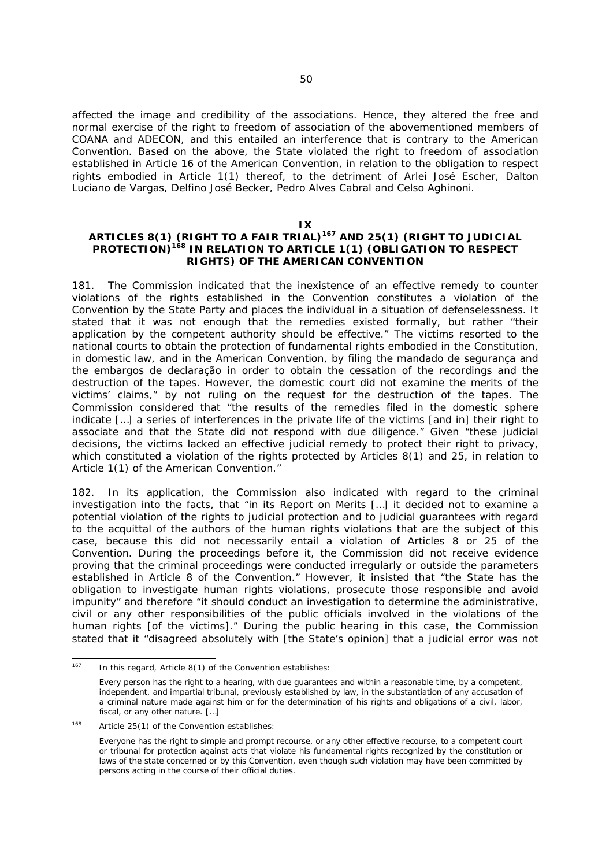affected the image and credibility of the associations. Hence, they altered the free and normal exercise of the right to freedom of association of the abovementioned members of COANA and ADECON, and this entailed an interference that is contrary to the American Convention. Based on the above, the State violated the right to freedom of association established in Article 16 of the American Convention, in relation to the obligation to respect rights embodied in Article 1(1) thereof, to the detriment of Arlei José Escher, Dalton Luciano de Vargas, Delfino José Becker, Pedro Alves Cabral and Celso Aghinoni.

#### **IX**

# **ARTICLES 8(1) (RIGHT TO A FAIR TRIAL)167 AND 25(1) (RIGHT TO JUDICIAL PROTECTION)168 IN RELATION TO ARTICLE 1(1) (OBLIGATION TO RESPECT RIGHTS) OF THE AMERICAN CONVENTION**

181. The Commission indicated that the inexistence of an effective remedy to counter violations of the rights established in the Convention constitutes a violation of the Convention by the State Party and places the individual in a situation of defenselessness. It stated that it was not enough that the remedies existed formally, but rather "their application by the competent authority should be effective." The victims resorted to the national courts to obtain the protection of fundamental rights embodied in the Constitution, in domestic law, and in the American Convention, by filing the *mandado de segurança* and the *embargos de declaração* in order to obtain the cessation of the recordings and the destruction of the tapes. However, the domestic court did not examine the merits of the victims' claims," by not ruling on the request for the destruction of the tapes. The Commission considered that "the results of the remedies filed in the domestic sphere indicate […] a series of interferences in the private life of the victims [and in] their right to associate and that the State did not respond with due diligence." Given "these judicial decisions, the victims lacked an effective judicial remedy to protect their right to privacy, which constituted a violation of the rights protected by Articles 8(1) and 25, in relation to Article 1(1) of the American Convention."

182. In its application, the Commission also indicated with regard to the criminal investigation into the facts, that "in its Report on Merits […] it decided not to examine a potential violation of the rights to judicial protection and to judicial guarantees with regard to the acquittal of the authors of the human rights violations that are the subject of this case, because this did not necessarily entail a violation of Articles 8 or 25 of the Convention. During the proceedings before it, the Commission did not receive evidence proving that the criminal proceedings were conducted irregularly or outside the parameters established in Article 8 of the Convention." However, it insisted that "the State has the obligation to investigate human rights violations, prosecute those responsible and avoid impunity" and therefore "it should conduct an investigation to determine the administrative, civil or any other responsibilities of the public officials involved in the violations of the human rights [of the victims]." During the public hearing in this case, the Commission stated that it "disagreed absolutely with [the State's opinion] that a judicial error was not

<sup>167</sup> In this regard, Article  $8(1)$  of the Convention establishes:

Every person has the right to a hearing, with due guarantees and within a reasonable time, by a competent, independent, and impartial tribunal, previously established by law, in the substantiation of any accusation of a criminal nature made against him or for the determination of his rights and obligations of a civil, labor, fiscal, or any other nature. […]

<sup>168</sup> Article 25(1) of the Convention establishes:

Everyone has the right to simple and prompt recourse, or any other effective recourse, to a competent court or tribunal for protection against acts that violate his fundamental rights recognized by the constitution or laws of the state concerned or by this Convention, even though such violation may have been committed by persons acting in the course of their official duties.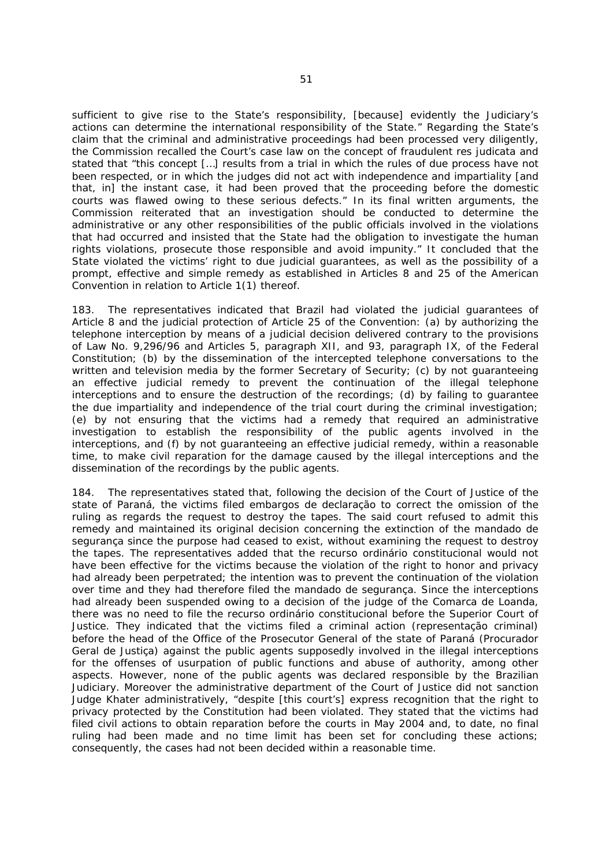sufficient to give rise to the State's responsibility, [because] evidently the Judiciary's actions can determine the international responsibility of the State." Regarding the State's claim that the criminal and administrative proceedings had been processed very diligently, the Commission recalled the Court's case law on the concept of fraudulent *res judicata* and stated that "this concept […] results from a trial in which the rules of due process have not been respected, or in which the judges did not act with independence and impartiality [and that, in] the instant case, it had been proved that the proceeding before the domestic courts was flawed owing to these serious defects." In its final written arguments, the Commission reiterated that an investigation should be conducted to determine the administrative or any other responsibilities of the public officials involved in the violations that had occurred and insisted that the State had the obligation to investigate the human rights violations, prosecute those responsible and avoid impunity." It concluded that the State violated the victims' right to due judicial guarantees, as well as the possibility of a prompt, effective and simple remedy as established in Articles 8 and 25 of the American Convention in relation to Article 1(1) thereof.

183. The representatives indicated that Brazil had violated the judicial guarantees of Article 8 and the judicial protection of Article 25 of the Convention: (a) by authorizing the telephone interception by means of a judicial decision delivered contrary to the provisions of Law No. 9,296/96 and Articles 5, paragraph XII, and 93, paragraph IX, of the Federal Constitution; (b) by the dissemination of the intercepted telephone conversations to the written and television media by the former Secretary of Security; (c) by not guaranteeing an effective judicial remedy to prevent the continuation of the illegal telephone interceptions and to ensure the destruction of the recordings; (d) by failing to guarantee the due impartiality and independence of the trial court during the criminal investigation; (e) by not ensuring that the victims had a remedy that required an administrative investigation to establish the responsibility of the public agents involved in the interceptions, and (f) by not guaranteeing an effective judicial remedy, within a reasonable time, to make civil reparation for the damage caused by the illegal interceptions and the dissemination of the recordings by the public agents.

184. The representatives stated that, following the decision of the Court of Justice of the state of Paraná, the victims filed *embargos de declaração* to correct the omission of the ruling as regards the request to destroy the tapes. The said court refused to admit this remedy and maintained its original decision concerning the extinction of the *mandado de segurança* since the purpose had ceased to exist, without examining the request to destroy the tapes. The representatives added that the *recurso ordinário constitucional* would not have been effective for the victims because the violation of the right to honor and privacy had already been perpetrated; the intention was to prevent the continuation of the violation over time and they had therefore filed the *mandado de segurança*. Since the interceptions had already been suspended owing to a decision of the judge of the Comarca de Loanda, there was no need to file the *recurso ordinário constitucional* before the Superior Court of Justice. They indicated that the victims filed a criminal action (*representação criminal)*  before the head of the Office of the Prosecutor General of the state of Paraná (*Procurador Geral de Justiça)* against the public agents supposedly involved in the illegal interceptions for the offenses of usurpation of public functions and abuse of authority, among other aspects. However, none of the public agents was declared responsible by the Brazilian Judiciary. Moreover the administrative department of the Court of Justice did not sanction Judge Khater administratively, "despite [this court's] express recognition that the right to privacy protected by the Constitution had been violated. They stated that the victims had filed civil actions to obtain reparation before the courts in May 2004 and, to date, no final ruling had been made and no time limit has been set for concluding these actions; consequently, the cases had not been decided within a reasonable time.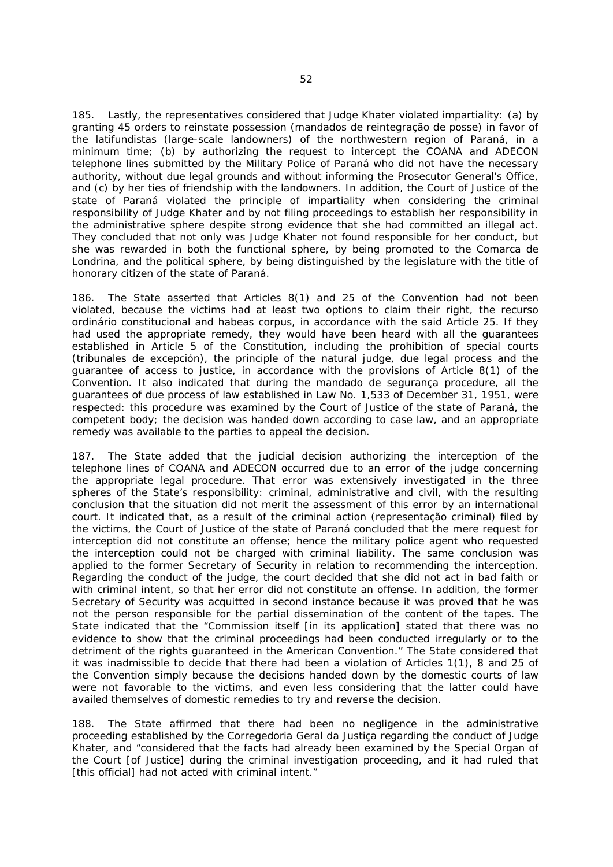185. Lastly, the representatives considered that Judge Khater violated impartiality: (a) by granting 45 orders to reinstate possession (*mandados de reintegração de posse*) in favor of the *latifundistas* (large-scale landowners) of the northwestern region of Paraná, in a minimum time; (b) by authorizing the request to intercept the COANA and ADECON telephone lines submitted by the Military Police of Paraná who did not have the necessary authority, without due legal grounds and without informing the Prosecutor General's Office, and (c) by her ties of friendship with the landowners. In addition, the Court of Justice of the state of Paraná violated the principle of impartiality when considering the criminal responsibility of Judge Khater and by not filing proceedings to establish her responsibility in the administrative sphere despite strong evidence that she had committed an illegal act. They concluded that not only was Judge Khater not found responsible for her conduct, but she was rewarded in both the functional sphere, by being promoted to the Comarca de Londrina, and the political sphere, by being distinguished by the legislature with the title of honorary citizen of the state of Paraná.

186. The State asserted that Articles 8(1) and 25 of the Convention had not been violated, because the victims had at least two options to claim their right, the *recurso ordinário constitucional* and *habeas corpus*, in accordance with the said Article 25. If they had used the appropriate remedy, they would have been heard with all the guarantees established in Article 5 of the Constitution, including the prohibition of special courts (*tribunales de excepción*), the principle of the natural judge, due legal process and the guarantee of access to justice, in accordance with the provisions of Article 8(1) of the Convention. It also indicated that during the *mandado de segurança* procedure, all the guarantees of due process of law established in Law No. 1,533 of December 31, 1951, were respected: this procedure was examined by the Court of Justice of the state of Paraná, the competent body; the decision was handed down according to case law, and an appropriate remedy was available to the parties to appeal the decision.

187. The State added that the judicial decision authorizing the interception of the telephone lines of COANA and ADECON occurred due to an error of the judge concerning the appropriate legal procedure. That error was extensively investigated in the three spheres of the State's responsibility: criminal, administrative and civil, with the resulting conclusion that the situation did not merit the assessment of this error by an international court. It indicated that, as a result of the criminal action (*representação criminal)* filed by the victims, the Court of Justice of the state of Paraná concluded that the mere request for interception did not constitute an offense; hence the military police agent who requested the interception could not be charged with criminal liability. The same conclusion was applied to the former Secretary of Security in relation to recommending the interception. Regarding the conduct of the judge, the court decided that she did not act in bad faith or with criminal intent, so that her error did not constitute an offense. In addition, the former Secretary of Security was acquitted in second instance because it was proved that he was not the person responsible for the partial dissemination of the content of the tapes. The State indicated that the "Commission itself [in its application] stated that there was no evidence to show that the criminal proceedings had been conducted irregularly or to the detriment of the rights guaranteed in the American Convention." The State considered that it was inadmissible to decide that there had been a violation of Articles 1(1), 8 and 25 of the Convention simply because the decisions handed down by the domestic courts of law were not favorable to the victims, and even less considering that the latter could have availed themselves of domestic remedies to try and reverse the decision.

188. The State affirmed that there had been no negligence in the administrative proceeding established by the *Corregedoria Geral da Justiça* regarding the conduct of Judge Khater, and "considered that the facts had already been examined by the Special Organ of the Court [of Justice] during the criminal investigation proceeding, and it had ruled that [this official] had not acted with criminal intent."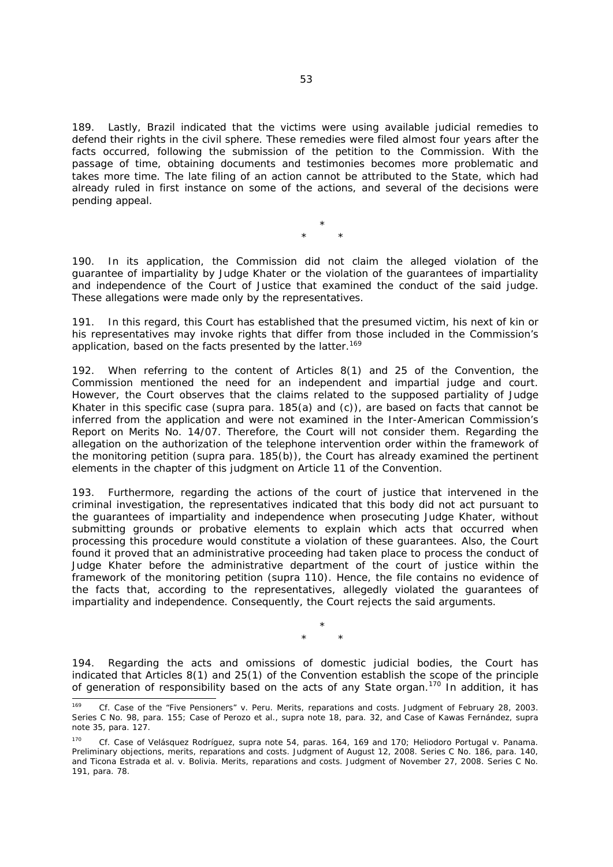189. Lastly, Brazil indicated that the victims were using available judicial remedies to defend their rights in the civil sphere. These remedies were filed almost four years after the facts occurred, following the submission of the petition to the Commission. With the passage of time, obtaining documents and testimonies becomes more problematic and takes more time. The late filing of an action cannot be attributed to the State, which had already ruled in first instance on some of the actions, and several of the decisions were pending appeal.

> \* \* \*

190. In its application, the Commission did not claim the alleged violation of the guarantee of impartiality by Judge Khater or the violation of the guarantees of impartiality and independence of the Court of Justice that examined the conduct of the said judge. These allegations were made only by the representatives.

191. In this regard, this Court has established that the presumed victim, his next of kin or his representatives may invoke rights that differ from those included in the Commission's application, based on the facts presented by the latter.<sup>169</sup>

192. When referring to the content of Articles 8(1) and 25 of the Convention, the Commission mentioned the need for an independent and impartial judge and court. However, the Court observes that the claims related to the supposed partiality of Judge Khater in this specific case (*supra* para. 185(a) and (c)), are based on facts that cannot be inferred from the application and were not examined in the Inter-American Commission's Report on Merits No. 14/07. Therefore, the Court will not consider them. Regarding the allegation on the authorization of the telephone intervention order within the framework of the monitoring petition (*supra* para. 185(b)), the Court has already examined the pertinent elements in the chapter of this judgment on Article 11 of the Convention.

193. Furthermore, regarding the actions of the court of justice that intervened in the criminal investigation, the representatives indicated that this body did not act pursuant to the guarantees of impartiality and independence when prosecuting Judge Khater, without submitting grounds or probative elements to explain which acts that occurred when processing this procedure would constitute a violation of these guarantees. Also, the Court found it proved that an administrative proceeding had taken place to process the conduct of Judge Khater before the administrative department of the court of justice within the framework of the monitoring petition (*supra* 110). Hence, the file contains no evidence of the facts that, according to the representatives, allegedly violated the guarantees of impartiality and independence. Consequently, the Court rejects the said arguments.

> \* \* \*

194. Regarding the acts and omissions of domestic judicial bodies, the Court has indicated that Articles 8(1) and 25(1) of the Convention establish the scope of the principle of generation of responsibility based on the acts of any State organ.170 In addition, it has

-

<sup>169</sup> *Cf. Case of the "Five Pensioners" v. Peru. Merits, reparations and costs.* Judgment of February 28, 2003. Series C No. 98, para. 155; *Case of Perozo et al.*, *supra* note 18, para. 32, and *Case of Kawas Fernández*, *supra*  note 35, para. 127.

<sup>170</sup> *Cf. Case of Velásquez Rodríguez*, *supra* note 54, paras. 164, 169 and 170; *Heliodoro Portugal v. Panama. Preliminary objections, merits, reparations and costs.* Judgment of August 12, 2008. *Series C No. 186,* para. 140, and *Ticona Estrada et al. v. Bolivia*. *Merits, reparations and costs*. Judgment of November 27, 2008. Series C No. 191, para. 78.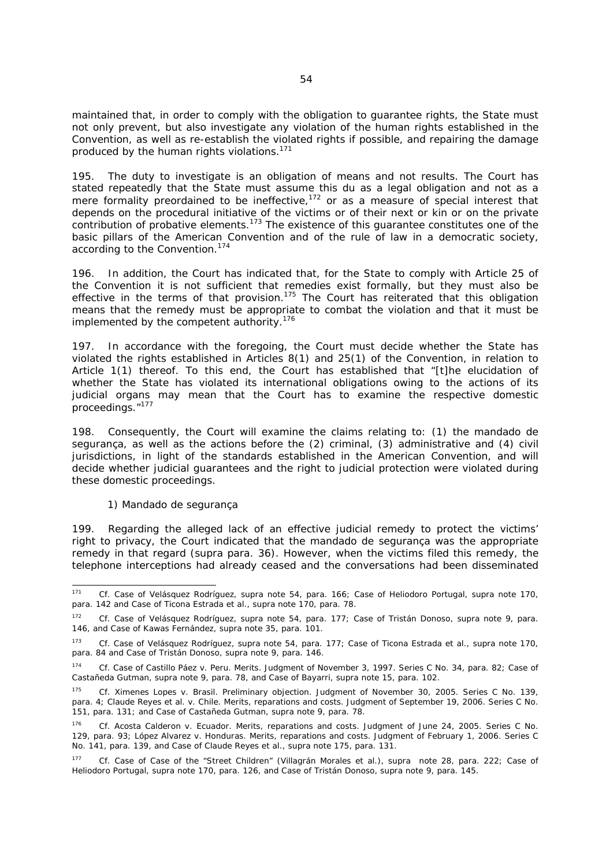maintained that, in order to comply with the obligation to guarantee rights, the State must not only prevent, but also investigate any violation of the human rights established in the Convention, as well as re-establish the violated rights if possible, and repairing the damage produced by the human rights violations.<sup>171</sup>

The duty to investigate is an obligation of means and not results. The Court has stated repeatedly that the State must assume this du as a legal obligation and not as a mere formality preordained to be ineffective, $172$  or as a measure of special interest that depends on the procedural initiative of the victims or of their next or kin or on the private contribution of probative elements.<sup>173</sup> The existence of this guarantee constitutes one of the basic pillars of the American Convention and of the rule of law in a democratic society, according to the Convention.<sup>174</sup>

196. In addition, the Court has indicated that, for the State to comply with Article 25 of the Convention it is not sufficient that remedies exist formally, but they must also be effective in the terms of that provision.<sup>175</sup> The Court has reiterated that this obligation means that the remedy must be appropriate to combat the violation and that it must be implemented by the competent authority.<sup>176</sup>

197. In accordance with the foregoing, the Court must decide whether the State has violated the rights established in Articles 8(1) and 25(1) of the Convention, in relation to Article 1(1) thereof. To this end, the Court has established that "[t]he elucidation of whether the State has violated its international obligations owing to the actions of its judicial organs may mean that the Court has to examine the respective domestic proceedings."<sup>177</sup>

198. Consequently, the Court will examine the claims relating to: (1) the *mandado de segurança*, as well as the actions before the (2) criminal, (3) administrative and (4) civil jurisdictions, in light of the standards established in the American Convention, and will decide whether judicial guarantees and the right to judicial protection were violated during these domestic proceedings.

#### *1) Mandado de segurança*

199. Regarding the alleged lack of an effective judicial remedy to protect the victims' right to privacy, the Court indicated that the *mandado de segurança* was the appropriate remedy in that regard (*supra* para. 36). However, when the victims filed this remedy, the telephone interceptions had already ceased and the conversations had been disseminated

 $171$ <sup>171</sup> *Cf. Case of Velásquez Rodríguez*, *supra* note 54, para. 166; *Case of Heliodoro Portugal*, *supra* note 170, para. 142 and *Case of Ticona Estrada et al., supra* note 170, para. 78.

<sup>172</sup> *Cf. Case of Velásquez Rodríguez, supra* note 54, para. 177; *Case of Tristán Donoso, supra* note 9, para. 146, and Case of *Kawas Fernández, supra* note 35, para. 101.

<sup>173</sup> *Cf. Case of Velásquez Rodríguez, supra* note 54, para. 177; *Case of Ticona Estrada et al.*, *supra* note 170, para. 84 and *Case of Tristán Donoso, supra* note 9, para. 146.

<sup>174</sup> *Cf. Case of Castillo Páez v. Peru*. *Merits.* Judgment of November 3, 1997. Series C No. 34, para. 82; *Case of Castañeda Gutman*, *supra* note 9, para. 78, and *Case of Bayarri*, *supra* note 15, para. 102.

<sup>175</sup> *Cf. Ximenes Lopes v. Brasil*. *Preliminary objection.* Judgment of November 30, 2005. Series C No. 139, para. 4; *Claude Reyes et al. v. Chile*. *Merits, reparations and costs*. Judgment of September 19, 2006. Series C No. 151, para. 131; and *Case of Castañeda Gutman*, *supra* note 9, para. 78.

<sup>176</sup> *Cf. Acosta Calderon v. Ecuador*. *Merits, reparations and costs.* Judgment of June 24, 2005. Series C No. 129, para. 93; *López Alvarez v. Honduras*. *Merits, reparations and costs*. Judgment of February 1, 2006. Series C No. 141, para. 139, and *Case of Claude Reyes et al.*, *supra* note 175, para. 131.

<sup>177</sup> *Cf. Case of Case of the "Street Children" (Villagrán Morales et al.), supra note 28, para. 222; Case of Heliodoro Portugal, supra note 170, para. 126, and Case of Tristán Donoso, supra* note 9, para. 145.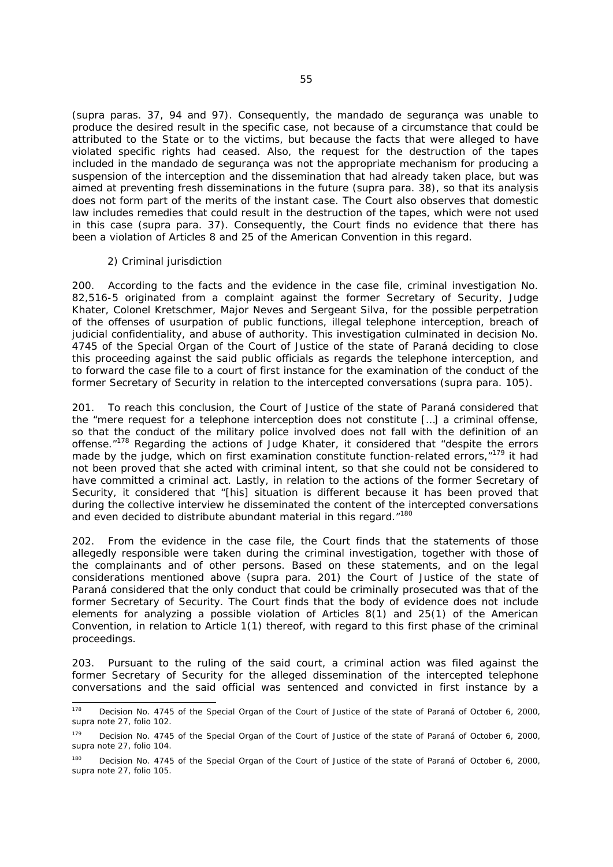(*supra* paras. 37, 94 and 97). Consequently, the *mandado de segurança* was unable to produce the desired result in the specific case, not because of a circumstance that could be attributed to the State or to the victims, but because the facts that were alleged to have violated specific rights had ceased. Also, the request for the destruction of the tapes included in the *mandado de segurança* was not the appropriate mechanism for producing a suspension of the interception and the dissemination that had already taken place, but was aimed at preventing fresh disseminations in the future (*supra* para. 38), so that its analysis does not form part of the merits of the instant case. The Court also observes that domestic law includes remedies that could result in the destruction of the tapes, which were not used in this case (*supra* para. 37). Consequently, the Court finds no evidence that there has been a violation of Articles 8 and 25 of the American Convention in this regard.

#### *2) Criminal jurisdiction*

200. According to the facts and the evidence in the case file, criminal investigation No. 82,516-5 originated from a complaint against the former Secretary of Security, Judge Khater, Colonel Kretschmer, Major Neves and Sergeant Silva, for the possible perpetration of the offenses of usurpation of public functions, illegal telephone interception, breach of judicial confidentiality, and abuse of authority. This investigation culminated in decision No. 4745 of the Special Organ of the Court of Justice of the state of Paraná deciding to close this proceeding against the said public officials as regards the telephone interception, and to forward the case file to a court of first instance for the examination of the conduct of the former Secretary of Security in relation to the intercepted conversations (*supra* para. 105).

201. To reach this conclusion, the Court of Justice of the state of Paraná considered that the "mere request for a telephone interception does not constitute […] a criminal offense, so that the conduct of the military police involved does not fall with the definition of an offense."178 Regarding the actions of Judge Khater, it considered that "despite the errors made by the judge, which on first examination constitute function-related errors, "<sup>179</sup> it had not been proved that she acted with criminal intent, so that she could not be considered to have committed a criminal act. Lastly, in relation to the actions of the former Secretary of Security, it considered that "[his] situation is different because it has been proved that during the collective interview he disseminated the content of the intercepted conversations and even decided to distribute abundant material in this regard. "180

202. From the evidence in the case file, the Court finds that the statements of those allegedly responsible were taken during the criminal investigation, together with those of the complainants and of other persons. Based on these statements, and on the legal considerations mentioned above (*supra* para. 201) the Court of Justice of the state of Paraná considered that the only conduct that could be criminally prosecuted was that of the former Secretary of Security. The Court finds that the body of evidence does not include elements for analyzing a possible violation of Articles  $8(1)$  and  $25(1)$  of the American Convention, in relation to Article 1(1) thereof, with regard to this first phase of the criminal proceedings.

203. Pursuant to the ruling of the said court, a criminal action was filed against the former Secretary of Security for the alleged dissemination of the intercepted telephone conversations and the said official was sentenced and convicted in first instance by a

<sup>178</sup> Decision No. 4745 of the Special Organ of the Court of Justice of the state of Paraná of October 6, 2000, *supra* note 27, folio 102.

Decision No. 4745 of the Special Organ of the Court of Justice of the state of Paraná of October 6, 2000, s*upra* note 27, folio 104.

<sup>&</sup>lt;sup>180</sup> Decision No. 4745 of the Special Organ of the Court of Justice of the state of Paraná of October 6, 2000, s*upra* note 27, folio 105.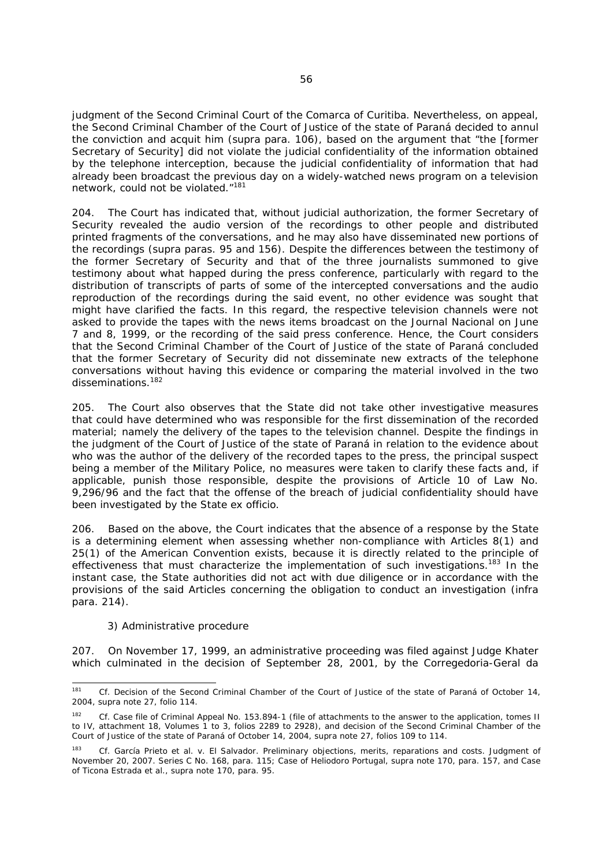judgment of the Second Criminal Court of the Comarca of Curitiba. Nevertheless, on appeal, the Second Criminal Chamber of the Court of Justice of the state of Paraná decided to annul the conviction and acquit him (*supra* para. 106), based on the argument that "the [former Secretary of Security] did not violate the judicial confidentiality of the information obtained by the telephone interception, because the judicial confidentiality of information that had already been broadcast the previous day on a widely-watched news program on a television network, could not be violated."181

204. The Court has indicated that, without judicial authorization, the former Secretary of Security revealed the audio version of the recordings to other people and distributed printed fragments of the conversations, and he may also have disseminated new portions of the recordings (supra paras. 95 and 156). Despite the differences between the testimony of the former Secretary of Security and that of the three journalists summoned to give testimony about what happed during the press conference, particularly with regard to the distribution of transcripts of parts of some of the intercepted conversations and the audio reproduction of the recordings during the said event, no other evidence was sought that might have clarified the facts. In this regard, the respective television channels were not asked to provide the tapes with the news items broadcast on the *Journal Nacional* on June 7 and 8, 1999, or the recording of the said press conference. Hence, the Court considers that the Second Criminal Chamber of the Court of Justice of the state of Paraná concluded that the former Secretary of Security did not disseminate new extracts of the telephone conversations without having this evidence or comparing the material involved in the two disseminations.<sup>182</sup>

205. The Court also observes that the State did not take other investigative measures that could have determined who was responsible for the first dissemination of the recorded material; namely the delivery of the tapes to the television channel. Despite the findings in the judgment of the Court of Justice of the state of Paraná in relation to the evidence about who was the author of the delivery of the recorded tapes to the press, the principal suspect being a member of the Military Police, no measures were taken to clarify these facts and, if applicable, punish those responsible, despite the provisions of Article 10 of Law No. 9,296/96 and the fact that the offense of the breach of judicial confidentiality should have been investigated by the State *ex officio*.

206. Based on the above, the Court indicates that the absence of a response by the State is a determining element when assessing whether non-compliance with Articles 8(1) and 25(1) of the American Convention exists, because it is directly related to the principle of effectiveness that must characterize the implementation of such investigations.<sup>183</sup> In the instant case, the State authorities did not act with due diligence or in accordance with the provisions of the said Articles concerning the obligation to conduct an investigation (*infra* para. 214).

#### *3) Administrative procedure*

207. On November 17, 1999, an administrative proceeding was filed against Judge Khater which culminated in the decision of September 28, 2001, by the *Corregedoria-Geral da* 

<sup>181</sup> Cf. Decision of the Second Criminal Chamber of the Court of Justice of the state of Paraná of October 14, 2004, *supra* note 27, folio 114.

<sup>182</sup> *Cf.* Case file of Criminal Appeal No. 153.894-1 (file of attachments to the answer to the application, tomes II to IV, attachment 18, Volumes 1 to 3, folios 2289 to 2928), and decision of the Second Criminal Chamber of the Court of Justice of the state of Paraná of October 14, 2004, *supra* note 27, folios 109 to 114.

<sup>183</sup> *Cf. García Prieto et al. v. El Salvador. Preliminary objections, merits, reparations and costs.* Judgment of November 20, 2007. Series C No. 168, para. 115; *Case of Heliodoro Portugal, supra* note 170, para. 157, and *Case of Ticona Estrada et al.*, *supra* note 170, para. 95.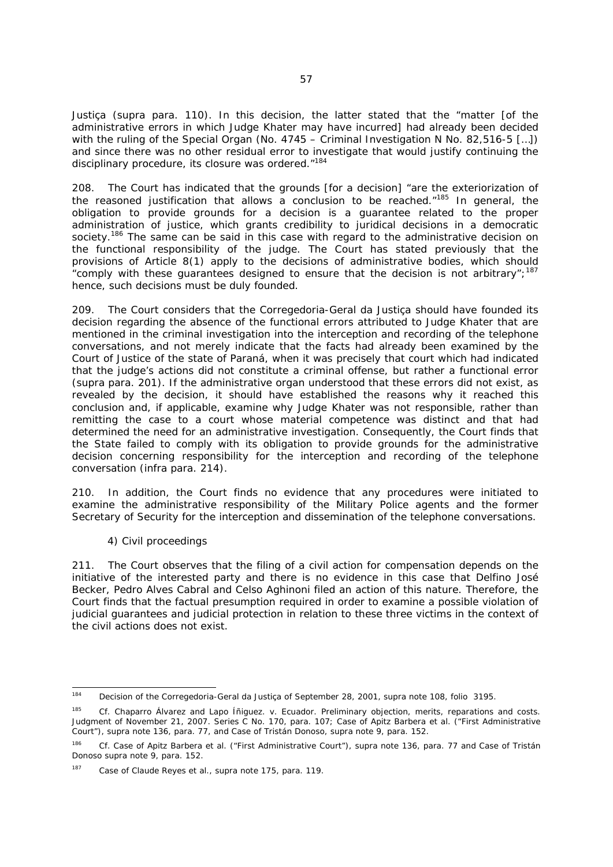*Justiça* (*supra* para. 110). In this decision, the latter stated that the "matter [of the administrative errors in which Judge Khater may have incurred] had already been decided with the ruling of the Special Organ (No. 4745 – Criminal Investigation N No. 82,516-5 [...]) and since there was no other residual error to investigate that would justify continuing the disciplinary procedure, its closure was ordered."<sup>184</sup>

208. The Court has indicated that the grounds [for a decision] "are the exteriorization of the reasoned justification that allows a conclusion to be reached. $185$  In general, the obligation to provide grounds for a decision is a guarantee related to the proper administration of justice, which grants credibility to juridical decisions in a democratic society.<sup>186</sup> The same can be said in this case with regard to the administrative decision on the functional responsibility of the judge. The Court has stated previously that the provisions of Article 8(1) apply to the decisions of administrative bodies, which should "comply with these guarantees designed to ensure that the decision is not arbitrary":<sup>187</sup> hence, such decisions must be duly founded.

209. The Court considers that the *Corregedoria-Geral da Justiça* should have founded its decision regarding the absence of the functional errors attributed to Judge Khater that are mentioned in the criminal investigation into the interception and recording of the telephone conversations, and not merely indicate that the facts had already been examined by the Court of Justice of the state of Paraná, when it was precisely that court which had indicated that the judge's actions did not constitute a criminal offense, but rather a functional error (*supra* para. 201). If the administrative organ understood that these errors did not exist, as revealed by the decision, it should have established the reasons why it reached this conclusion and, if applicable, examine why Judge Khater was not responsible, rather than remitting the case to a court whose material competence was distinct and that had determined the need for an administrative investigation. Consequently, the Court finds that the State failed to comply with its obligation to provide grounds for the administrative decision concerning responsibility for the interception and recording of the telephone conversation (*infra* para. 214).

210. In addition, the Court finds no evidence that any procedures were initiated to examine the administrative responsibility of the Military Police agents and the former Secretary of Security for the interception and dissemination of the telephone conversations.

# *4) Civil proceedings*

211. The Court observes that the filing of a civil action for compensation depends on the initiative of the interested party and there is no evidence in this case that Delfino José Becker, Pedro Alves Cabral and Celso Aghinoni filed an action of this nature. Therefore, the Court finds that the factual presumption required in order to examine a possible violation of judicial guarantees and judicial protection in relation to these three victims in the context of the civil actions does not exist.

<sup>184</sup> 184 Decision of the *Corregedoria-Geral da Justiça* of September 28, 2001, *supra* note 108, folio 3195.

<sup>185</sup> *Cf. Chaparro Álvarez and Lapo Íñiguez. v. Ecuador. Preliminary objection, merits, reparations and costs*. Judgment of November 21, 2007. Series C No. 170, para. 107*; Case of Apitz Barbera et al. ("First Administrative Court"), supra* note 136*,* para. 77, and *Case of Tristán Donoso, supra* note 9, para. 152.

<sup>186</sup> *Cf. Case of Apitz Barbera et al. ("First Administrative Court"), supra* note 136, para. 77 and *Case of Tristán Donoso supra* note 9, para. 152.

<sup>187</sup> *Case of Claude Reyes et al., supra* note 175, para. 119.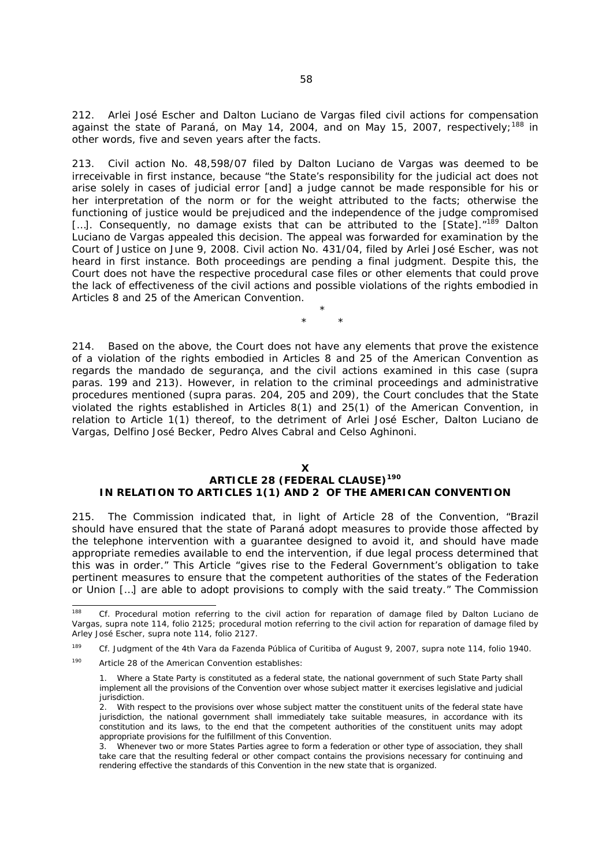212. Arlei José Escher and Dalton Luciano de Vargas filed civil actions for compensation against the state of Paraná, on May 14, 2004, and on May 15, 2007, respectively;<sup>188</sup> in other words, five and seven years after the facts.

213. Civil action No. 48,598/07 filed by Dalton Luciano de Vargas was deemed to be irreceivable in first instance, because "the State's responsibility for the judicial act does not arise solely in cases of judicial error [and] a judge cannot be made responsible for his or her interpretation of the norm or for the weight attributed to the facts; otherwise the functioning of justice would be prejudiced and the independence of the judge compromised [...]. Consequently, no damage exists that can be attributed to the [State]."<sup>189</sup> Dalton Luciano de Vargas appealed this decision. The appeal was forwarded for examination by the Court of Justice on June 9, 2008. Civil action No. 431/04, filed by Arlei José Escher, was not heard in first instance. Both proceedings are pending a final judgment. Despite this, the Court does not have the respective procedural case files or other elements that could prove the lack of effectiveness of the civil actions and possible violations of the rights embodied in Articles 8 and 25 of the American Convention.

> \* \* \*

214. Based on the above, the Court does not have any elements that prove the existence of a violation of the rights embodied in Articles 8 and 25 of the American Convention as regards the *mandado de segurança*, and the civil actions examined in this case (*supra* paras. 199 and 213). However, in relation to the criminal proceedings and administrative procedures mentioned (*supra* paras. 204, 205 and 209), the Court concludes that the State violated the rights established in Articles 8(1) and 25(1) of the American Convention, in relation to Article 1(1) thereof, to the detriment of Arlei José Escher, Dalton Luciano de Vargas, Delfino José Becker, Pedro Alves Cabral and Celso Aghinoni.

#### **X**

## **ARTICLE 28 (FEDERAL CLAUSE)<sup>190</sup> IN RELATION TO ARTICLES 1(1) AND 2 OF THE AMERICAN CONVENTION**

215. The Commission indicated that, in light of Article 28 of the Convention, "Brazil should have ensured that the state of Paraná adopt measures to provide those affected by the telephone intervention with a guarantee designed to avoid it, and should have made appropriate remedies available to end the intervention, if due legal process determined that this was in order." This Article "gives rise to the Federal Government's obligation to take pertinent measures to ensure that the competent authorities of the states of the Federation or Union […] are able to adopt provisions to comply with the said treaty." The Commission

190 Article 28 of the American Convention establishes:

<sup>188</sup> Cf. Procedural motion referring to the civil action for reparation of damage filed by Dalton Luciano de Vargas, *supra* note 114, folio 2125; procedural motion referring to the civil action for reparation of damage filed by Arley José Escher, *supra* note 114, folio 2127.

<sup>189</sup> *Cf.* Judgment of the *4th Vara da Fazenda Pública* of Curitiba of August 9, 2007, *supra* note 114, folio 1940.

<sup>1.</sup> Where a State Party is constituted as a federal state, the national government of such State Party shall implement all the provisions of the Convention over whose subject matter it exercises legislative and judicial jurisdiction.

<sup>2.</sup> With respect to the provisions over whose subject matter the constituent units of the federal state have jurisdiction, the national government shall immediately take suitable measures, in accordance with its constitution and its laws, to the end that the competent authorities of the constituent units may adopt appropriate provisions for the fulfillment of this Convention.

<sup>3.</sup> Whenever two or more States Parties agree to form a federation or other type of association, they shall take care that the resulting federal or other compact contains the provisions necessary for continuing and rendering effective the standards of this Convention in the new state that is organized.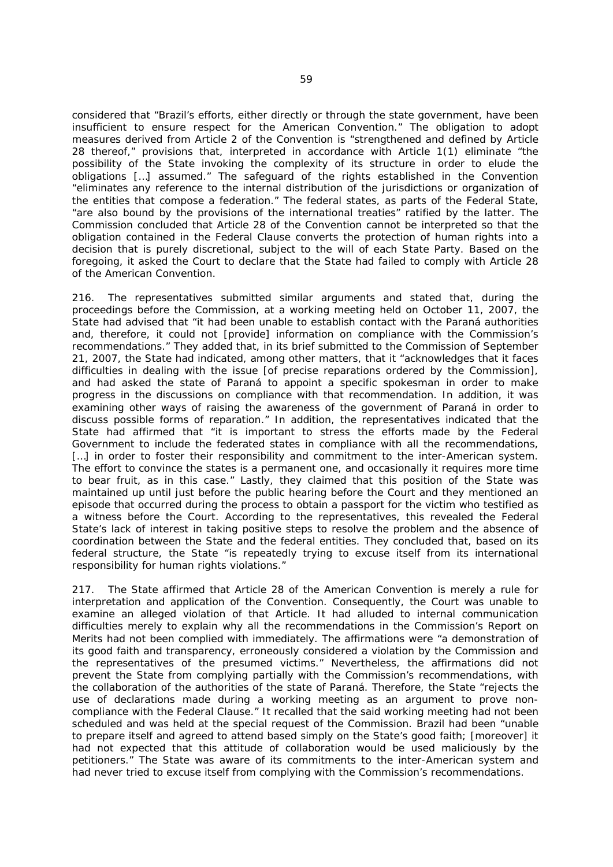considered that "Brazil's efforts, either directly or through the state government, have been insufficient to ensure respect for the American Convention." The obligation to adopt measures derived from Article 2 of the Convention is "strengthened and defined by Article 28 thereof," provisions that, interpreted in accordance with Article 1(1) eliminate "the possibility of the State invoking the complexity of its structure in order to elude the obligations […] assumed." The safeguard of the rights established in the Convention "eliminates any reference to the internal distribution of the jurisdictions or organization of the entities that compose a federation." The federal states, as parts of the Federal State, "are also bound by the provisions of the international treaties" ratified by the latter. The Commission concluded that Article 28 of the Convention cannot be interpreted so that the obligation contained in the Federal Clause converts the protection of human rights into a decision that is purely discretional, subject to the will of each State Party. Based on the foregoing, it asked the Court to declare that the State had failed to comply with Article 28 of the American Convention.

216. The representatives submitted similar arguments and stated that, during the proceedings before the Commission, at a working meeting held on October 11, 2007, the State had advised that "it had been unable to establish contact with the Paraná authorities and, therefore, it could not [provide] information on compliance with the Commission's recommendations." They added that, in its brief submitted to the Commission of September 21, 2007, the State had indicated, among other matters, that it "acknowledges that it faces difficulties in dealing with the issue [of precise reparations ordered by the Commission], and had asked the state of Paraná to appoint a specific spokesman in order to make progress in the discussions on compliance with that recommendation. In addition, it was examining other ways of raising the awareness of the government of Paraná in order to discuss possible forms of reparation." In addition, the representatives indicated that the State had affirmed that "it is important to stress the efforts made by the Federal Government to include the federated states in compliance with all the recommendations, [...] in order to foster their responsibility and commitment to the inter-American system. The effort to convince the states is a permanent one, and occasionally it requires more time to bear fruit, as in this case." Lastly, they claimed that this position of the State was maintained up until just before the public hearing before the Court and they mentioned an episode that occurred during the process to obtain a passport for the victim who testified as a witness before the Court. According to the representatives, this revealed the Federal State's lack of interest in taking positive steps to resolve the problem and the absence of coordination between the State and the federal entities. They concluded that, based on its federal structure, the State "is repeatedly trying to excuse itself from its international responsibility for human rights violations."

217. The State affirmed that Article 28 of the American Convention is merely a rule for interpretation and application of the Convention. Consequently, the Court was unable to examine an alleged violation of that Article. It had alluded to internal communication difficulties merely to explain why all the recommendations in the Commission's Report on Merits had not been complied with immediately. The affirmations were "a demonstration of its good faith and transparency, erroneously considered a violation by the Commission and the representatives of the presumed victims." Nevertheless, the affirmations did not prevent the State from complying partially with the Commission's recommendations, with the collaboration of the authorities of the state of Paraná. Therefore, the State "rejects the use of declarations made during a working meeting as an argument to prove noncompliance with the Federal Clause." It recalled that the said working meeting had not been scheduled and was held at the special request of the Commission. Brazil had been "unable to prepare itself and agreed to attend based simply on the State's good faith; [moreover] it had not expected that this attitude of collaboration would be used maliciously by the petitioners." The State was aware of its commitments to the inter-American system and had never tried to excuse itself from complying with the Commission's recommendations.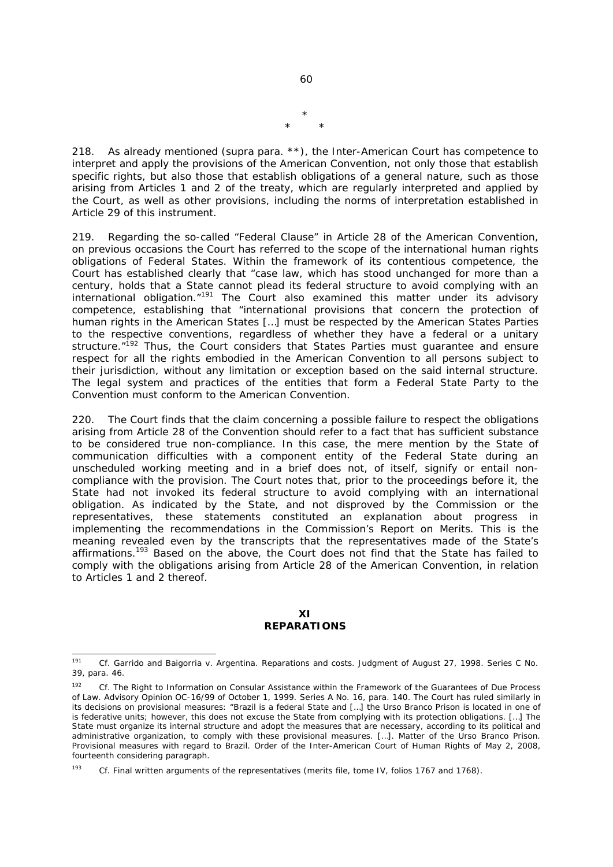$60$ 

\* \* \*

218. As already mentioned (*supra* para. \*\*), the Inter-American Court has competence to interpret and apply the provisions of the American Convention, not only those that establish specific rights, but also those that establish obligations of a general nature, such as those arising from Articles 1 and 2 of the treaty, which are regularly interpreted and applied by the Court, as well as other provisions, including the norms of interpretation established in Article 29 of this instrument.

219. Regarding the so-called "Federal Clause" in Article 28 of the American Convention, on previous occasions the Court has referred to the scope of the international human rights obligations of Federal States. Within the framework of its contentious competence, the Court has established clearly that "case law, which has stood unchanged for more than a century, holds that a State cannot plead its federal structure to avoid complying with an international obligation. $n^{191}$  The Court also examined this matter under its advisory competence, establishing that "international provisions that concern the protection of human rights in the American States […] must be respected by the American States Parties to the respective conventions, regardless of whether they have a federal or a unitary structure."<sup>192</sup> Thus, the Court considers that States Parties must quarantee and ensure respect for all the rights embodied in the American Convention to all persons subject to their jurisdiction, without any limitation or exception based on the said internal structure. The legal system and practices of the entities that form a Federal State Party to the Convention must conform to the American Convention.

220. The Court finds that the claim concerning a possible failure to respect the obligations arising from Article 28 of the Convention should refer to a fact that has sufficient substance to be considered true non-compliance. In this case, the mere mention by the State of communication difficulties with a component entity of the Federal State during an unscheduled working meeting and in a brief does not, of itself, signify or entail noncompliance with the provision. The Court notes that, prior to the proceedings before it, the State had not invoked its federal structure to avoid complying with an international obligation. As indicated by the State, and not disproved by the Commission or the representatives, these statements constituted an explanation about progress in implementing the recommendations in the Commission's Report on Merits. This is the meaning revealed even by the transcripts that the representatives made of the State's affirmations.<sup>193</sup> Based on the above, the Court does not find that the State has failed to comply with the obligations arising from Article 28 of the American Convention, in relation to Articles 1 and 2 thereof.

#### **XI REPARATIONS**

<sup>191</sup> 191 *Cf. Garrido and Baigorria v. Argentina. Reparations and costs*. Judgment of August 27, 1998. Series C No. 39, para. 46.

<sup>192</sup> *Cf.* The Right to Information on Consular Assistance within the Framework of the Guarantees of Due Process of Law. Advisory Opinion OC-16/99 of October 1, 1999. Series A No. 16, para. 140. The Court has ruled similarly in its decisions on provisional measures: "Brazil is a federal State and […] the Urso Branco Prison is located in one of is federative units; however, this does not excuse the State from complying with its protection obligations. […] The State must organize its internal structure and adopt the measures that are necessary, according to its political and administrative organization, to comply with these provisional measures. […]. *Matter of the Urso Branco Prison*. Provisional measures with regard to Brazil. Order of the Inter-American Court of Human Rights of May 2, 2008, fourteenth considering paragraph.

<sup>193</sup> *Cf.* Final written arguments of the representatives (merits file, tome IV, folios 1767 and 1768).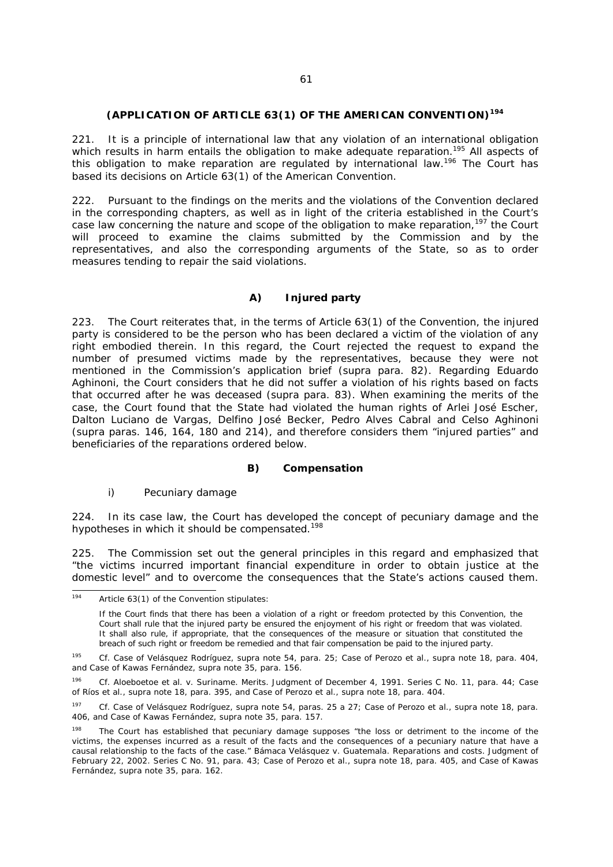#### **(APPLICATION OF ARTICLE 63(1) OF THE AMERICAN CONVENTION)<sup>194</sup>**

221. It is a principle of international law that any violation of an international obligation which results in harm entails the obligation to make adequate reparation.<sup>195</sup> All aspects of this obligation to make reparation are regulated by international law.<sup>196</sup> The Court has based its decisions on Article 63(1) of the American Convention.

222. Pursuant to the findings on the merits and the violations of the Convention declared in the corresponding chapters, as well as in light of the criteria established in the Court's case law concerning the nature and scope of the obligation to make reparation,<sup>197</sup> the Court will proceed to examine the claims submitted by the Commission and by the representatives, and also the corresponding arguments of the State, so as to order measures tending to repair the said violations.

# *A) Injured party*

223. The Court reiterates that, in the terms of Article 63(1) of the Convention, the injured party is considered to be the person who has been declared a victim of the violation of any right embodied therein. In this regard, the Court rejected the request to expand the number of presumed victims made by the representatives, because they were not mentioned in the Commission's application brief (*supra* para. 82). Regarding Eduardo Aghinoni, the Court considers that he did not suffer a violation of his rights based on facts that occurred after he was deceased (*supra* para. 83). When examining the merits of the case, the Court found that the State had violated the human rights of Arlei José Escher, Dalton Luciano de Vargas, Delfino José Becker, Pedro Alves Cabral and Celso Aghinoni (*supra* paras. 146, 164, 180 and 214), and therefore considers them "injured parties" and beneficiaries of the reparations ordered below.

### *B) Compensation*

## *i) Pecuniary damage*

224. In its case law, the Court has developed the concept of pecuniary damage and the hypotheses in which it should be compensated.<sup>198</sup>

225. The Commission set out the general principles in this regard and emphasized that "the victims incurred important financial expenditure in order to obtain justice at the domestic level" and to overcome the consequences that the State's actions caused them.

 $194$ Article 63(1) of the Convention stipulates:

If the Court finds that there has been a violation of a right or freedom protected by this Convention, the Court shall rule that the injured party be ensured the enjoyment of his right or freedom that was violated. It shall also rule, if appropriate, that the consequences of the measure or situation that constituted the breach of such right or freedom be remedied and that fair compensation be paid to the injured party.

<sup>195</sup> *Cf. Case of Velásquez Rodríguez, supra* note 54*,* para. 25; *Case of Perozo et al.*, *supra* note 18, para. 404, and *Case of Kawas Fernández*, *supra* note 35, para. 156.

<sup>196</sup> *Cf. Aloeboetoe et al. v. Suriname*. *Merits*. Judgment of December 4, 1991. Series C No. 11, para. 44; *Case of Ríos et al.*, *supra* note 18, para. 395, and *Case of Perozo et al.*, *supra* note 18, para. 404.

<sup>197</sup> *Cf. Case of Velásquez Rodríguez, supra* note 54, paras. 25 a 27; *Case of Perozo et al.*, *supra* note 18, para. 406, and *Case of Kawas Fernández*, *supra* note 35, para. 157.

<sup>&</sup>lt;sup>198</sup> The Court has established that pecuniary damage supposes "the loss or detriment to the income of the victims, the expenses incurred as a result of the facts and the consequences of a pecuniary nature that have a causal relationship to the facts of the case." *Bámaca Velásquez v. Guatemala. Reparations and costs.* Judgment of February 22, 2002. Series C No. 91, para. 43; *Case of Perozo et al.*, *supra* note 18, para. 405, and *Case of Kawas Fernández*, *supra* note 35, para. 162.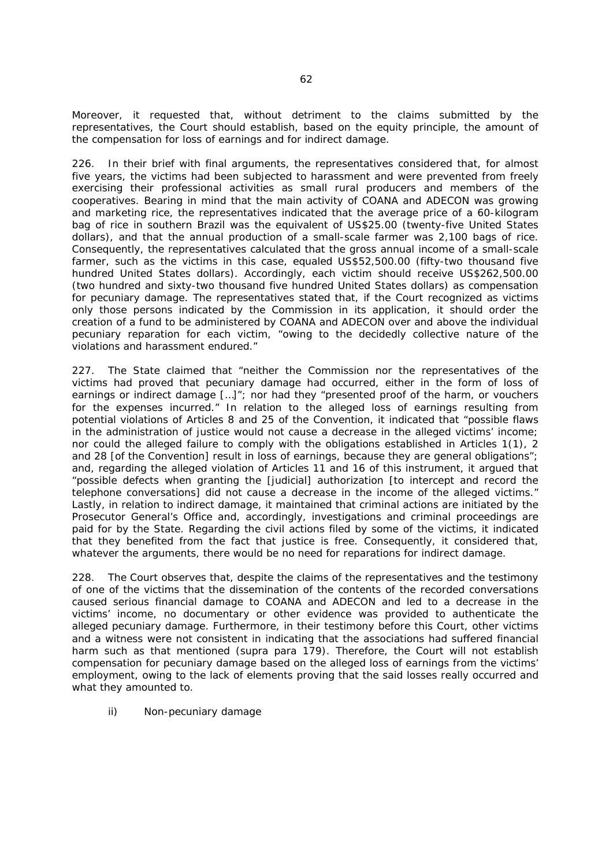Moreover, it requested that, without detriment to the claims submitted by the representatives, the Court should establish, based on the equity principle, the amount of the compensation for loss of earnings and for indirect damage.

226. In their brief with final arguments, the representatives considered that, for almost five years, the victims had been subjected to harassment and were prevented from freely exercising their professional activities as small rural producers and members of the cooperatives. Bearing in mind that the main activity of COANA and ADECON was growing and marketing rice, the representatives indicated that the average price of a 60-kilogram bag of rice in southern Brazil was the equivalent of US\$25.00 (twenty-five United States dollars), and that the annual production of a small-scale farmer was 2,100 bags of rice. Consequently, the representatives calculated that the gross annual income of a small-scale farmer, such as the victims in this case, equaled US\$52,500.00 (fifty-two thousand five hundred United States dollars). Accordingly, each victim should receive US\$262,500.00 (two hundred and sixty-two thousand five hundred United States dollars) as compensation for pecuniary damage. The representatives stated that, if the Court recognized as victims only those persons indicated by the Commission in its application, it should order the creation of a fund to be administered by COANA and ADECON over and above the individual pecuniary reparation for each victim, "owing to the decidedly collective nature of the violations and harassment endured."

227. The State claimed that "neither the Commission nor the representatives of the victims had proved that pecuniary damage had occurred, either in the form of loss of earnings or indirect damage […]"; nor had they "presented proof of the harm, or vouchers for the expenses incurred." In relation to the alleged loss of earnings resulting from potential violations of Articles 8 and 25 of the Convention, it indicated that "possible flaws in the administration of justice would not cause a decrease in the alleged victims' income; nor could the alleged failure to comply with the obligations established in Articles 1(1), 2 and 28 [of the Convention] result in loss of earnings, because they are general obligations"; and, regarding the alleged violation of Articles 11 and 16 of this instrument, it argued that "possible defects when granting the [judicial] authorization [to intercept and record the telephone conversations] did not cause a decrease in the income of the alleged victims." Lastly, in relation to indirect damage, it maintained that criminal actions are initiated by the Prosecutor General's Office and, accordingly, investigations and criminal proceedings are paid for by the State. Regarding the civil actions filed by some of the victims, it indicated that they benefited from the fact that justice is free. Consequently, it considered that, whatever the arguments, there would be no need for reparations for indirect damage.

228. The Court observes that, despite the claims of the representatives and the testimony of one of the victims that the dissemination of the contents of the recorded conversations caused serious financial damage to COANA and ADECON and led to a decrease in the victims' income, no documentary or other evidence was provided to authenticate the alleged pecuniary damage. Furthermore, in their testimony before this Court, other victims and a witness were not consistent in indicating that the associations had suffered financial harm such as that mentioned (*supra* para 179). Therefore, the Court will not establish compensation for pecuniary damage based on the alleged loss of earnings from the victims' employment, owing to the lack of elements proving that the said losses really occurred and what they amounted to.

*ii) Non-pecuniary damage*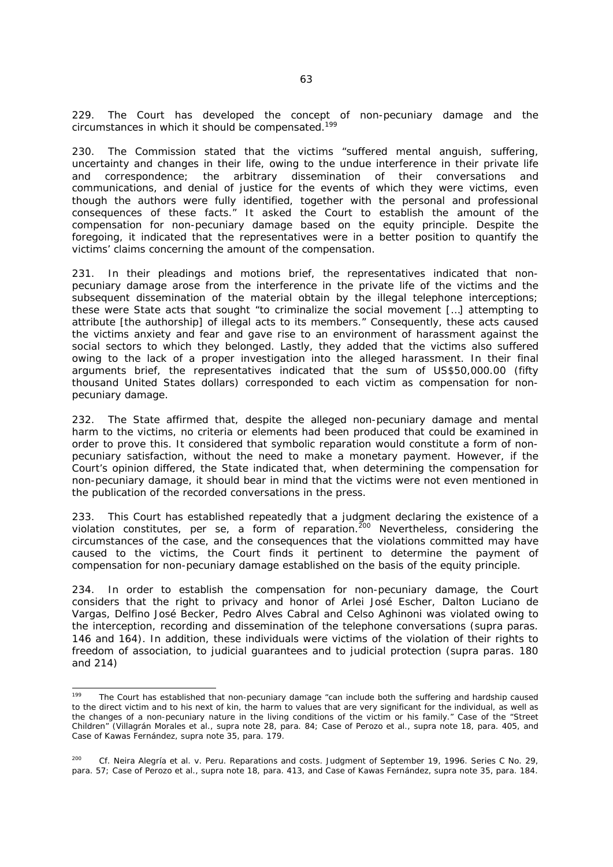229. The Court has developed the concept of non-pecuniary damage and the circumstances in which it should be compensated.<sup>199</sup>

230. The Commission stated that the victims "suffered mental anguish, suffering, uncertainty and changes in their life, owing to the undue interference in their private life and correspondence; the arbitrary dissemination of their conversations and communications, and denial of justice for the events of which they were victims, even though the authors were fully identified, together with the personal and professional consequences of these facts." It asked the Court to establish the amount of the compensation for non-pecuniary damage based on the equity principle. Despite the foregoing, it indicated that the representatives were in a better position to quantify the victims' claims concerning the amount of the compensation.

231. In their pleadings and motions brief, the representatives indicated that nonpecuniary damage arose from the interference in the private life of the victims and the subsequent dissemination of the material obtain by the illegal telephone interceptions; these were State acts that sought "to criminalize the social movement […] attempting to attribute [the authorship] of illegal acts to its members." Consequently, these acts caused the victims anxiety and fear and gave rise to an environment of harassment against the social sectors to which they belonged. Lastly, they added that the victims also suffered owing to the lack of a proper investigation into the alleged harassment. In their final arguments brief, the representatives indicated that the sum of US\$50,000.00 (fifty thousand United States dollars) corresponded to each victim as compensation for nonpecuniary damage.

232. The State affirmed that, despite the alleged non-pecuniary damage and mental harm to the victims, no criteria or elements had been produced that could be examined in order to prove this. It considered that symbolic reparation would constitute a form of nonpecuniary satisfaction, without the need to make a monetary payment. However, if the Court's opinion differed, the State indicated that, when determining the compensation for non-pecuniary damage, it should bear in mind that the victims were not even mentioned in the publication of the recorded conversations in the press.

233. This Court has established repeatedly that a judgment declaring the existence of a violation constitutes, *per se*, a form of reparation.<sup>200</sup> Nevertheless, considering the circumstances of the case, and the consequences that the violations committed may have caused to the victims, the Court finds it pertinent to determine the payment of compensation for non-pecuniary damage established on the basis of the equity principle.

234. In order to establish the compensation for non-pecuniary damage, the Court considers that the right to privacy and honor of Arlei José Escher, Dalton Luciano de Vargas, Delfino José Becker, Pedro Alves Cabral and Celso Aghinoni was violated owing to the interception, recording and dissemination of the telephone conversations (*supra* paras. 146 and 164). In addition, these individuals were victims of the violation of their rights to freedom of association, to judicial guarantees and to judicial protection (*supra* paras. 180 and 214)

 $199$ 199 The Court has established that non-pecuniary damage "can include both the suffering and hardship caused to the direct victim and to his next of kin, the harm to values that are very significant for the individual, as well as the changes of a non-pecuniary nature in the living conditions of the victim or his family." *Case of the "Street Children" (Villagrán Morales et al., supra* note 28, para. 84; *Case of Perozo et al.*, *supra* note 18, para. 405, and *Case of Kawas Fernández*, *supra* note 35, para. 179*.*

<sup>200</sup> *Cf*. *Neira Alegría et al. v. Peru.* Reparations and costs. Judgment of September 19, 1996. Series C No. 29, para. 57; *Case of Perozo et al.*, *supra* note 18, para. 413, and *Case of Kawas Fernández*, *supra* note 35, para. 184.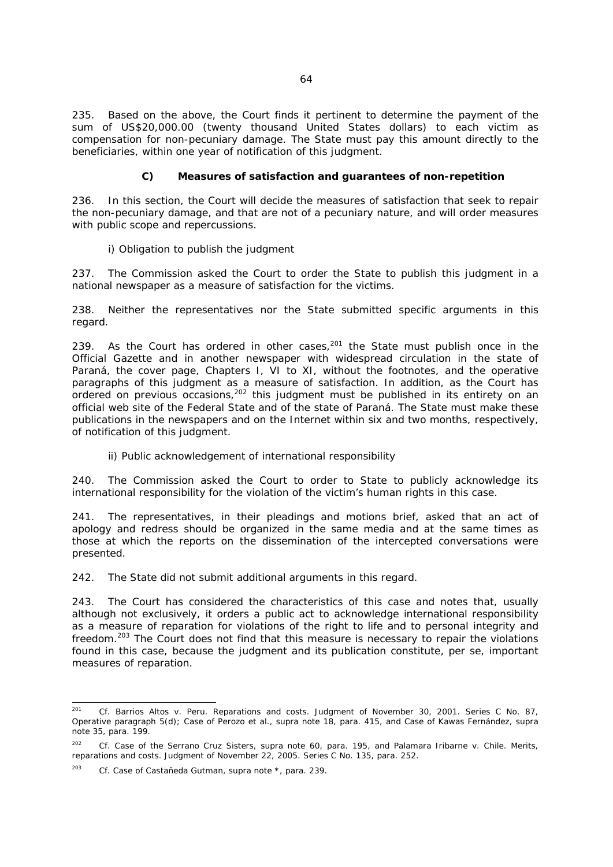235. Based on the above, the Court finds it pertinent to determine the payment of the sum of US\$20,000.00 (twenty thousand United States dollars) to each victim as compensation for non-pecuniary damage. The State must pay this amount directly to the beneficiaries, within one year of notification of this judgment.

## *C) Measures of satisfaction and guarantees of non-repetition*

236. In this section, the Court will decide the measures of satisfaction that seek to repair the non-pecuniary damage, and that are not of a pecuniary nature, and will order measures with public scope and repercussions.

## *i) Obligation to publish the judgment*

237. The Commission asked the Court to order the State to publish this judgment in a national newspaper as a measure of satisfaction for the victims.

238. Neither the representatives nor the State submitted specific arguments in this regard.

239. As the Court has ordered in other cases,  $201$  the State must publish once in the Official Gazette and in another newspaper with widespread circulation in the state of Paraná, the cover page, Chapters I, VI to XI, without the footnotes, and the operative paragraphs of this judgment as a measure of satisfaction. In addition, as the Court has ordered on previous occasions,  $202$  this judgment must be published in its entirety on an official web site of the Federal State and of the state of Paraná. The State must make these publications in the newspapers and on the Internet within six and two months, respectively, of notification of this judgment.

### *ii) Public acknowledgement of international responsibility*

240. The Commission asked the Court to order to State to publicly acknowledge its international responsibility for the violation of the victim's human rights in this case.

241. The representatives, in their pleadings and motions brief, asked that an act of apology and redress should be organized in the same media and at the same times as those at which the reports on the dissemination of the intercepted conversations were presented.

242. The State did not submit additional arguments in this regard.

243. The Court has considered the characteristics of this case and notes that, usually although not exclusively, it orders a public act to acknowledge international responsibility as a measure of reparation for violations of the right to life and to personal integrity and freedom.203 The Court does not find that this measure is necessary to repair the violations found in this case, because the judgment and its publication constitute, *per se*, important measures of reparation.

 $201$ 201 *Cf. Barrios Altos v. Peru. Reparations and costs*. Judgment of November 30, 2001. Series C No. 87, Operative paragraph 5(d); *Case of Perozo et al.*, *supra* note 18, para. 415, and *Case of Kawas Fernández*, *supra* note 35, para. 199*.*

<sup>202</sup> *Cf. Case of the Serrano Cruz Sisters*, *supra* note 60, para. 195, and *Palamara Iribarne v. Chile*. *Merits, reparations and costs.* Judgment of November 22, 2005. Series C No. 135, para. 252.

<sup>203</sup> *Cf. Case of Castañeda Gutman, supra* note \*, para. 239.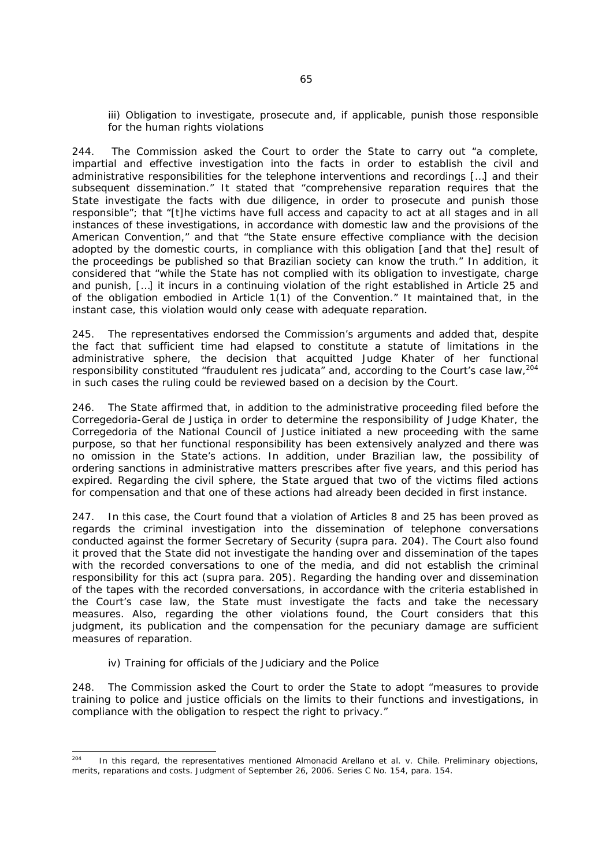*iii)* Obligation to investigate, prosecute and, if applicable, punish those responsible *for the human rights violations* 

244. The Commission asked the Court to order the State to carry out "a complete, impartial and effective investigation into the facts in order to establish the civil and administrative responsibilities for the telephone interventions and recordings […] and their subsequent dissemination." It stated that "comprehensive reparation requires that the State investigate the facts with due diligence, in order to prosecute and punish those responsible"; that "[t]he victims have full access and capacity to act at all stages and in all instances of these investigations, in accordance with domestic law and the provisions of the American Convention," and that "the State ensure effective compliance with the decision adopted by the domestic courts, in compliance with this obligation [and that the] result of the proceedings be published so that Brazilian society can know the truth." In addition, it considered that "while the State has not complied with its obligation to investigate, charge and punish, […] it incurs in a continuing violation of the right established in Article 25 and of the obligation embodied in Article 1(1) of the Convention." It maintained that, in the instant case, this violation would only cease with adequate reparation.

245. The representatives endorsed the Commission's arguments and added that, despite the fact that sufficient time had elapsed to constitute a statute of limitations in the administrative sphere, the decision that acquitted Judge Khater of her functional responsibility constituted "fraudulent *res judicata*" and, according to the Court's case law,<sup>204</sup> in such cases the ruling could be reviewed based on a decision by the Court.

246. The State affirmed that, in addition to the administrative proceeding filed before the *Corregedoria-Geral de Justiça* in order to determine the responsibility of Judge Khater, the *Corregedoria* of the National Council of Justice initiated a new proceeding with the same purpose, so that her functional responsibility has been extensively analyzed and there was no omission in the State's actions. In addition, under Brazilian law, the possibility of ordering sanctions in administrative matters prescribes after five years, and this period has expired. Regarding the civil sphere, the State argued that two of the victims filed actions for compensation and that one of these actions had already been decided in first instance.

247. In this case, the Court found that a violation of Articles 8 and 25 has been proved as regards the criminal investigation into the dissemination of telephone conversations conducted against the former Secretary of Security (*supra* para. 204). The Court also found it proved that the State did not investigate the handing over and dissemination of the tapes with the recorded conversations to one of the media, and did not establish the criminal responsibility for this act (*supra* para. 205). Regarding the handing over and dissemination of the tapes with the recorded conversations, in accordance with the criteria established in the Court's case law, the State must investigate the facts and take the necessary measures. Also, regarding the other violations found, the Court considers that this judgment, its publication and the compensation for the pecuniary damage are sufficient measures of reparation.

#### *iv) Training for officials of the Judiciary and the Police*

248. The Commission asked the Court to order the State to adopt "measures to provide training to police and justice officials on the limits to their functions and investigations, in compliance with the obligation to respect the right to privacy."

<sup>204</sup> 204 In this regard, the representatives mentioned *Almonacid Arellano et al. v. Chile*. *Preliminary objections, merits, reparations and costs*. Judgment of September 26, 2006. Series C No. 154, para. 154.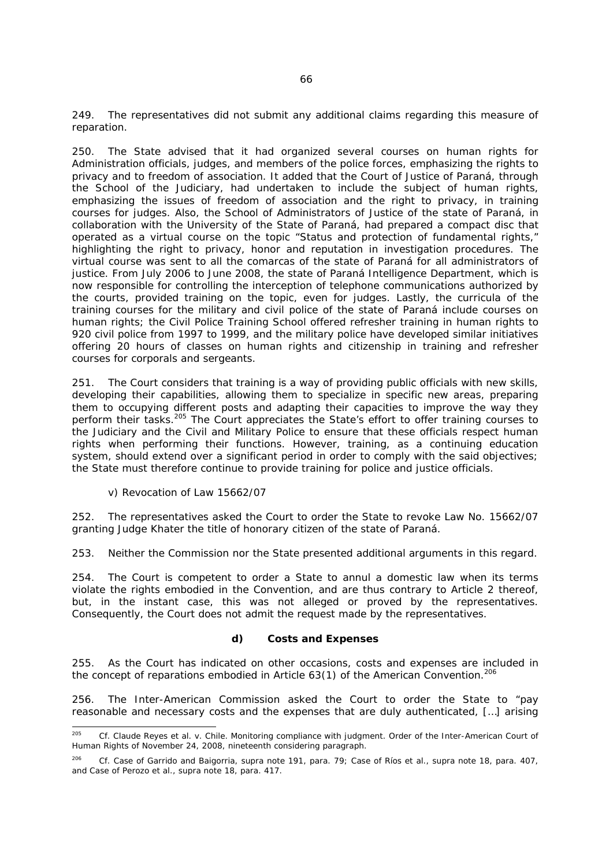249. The representatives did not submit any additional claims regarding this measure of reparation.

250. The State advised that it had organized several courses on human rights for Administration officials, judges, and members of the police forces, emphasizing the rights to privacy and to freedom of association. It added that the Court of Justice of Paraná, through the School of the Judiciary, had undertaken to include the subject of human rights, emphasizing the issues of freedom of association and the right to privacy, in training courses for judges. Also, the School of Administrators of Justice of the state of Paraná, in collaboration with the University of the State of Paraná, had prepared a compact disc that operated as a virtual course on the topic "Status and protection of fundamental rights," highlighting the right to privacy, honor and reputation in investigation procedures. The virtual course was sent to all the *comarcas* of the state of Paraná for all administrators of justice. From July 2006 to June 2008, the state of Paraná Intelligence Department, which is now responsible for controlling the interception of telephone communications authorized by the courts, provided training on the topic, even for judges. Lastly, the curricula of the training courses for the military and civil police of the state of Paraná include courses on human rights; the Civil Police Training School offered refresher training in human rights to 920 civil police from 1997 to 1999, and the military police have developed similar initiatives offering 20 hours of classes on human rights and citizenship in training and refresher courses for corporals and sergeants.

251. The Court considers that training is a way of providing public officials with new skills, developing their capabilities, allowing them to specialize in specific new areas, preparing them to occupying different posts and adapting their capacities to improve the way they perform their tasks.<sup>205</sup> The Court appreciates the State's effort to offer training courses to the Judiciary and the Civil and Military Police to ensure that these officials respect human rights when performing their functions. However, training, as a continuing education system, should extend over a significant period in order to comply with the said objectives; the State must therefore continue to provide training for police and justice officials.

## *v) Revocation of Law 15662/07*

252. The representatives asked the Court to order the State to revoke Law No. 15662/07 granting Judge Khater the title of honorary citizen of the state of Paraná.

253. Neither the Commission nor the State presented additional arguments in this regard.

254. The Court is competent to order a State to annul a domestic law when its terms violate the rights embodied in the Convention, and are thus contrary to Article 2 thereof, but, in the instant case, this was not alleged or proved by the representatives. Consequently, the Court does not admit the request made by the representatives.

#### *d) Costs and Expenses*

255. As the Court has indicated on other occasions, costs and expenses are included in the concept of reparations embodied in Article  $63(1)$  of the American Convention.<sup>206</sup>

256. The Inter-American Commission asked the Court to order the State to "pay reasonable and necessary costs and the expenses that are duly authenticated, […] arising

<sup>205</sup> 205 *Cf. Claude Reyes et al. v. Chile.* Monitoring compliance with judgment. Order of the Inter-American Court of Human Rights of November 24, 2008, nineteenth considering paragraph.

<sup>206</sup> *Cf. Case of Garrido and Baigorria*, *supra* note 191, para. 79; *Case of Ríos et al.*, *supra* note 18, para. 407, and *Case of Perozo et al.*, *supra* note 18, para. 417.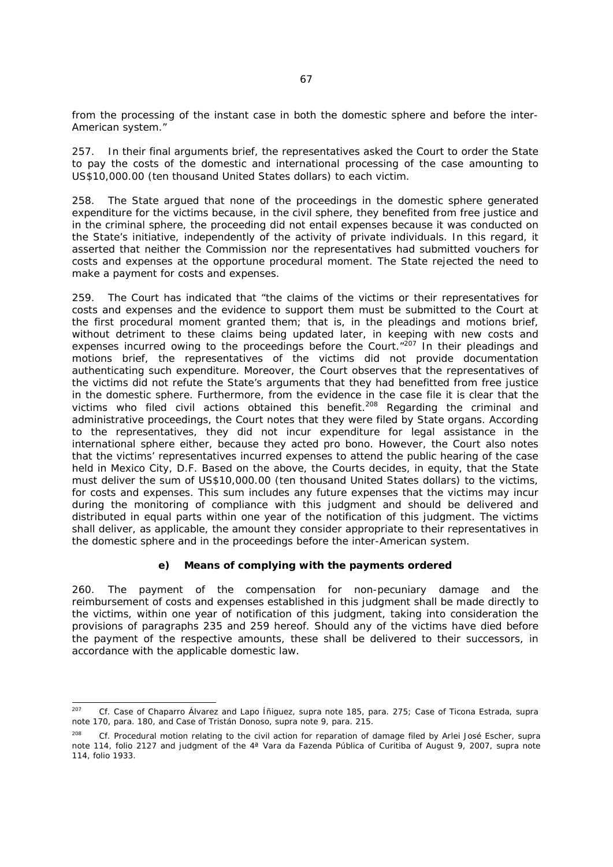from the processing of the instant case in both the domestic sphere and before the inter-American system."

257. In their final arguments brief, the representatives asked the Court to order the State to pay the costs of the domestic and international processing of the case amounting to US\$10,000.00 (ten thousand United States dollars) to each victim.

258. The State argued that none of the proceedings in the domestic sphere generated expenditure for the victims because, in the civil sphere, they benefited from free justice and in the criminal sphere, the proceeding did not entail expenses because it was conducted on the State's initiative, independently of the activity of private individuals. In this regard, it asserted that neither the Commission nor the representatives had submitted vouchers for costs and expenses at the opportune procedural moment. The State rejected the need to make a payment for costs and expenses.

259. The Court has indicated that "the claims of the victims or their representatives for costs and expenses and the evidence to support them must be submitted to the Court at the first procedural moment granted them; that is, in the pleadings and motions brief, without detriment to these claims being updated later, in keeping with new costs and expenses incurred owing to the proceedings before the Court." $^{207}$  In their pleadings and motions brief, the representatives of the victims did not provide documentation authenticating such expenditure. Moreover, the Court observes that the representatives of the victims did not refute the State's arguments that they had benefitted from free justice in the domestic sphere. Furthermore, from the evidence in the case file it is clear that the victims who filed civil actions obtained this benefit.<sup>208</sup> Regarding the criminal and administrative proceedings, the Court notes that they were filed by State organs. According to the representatives, they did not incur expenditure for legal assistance in the international sphere either, because they acted *pro bono*. However, the Court also notes that the victims' representatives incurred expenses to attend the public hearing of the case held in Mexico City, D.F. Based on the above, the Courts decides, in equity, that the State must deliver the sum of US\$10,000.00 (ten thousand United States dollars) to the victims, for costs and expenses. This sum includes any future expenses that the victims may incur during the monitoring of compliance with this judgment and should be delivered and distributed in equal parts within one year of the notification of this judgment. The victims shall deliver, as applicable, the amount they consider appropriate to their representatives in the domestic sphere and in the proceedings before the inter-American system.

#### *e) Means of complying with the payments ordered*

260. The payment of the compensation for non-pecuniary damage and the reimbursement of costs and expenses established in this judgment shall be made directly to the victims, within one year of notification of this judgment, taking into consideration the provisions of paragraphs 235 and 259 hereof. Should any of the victims have died before the payment of the respective amounts, these shall be delivered to their successors, in accordance with the applicable domestic law.

 $207$ 207 *Cf. Case of Chaparro Álvarez and Lapo Íñiguez, supra* note 185, para. 275; *Case of Ticona Estrada*, *supra*  note 170, para. 180, and *Case of Tristán Donoso, supra* note 9, para. 215.

<sup>208</sup> *Cf.* Procedural motion relating to the civil action for reparation of damage filed by Arlei José Escher, *supra* note 114, folio 2127 and judgment of the *4ª Vara da Fazenda Pública* of Curitiba of August 9, 2007, *supra* note 114, folio 1933.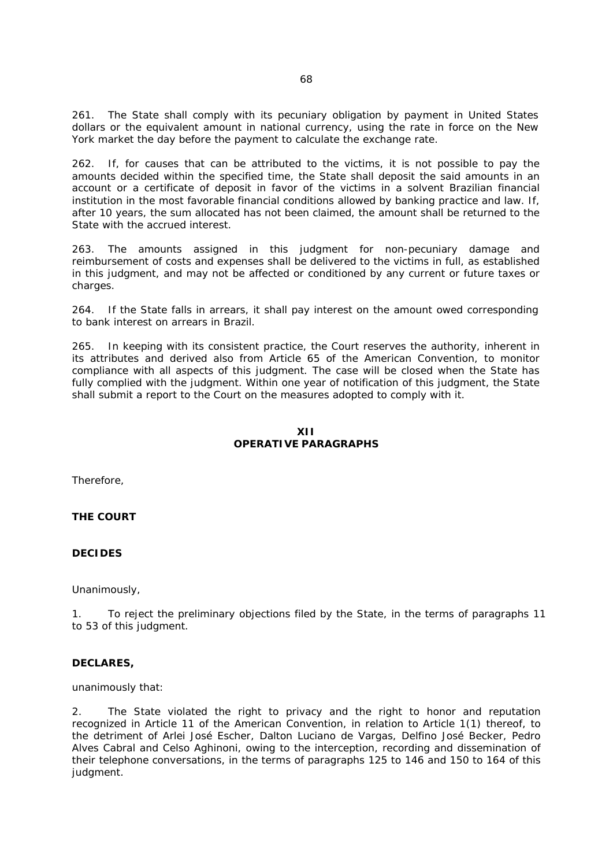261. The State shall comply with its pecuniary obligation by payment in United States dollars or the equivalent amount in national currency, using the rate in force on the New York market the day before the payment to calculate the exchange rate.

262. If, for causes that can be attributed to the victims, it is not possible to pay the amounts decided within the specified time, the State shall deposit the said amounts in an account or a certificate of deposit in favor of the victims in a solvent Brazilian financial institution in the most favorable financial conditions allowed by banking practice and law. If, after 10 years, the sum allocated has not been claimed, the amount shall be returned to the State with the accrued interest.

263. The amounts assigned in this judgment for non-pecuniary damage and reimbursement of costs and expenses shall be delivered to the victims in full, as established in this judgment, and may not be affected or conditioned by any current or future taxes or charges.

264. If the State falls in arrears, it shall pay interest on the amount owed corresponding to bank interest on arrears in Brazil.

265. In keeping with its consistent practice, the Court reserves the authority, inherent in its attributes and derived also from Article 65 of the American Convention, to monitor compliance with all aspects of this judgment. The case will be closed when the State has fully complied with the judgment. Within one year of notification of this judgment, the State shall submit a report to the Court on the measures adopted to comply with it.

# **XII OPERATIVE PARAGRAPHS**

Therefore,

**THE COURT** 

#### **DECIDES**

Unanimously,

1. To reject the preliminary objections filed by the State, in the terms of paragraphs 11 to 53 of this judgment.

#### **DECLARES,**

unanimously that:

2. The State violated the right to privacy and the right to honor and reputation recognized in Article 11 of the American Convention, in relation to Article 1(1) thereof, to the detriment of Arlei José Escher, Dalton Luciano de Vargas, Delfino José Becker, Pedro Alves Cabral and Celso Aghinoni, owing to the interception, recording and dissemination of their telephone conversations, in the terms of paragraphs 125 to 146 and 150 to 164 of this judgment.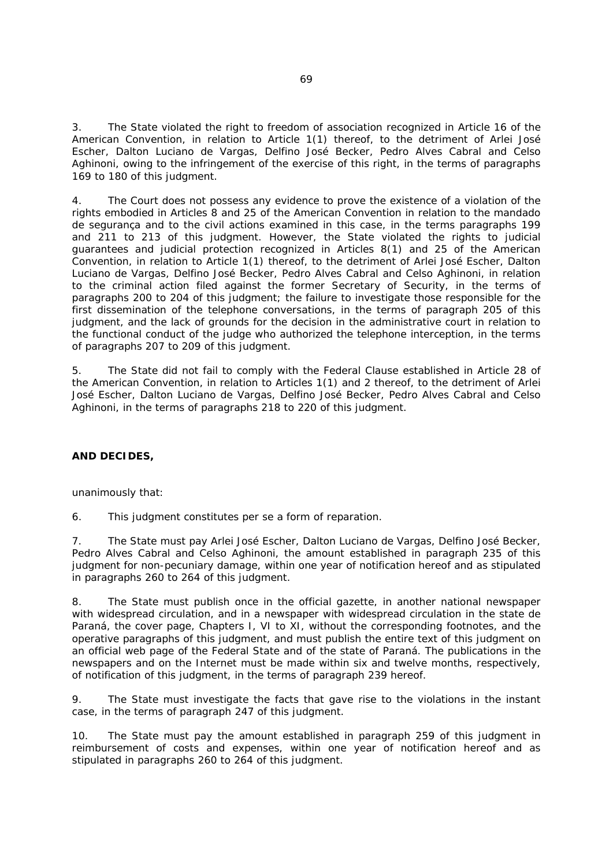3. The State violated the right to freedom of association recognized in Article 16 of the American Convention, in relation to Article 1(1) thereof, to the detriment of Arlei José Escher, Dalton Luciano de Vargas, Delfino José Becker, Pedro Alves Cabral and Celso Aghinoni, owing to the infringement of the exercise of this right, in the terms of paragraphs 169 to 180 of this judgment.

4. The Court does not possess any evidence to prove the existence of a violation of the rights embodied in Articles 8 and 25 of the American Convention in relation to the *mandado de segurança* and to the civil actions examined in this case, in the terms paragraphs 199 and 211 to 213 of this judgment. However, the State violated the rights to judicial guarantees and judicial protection recognized in Articles 8(1) and 25 of the American Convention, in relation to Article 1(1) thereof, to the detriment of Arlei José Escher, Dalton Luciano de Vargas, Delfino José Becker, Pedro Alves Cabral and Celso Aghinoni, in relation to the criminal action filed against the former Secretary of Security, in the terms of paragraphs 200 to 204 of this judgment; the failure to investigate those responsible for the first dissemination of the telephone conversations, in the terms of paragraph 205 of this judgment, and the lack of grounds for the decision in the administrative court in relation to the functional conduct of the judge who authorized the telephone interception, in the terms of paragraphs 207 to 209 of this judgment.

5. The State did not fail to comply with the Federal Clause established in Article 28 of the American Convention, in relation to Articles 1(1) and 2 thereof, to the detriment of Arlei José Escher, Dalton Luciano de Vargas, Delfino José Becker, Pedro Alves Cabral and Celso Aghinoni, in the terms of paragraphs 218 to 220 of this judgment.

# **AND DECIDES,**

unanimously that:

6. This judgment constitutes *per se* a form of reparation.

7. The State must pay Arlei José Escher, Dalton Luciano de Vargas, Delfino José Becker, Pedro Alves Cabral and Celso Aghinoni, the amount established in paragraph 235 of this judgment for non-pecuniary damage, within one year of notification hereof and as stipulated in paragraphs 260 to 264 of this judgment.

8. The State must publish once in the official gazette, in another national newspaper with widespread circulation, and in a newspaper with widespread circulation in the state de Paraná, the cover page, Chapters I, VI to XI, without the corresponding footnotes, and the operative paragraphs of this judgment, and must publish the entire text of this judgment on an official web page of the Federal State and of the state of Paraná. The publications in the newspapers and on the Internet must be made within six and twelve months, respectively, of notification of this judgment, in the terms of paragraph 239 hereof.

9. The State must investigate the facts that gave rise to the violations in the instant case, in the terms of paragraph 247 of this judgment.

10. The State must pay the amount established in paragraph 259 of this judgment in reimbursement of costs and expenses, within one year of notification hereof and as stipulated in paragraphs 260 to 264 of this judgment.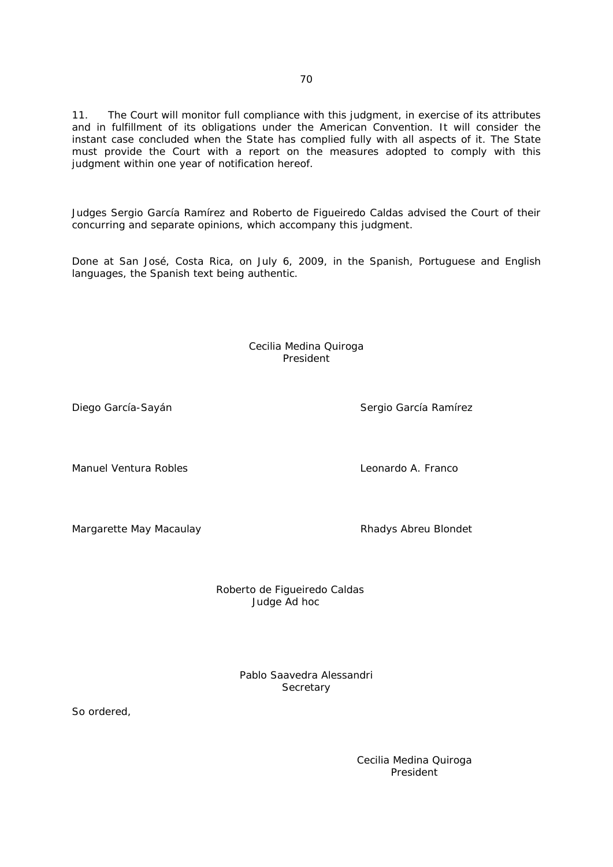11. The Court will monitor full compliance with this judgment, in exercise of its attributes and in fulfillment of its obligations under the American Convention. It will consider the instant case concluded when the State has complied fully with all aspects of it. The State must provide the Court with a report on the measures adopted to comply with this judgment within one year of notification hereof.

Judges Sergio García Ramírez and Roberto de Figueiredo Caldas advised the Court of their concurring and separate opinions, which accompany this judgment.

Done at San José, Costa Rica, on July 6, 2009, in the Spanish, Portuguese and English languages, the Spanish text being authentic.

> Cecilia Medina Quiroga President

Manuel Ventura Robles Leonardo A. Franco

Margarette May Macaulay **Rhadys Abreu Blondet** 

 Roberto de Figueiredo Caldas Judge *Ad hoc*

> Pablo Saavedra Alessandri **Secretary**

So ordered,

Cecilia Medina Quiroga President

Diego García-Sayán **Sergio García Ramírez** Sergio García Ramírez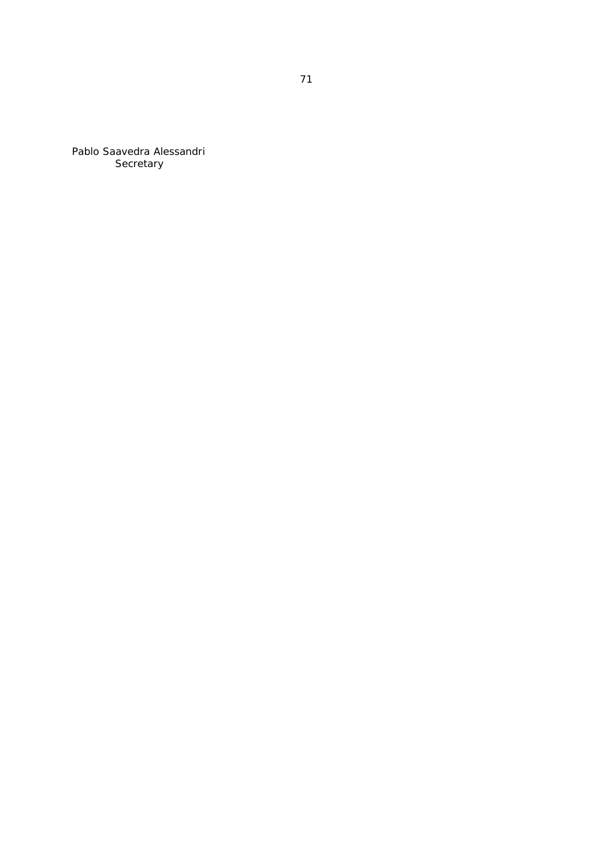Pablo Saavedra Alessandri **Secretary**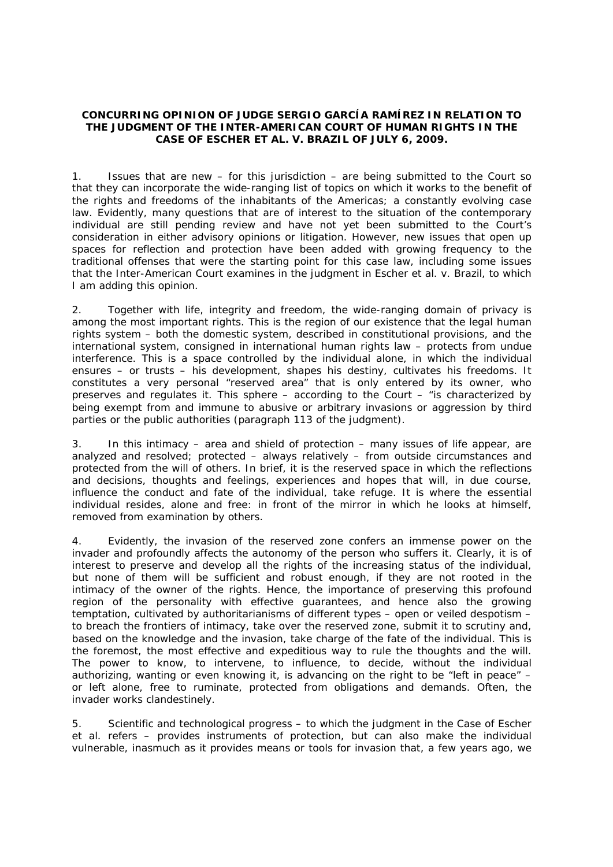## **CONCURRING OPINION OF JUDGE SERGIO GARCÍA RAMÍREZ IN RELATION TO THE JUDGMENT OF THE INTER-AMERICAN COURT OF HUMAN RIGHTS IN THE**  *CASE OF ESCHER ET AL. V. BRAZIL* **OF JULY 6, 2009.**

1. Issues that are new – for this jurisdiction – are being submitted to the Court so that they can incorporate the wide-ranging list of topics on which it works to the benefit of the rights and freedoms of the inhabitants of the Americas; a constantly evolving case law. Evidently, many questions that are of interest to the situation of the contemporary individual are still pending review and have not yet been submitted to the Court's consideration in either advisory opinions or litigation. However, new issues that open up spaces for reflection and protection have been added with growing frequency to the traditional offenses that were the starting point for this case law, including some issues that the Inter-American Court examines in the judgment in *Escher et al. v. Brazil*, to which I am adding this opinion.

2. Together with life, integrity and freedom, the wide-ranging domain of privacy is among the most important rights. This is the region of our existence that the legal human rights system – both the domestic system, described in constitutional provisions, and the international system, consigned in international human rights law – protects from undue interference. This is a space controlled by the individual alone, in which the individual ensures – or trusts – his development, shapes his destiny, cultivates his freedoms. It constitutes a very personal "reserved area" that is only entered by its owner, who preserves and regulates it. This sphere – according to the Court – "is characterized by being exempt from and immune to abusive or arbitrary invasions or aggression by third parties or the public authorities (paragraph 113 of the judgment).

3. In this intimacy – area and shield of protection – many issues of life appear, are analyzed and resolved; protected – always relatively – from outside circumstances and protected from the will of others. In brief, it is the reserved space in which the reflections and decisions, thoughts and feelings, experiences and hopes that will, in due course, influence the conduct and fate of the individual, take refuge. It is where the essential individual resides, alone and free: in front of the mirror in which he looks at himself, removed from examination by others.

4. Evidently, the invasion of the reserved zone confers an immense power on the invader and profoundly affects the autonomy of the person who suffers it. Clearly, it is of interest to preserve and develop all the rights of the increasing status of the individual, but none of them will be sufficient and robust enough, if they are not rooted in the intimacy of the owner of the rights. Hence, the importance of preserving this profound region of the personality with effective guarantees, and hence also the growing temptation, cultivated by authoritarianisms of different types – open or veiled despotism – to breach the frontiers of intimacy, take over the reserved zone, submit it to scrutiny and, based on the knowledge and the invasion, take charge of the fate of the individual. This is the foremost, the most effective and expeditious way to rule the thoughts and the will. The power to know, to intervene, to influence, to decide, without the individual authorizing, wanting or even knowing it, is advancing on the right to be "left in peace" – or left alone, free to ruminate, protected from obligations and demands. Often, the invader works clandestinely.

5. Scientific and technological progress – to which the judgment in the *Case of Escher et al.* refers – provides instruments of protection, but can also make the individual vulnerable, inasmuch as it provides means or tools for invasion that, a few years ago, we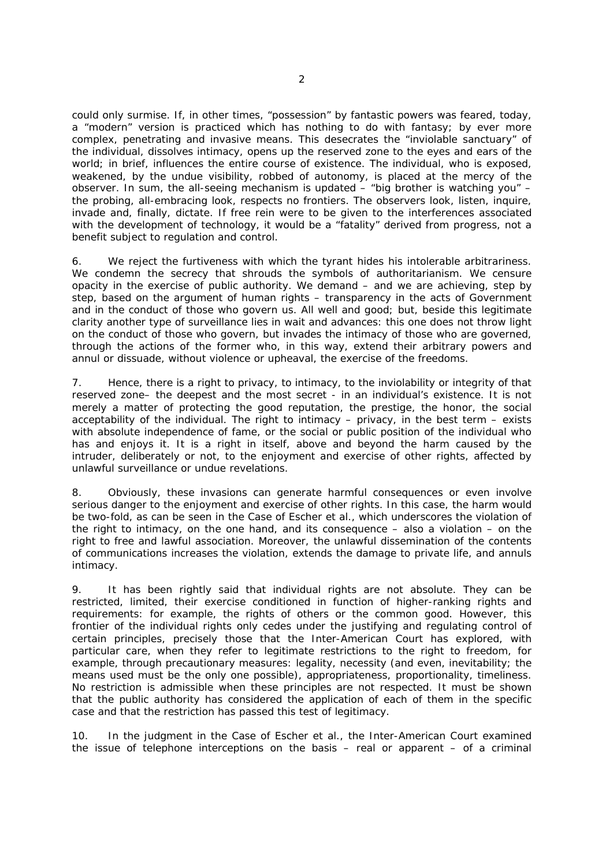could only surmise. If, in other times, "possession" by fantastic powers was feared, today, a "modern" version is practiced which has nothing to do with fantasy; by ever more complex, penetrating and invasive means. This desecrates the "inviolable sanctuary" of the individual, dissolves intimacy, opens up the reserved zone to the eyes and ears of the world; in brief, influences the entire course of existence. The individual, who is exposed, weakened, by the undue visibility, robbed of autonomy, is placed at the mercy of the observer. In sum, the all-seeing mechanism is updated – "big brother is watching you" – the probing, all-embracing look, respects no frontiers. The observers look, listen, inquire, invade and, finally, dictate. If free rein were to be given to the interferences associated with the development of technology, it would be a "fatality" derived from progress, not a benefit subject to regulation and control.

6. We reject the furtiveness with which the tyrant hides his intolerable arbitrariness. We condemn the secrecy that shrouds the symbols of authoritarianism. We censure opacity in the exercise of public authority. We demand – and we are achieving, step by step, based on the argument of human rights – transparency in the acts of Government and in the conduct of those who govern us. All well and good; but, beside this legitimate clarity another type of surveillance lies in wait and advances: this one does not throw light on the conduct of those who govern, but invades the intimacy of those who are governed, through the actions of the former who, in this way, extend their arbitrary powers and annul or dissuade, without violence or upheaval, the exercise of the freedoms.

7. Hence, there is a right to privacy, to intimacy, to the inviolability or integrity of that reserved zone– the deepest and the most secret - in an individual's existence. It is not merely a matter of protecting the good reputation, the prestige, the honor, the social acceptability of the individual. The right to intimacy – privacy, in the best term – exists with absolute independence of fame, or the social or public position of the individual who has and enjoys it. It is a right in itself, above and beyond the harm caused by the intruder, deliberately or not, to the enjoyment and exercise of other rights, affected by unlawful surveillance or undue revelations.

8. Obviously, these invasions can generate harmful consequences or even involve serious danger to the enjoyment and exercise of other rights. In this case, the harm would be two-fold, as can be seen in the *Case of Escher et al.*, which underscores the violation of the right to intimacy, on the one hand, and its consequence  $-$  also a violation  $-$  on the right to free and lawful association. Moreover, the unlawful dissemination of the contents of communications increases the violation, extends the damage to private life, and annuls intimacy.

9. It has been rightly said that individual rights are not absolute. They can be restricted, limited, their exercise conditioned in function of higher-ranking rights and requirements: for example, the rights of others or the common good. However, this frontier of the individual rights only cedes under the justifying and regulating control of certain principles, precisely those that the Inter-American Court has explored, with particular care, when they refer to legitimate restrictions to the right to freedom, for example, through precautionary measures: legality, necessity (and even, inevitability; the means used must be the only one possible), appropriateness, proportionality, timeliness. No restriction is admissible when these principles are not respected. It must be shown that the public authority has considered the application of each of them in the specific case and that the restriction has passed this test of legitimacy.

10. In the judgment in the *Case of Escher et al.*, the Inter-American Court examined the issue of telephone interceptions on the basis – real or apparent – of a criminal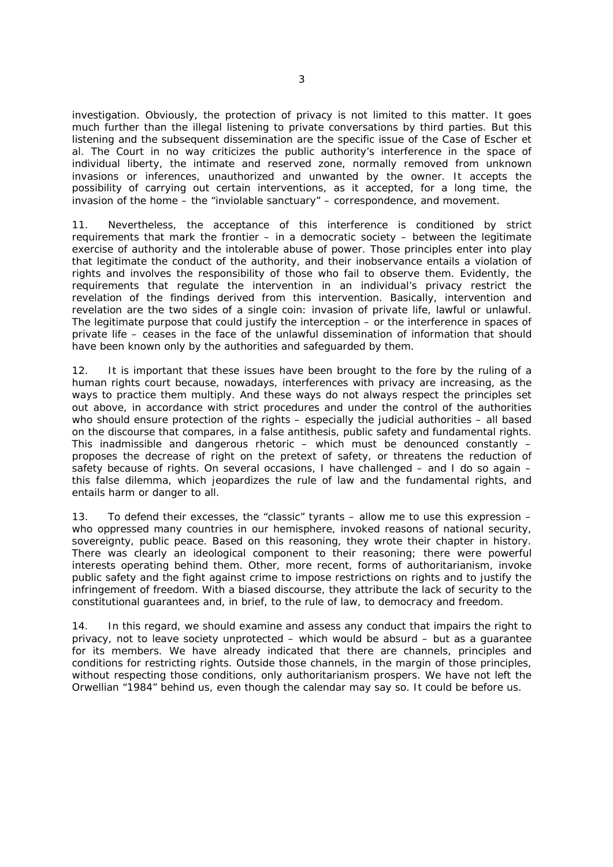investigation. Obviously, the protection of privacy is not limited to this matter. It goes much further than the illegal listening to private conversations by third parties. But this listening and the subsequent dissemination are the specific issue of the *Case of Escher et al.* The Court in no way criticizes the public authority's interference in the space of individual liberty, the intimate and reserved zone, normally removed from unknown invasions or inferences, unauthorized and unwanted by the owner. It accepts the possibility of carrying out certain interventions, as it accepted, for a long time, the invasion of the home – the "inviolable sanctuary" – correspondence, and movement.

11. Nevertheless, the acceptance of this interference is conditioned by strict requirements that mark the frontier – in a democratic society – between the legitimate exercise of authority and the intolerable abuse of power. Those principles enter into play that legitimate the conduct of the authority, and their inobservance entails a violation of rights and involves the responsibility of those who fail to observe them. Evidently, the requirements that regulate the intervention in an individual's privacy restrict the revelation of the findings derived from this intervention. Basically, intervention and revelation are the two sides of a single coin: invasion of private life, lawful or unlawful. The legitimate purpose that could justify the interception – or the interference in spaces of private life – ceases in the face of the unlawful dissemination of information that should have been known only by the authorities and safeguarded by them.

12. It is important that these issues have been brought to the fore by the ruling of a human rights court because, nowadays, interferences with privacy are increasing, as the ways to practice them multiply. And these ways do not always respect the principles set out above, in accordance with strict procedures and under the control of the authorities who should ensure protection of the rights – especially the judicial authorities – all based on the discourse that compares, in a false antithesis, public safety and fundamental rights. This inadmissible and dangerous rhetoric – which must be denounced constantly – proposes the decrease of right on the pretext of safety, or threatens the reduction of safety because of rights. On several occasions, I have challenged – and I do so again – this false dilemma, which jeopardizes the rule of law and the fundamental rights, and entails harm or danger to all.

13. To defend their excesses, the "classic" tyrants – allow me to use this expression – who oppressed many countries in our hemisphere, invoked reasons of national security, sovereignty, public peace. Based on this reasoning, they wrote their chapter in history. There was clearly an ideological component to their reasoning; there were powerful interests operating behind them. Other, more recent, forms of authoritarianism, invoke public safety and the fight against crime to impose restrictions on rights and to justify the infringement of freedom. With a biased discourse, they attribute the lack of security to the constitutional guarantees and, in brief, to the rule of law, to democracy and freedom.

14. In this regard, we should examine and assess any conduct that impairs the right to privacy, not to leave society unprotected – which would be absurd – but as a guarantee for its members. We have already indicated that there are channels, principles and conditions for restricting rights. Outside those channels, in the margin of those principles, without respecting those conditions, only authoritarianism prospers. We have not left the Orwellian "1984" behind us, even though the calendar may say so. It could be before us.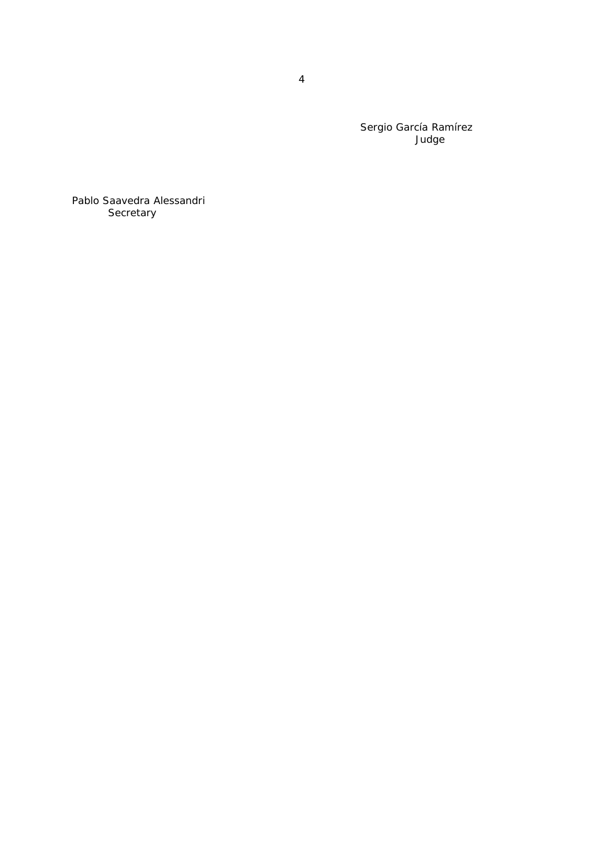Sergio García Ramírez Judge

Pablo Saavedra Alessandri Secretary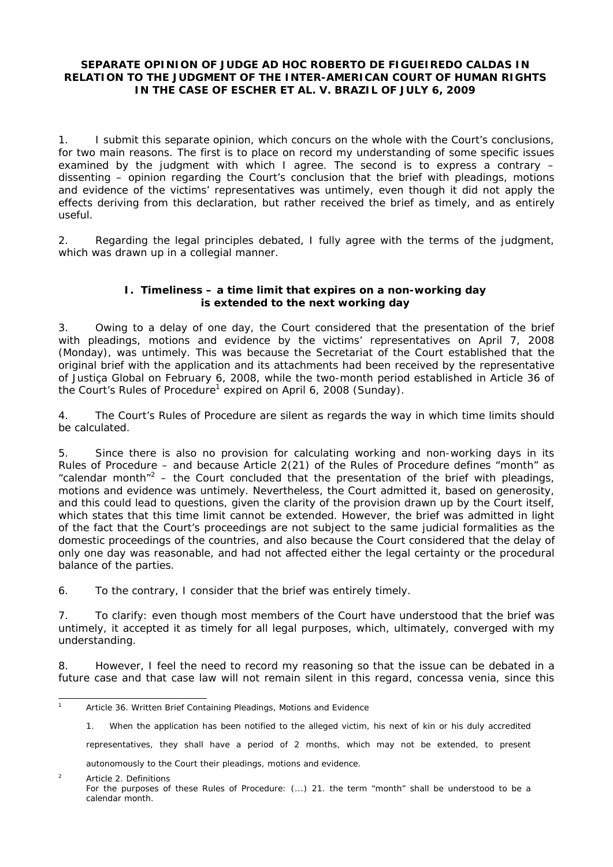# **SEPARATE OPINION OF JUDGE** *AD HOC* **ROBERTO DE FIGUEIREDO CALDAS IN RELATION TO THE JUDGMENT OF THE INTER-AMERICAN COURT OF HUMAN RIGHTS IN THE** *CASE OF ESCHER ET AL. V. BRAZIL* **OF JULY 6, 2009**

1. I submit this separate opinion, which concurs on the whole with the Court's conclusions, for two main reasons. The first is to place on record my understanding of some specific issues examined by the judgment with which I agree. The second is to express a contrary – dissenting – opinion regarding the Court's conclusion that the brief with pleadings, motions and evidence of the victims' representatives was untimely, even though it did not apply the effects deriving from this declaration, but rather received the brief as timely, and as entirely useful.

2. Regarding the legal principles debated, I fully agree with the terms of the judgment, which was drawn up in a collegial manner.

# **I. Timeliness – a time limit that expires on a non-working day is extended to the next working day**

3. Owing to a delay of one day, the Court considered that the presentation of the brief with pleadings, motions and evidence by the victims' representatives on April 7, 2008 (Monday), was untimely. This was because the Secretariat of the Court established that the original brief with the application and its attachments had been received by the representative of Justiça Global on February 6, 2008, while the two-month period established in Article 36 of the Court's Rules of Procedure<sup>1</sup> expired on April 6, 2008 (Sunday).

4. The Court's Rules of Procedure are silent as regards the way in which time limits should be calculated.

5. Since there is also no provision for calculating working and non-working days in its Rules of Procedure – and because Article 2(21) of the Rules of Procedure defines "month" as "calendar month"<sup>2</sup> – the Court concluded that the presentation of the brief with pleadings, motions and evidence was untimely. Nevertheless, the Court admitted it, based on generosity, and this could lead to questions, given the clarity of the provision drawn up by the Court itself, which states that this time limit cannot be extended. However, the brief was admitted in light of the fact that the Court's proceedings are not subject to the same judicial formalities as the domestic proceedings of the countries, and also because the Court considered that the delay of only one day was reasonable, and had not affected either the legal certainty or the procedural balance of the parties.

6. To the contrary, I consider that the brief was entirely timely.

7. To clarify: even though most members of the Court have understood that the brief was untimely, it accepted it as timely for all legal purposes, which, ultimately, converged with my understanding.

8. However, I feel the need to record my reasoning so that the issue can be debated in a future case and that case law will not remain silent in this regard, *concessa venia*, since this

representatives, they shall have a period of 2 months, which may not be extended, to present

autonomously to the Court their pleadings, motions and evidence.

 $\overline{2}$  Article 2. Definitions For the purposes of these Rules of Procedure: (...) 21. the term "month" shall be understood to be a calendar month.

 $\overline{1}$ Article 36. Written Brief Containing Pleadings, Motions and Evidence

<sup>1.</sup> When the application has been notified to the alleged victim, his next of kin or his duly accredited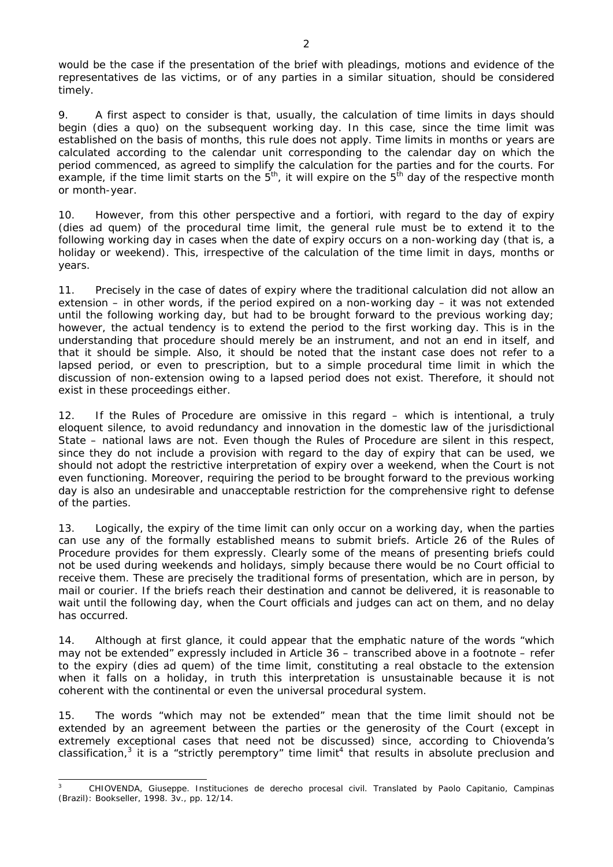would be the case if the presentation of the brief with pleadings, motions and evidence of the representatives de las victims, or of any parties in a similar situation, should be considered timely.

9. A first aspect to consider is that, usually, the calculation of time limits in days should begin (*dies a quo*) on the subsequent working day. In this case, since the time limit was established on the basis of months, this rule does not apply. Time limits in months or years are calculated according to the calendar unit corresponding to the calendar day on which the period commenced, as agreed to simplify the calculation for the parties and for the courts. For example, if the time limit starts on the  $5<sup>th</sup>$ , it will expire on the  $5<sup>th</sup>$  day of the respective month or month-year.

10. However, from this other perspective and *a fortiori*, with regard to the day of expiry (*dies ad quem)* of the procedural time limit, the general rule must be to extend it to the following working day in cases when the date of expiry occurs on a non-working day (that is, a holiday or weekend). This, irrespective of the calculation of the time limit in days, months or years.

11. Precisely in the case of dates of expiry where the traditional calculation did not allow an extension – in other words, if the period expired on a non-working day – it was not extended until the following working day, but had to be brought forward to the previous working day; however, the actual tendency is to extend the period to the first working day. This is in the understanding that procedure should merely be an instrument, and not an end in itself, and that it should be simple. Also, it should be noted that the instant case does not refer to a lapsed period, or even to prescription, but to a simple procedural time limit in which the discussion of non-extension owing to a lapsed period does not exist. Therefore, it should not exist in these proceedings either.

12. If the Rules of Procedure are omissive in this regard – which is intentional, a truly eloquent silence, to avoid redundancy and innovation in the domestic law of the jurisdictional State – national laws are not. Even though the Rules of Procedure are silent in this respect, since they do not include a provision with regard to the day of expiry that can be used, we should not adopt the restrictive interpretation of expiry over a weekend, when the Court is not even functioning. Moreover, requiring the period to be brought forward to the previous working day is also an undesirable and unacceptable restriction for the comprehensive right to defense of the parties.

13. Logically, the expiry of the time limit can only occur on a working day, when the parties can use any of the formally established means to submit briefs. Article 26 of the Rules of Procedure provides for them expressly. Clearly some of the means of presenting briefs could not be used during weekends and holidays, simply because there would be no Court official to receive them. These are precisely the traditional forms of presentation, which are in person, by mail or courier. If the briefs reach their destination and cannot be delivered, it is reasonable to wait until the following day, when the Court officials and judges can act on them, and no delay has occurred.

14. Although at first glance, it could appear that the emphatic nature of the words "which may not be extended" expressly included in Article 36 – transcribed above in a footnote – refer to the expiry (*dies ad quem*) of the time limit, constituting a real obstacle to the extension when it falls on a holiday, in truth this interpretation is unsustainable because it is not coherent with the continental or even the universal procedural system.

15. The words "which may not be extended" mean that the time limit should not be extended by an agreement between the parties or the generosity of the Court (except in extremely exceptional cases that need not be discussed) since, according to Chiovenda's classification,<sup>3</sup> it is a "strictly peremptory" time limit<sup>4</sup> that results in absolute preclusion and

j 3 CHIOVENDA, Giuseppe. *Instituciones de derecho procesal civil*. Translated by Paolo Capitanio, Campinas (Brazil): Bookseller, 1998. 3v., pp. 12/14.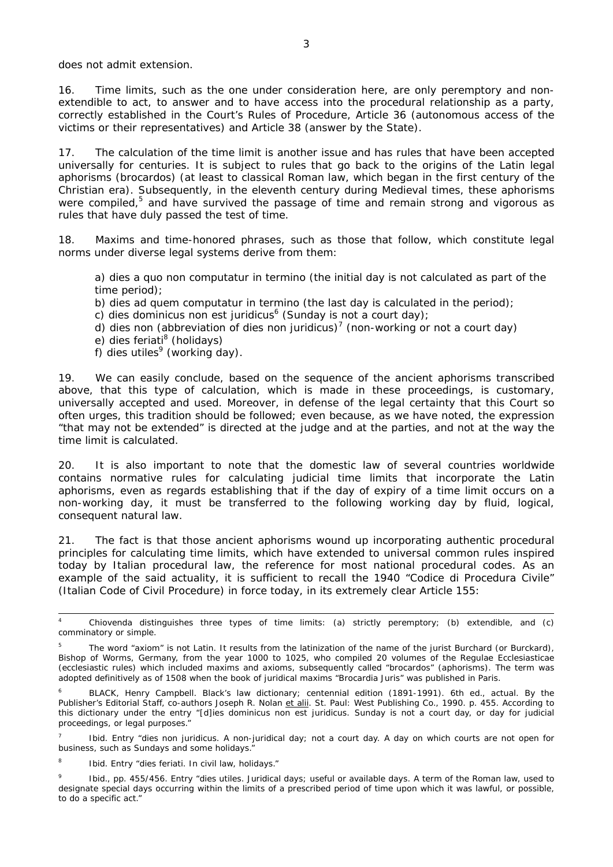does not admit extension.

16. Time limits, such as the one under consideration here, are only peremptory and nonextendible to act, to answer and to have access into the procedural relationship as a party, correctly established in the Court's Rules of Procedure, Article 36 (autonomous access of the victims or their representatives) and Article 38 (answer by the State).

17. The calculation of the time limit is another issue and has rules that have been accepted universally for centuries. It is subject to rules that go back to the origins of the Latin legal aphorisms (*brocardos*) (at least to classical Roman law, which began in the first century of the Christian era). Subsequently, in the eleventh century during Medieval times, these aphorisms were compiled,<sup>5</sup> and have survived the passage of time and remain strong and vigorous as rules that have duly passed the test of time.

18. Maxims and time-honored phrases, such as those that follow, which constitute legal norms under diverse legal systems derive from them:

a) *dies a quo non computatur in termino* (the initial day is not calculated as part of the time period);

b) *dies ad quem computatur in termino* (the last day is calculated in the period);

c) *dies dominicus non est juridicus*<sup>6</sup> (Sunday is not a court day);

*d) dies non (*abbreviation of *dies non juridicus)<sup>7</sup>* (non-working or not a court day)

- e) *dies feriati<sup>8</sup>* (holidays)
- f) *dies utiles<sup>9</sup>* (working day).

19. We can easily conclude, based on the sequence of the ancient aphorisms transcribed above, that this type of calculation, which is made in these proceedings, is customary, universally accepted and used. Moreover, in defense of the legal certainty that this Court so often urges, this tradition should be followed; even because, as we have noted, the expression "that may not be extended" is directed at the judge and at the parties, and not at the way the time limit is calculated.

20. It is also important to note that the domestic law of several countries worldwide contains normative rules for calculating judicial time limits that incorporate the Latin aphorisms, even as regards establishing that if the day of expiry of a time limit occurs on a non-working day, it must be transferred to the following working day by fluid, logical, consequent natural law.

21. The fact is that those ancient aphorisms wound up incorporating authentic procedural principles for calculating time limits, which have extended to universal common rules inspired today by Italian procedural law, the reference for most national procedural codes. As an example of the said actuality, it is sufficient to recall the 1940 "*Codice di Procedura Civile*" (Italian Code of Civil Procedure) in force today, in its extremely clear Article 155:

7 Ibid. Entry "*dies non juridicus*. A non-juridical day; not a court day. A day on which courts are not open for business, such as Sundays and some holidays."

8 Ibid. Entry "*dies feriati*. In civil law, holidays."

9 Ibid., pp. 455/456. Entry "*dies utiles*. Juridical days; useful or available days. A term of the Roman law, used to designate special days occurring within the limits of a prescribed period of time upon which it was lawful, or possible, to do a specific act."

 $\frac{1}{4}$  Chiovenda distinguishes three types of time limits: (a) strictly peremptory; (b) extendible, and (c) comminatory or simple.

<sup>5</sup> The word "axiom" is not Latin. It results from the latinization of the name of the jurist Burchard (or Burckard), Bishop of Worms, Germany, from the year 1000 to 1025, who compiled 20 volumes of the *Regulae Ecclesiasticae*  (ecclesiastic rules) which included maxims and axioms, subsequently called "*brocardos*" (aphorisms). The term was adopted definitively as of 1508 when the book of juridical maxims "*Brocardia Juris*" was published in Paris.

<sup>6</sup> BLACK, Henry Campbell. *Black's law dictionary;* centennial edition (1891-1991)*.* 6th ed., actual. By the Publisher's Editorial Staff, co-authors Joseph R. Nolan et alii. St. Paul: West Publishing Co., 1990. p. 455. According to this dictionary under the entry "*[d]ies dominicus non est juridicus.* Sunday is not a court day, or day for judicial proceedings, or legal purposes."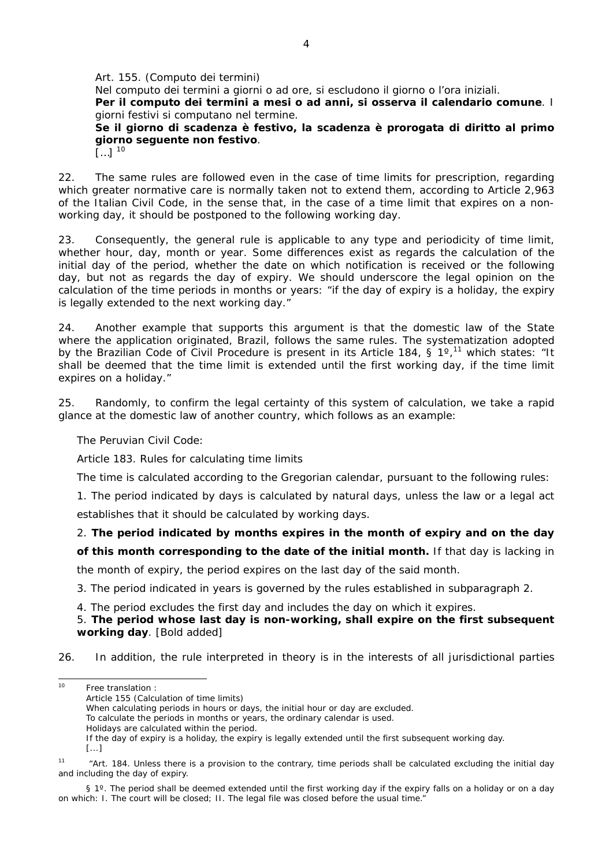#### *Art. 155. (Computo dei termini) Nel computo dei termini a giorni o ad ore, si escludono il giorno o l'ora iniziali. Per il computo dei termini a mesi o ad anni, si osserva il calendario comune. I giorni festivi si computano nel termine. Se il giorno di scadenza è festivo, la scadenza è prorogata di diritto al primo giorno seguente non festivo*.

 $\sum_{1}$  10

22. The same rules are followed even in the case of time limits for prescription, regarding which greater normative care is normally taken not to extend them, according to Article 2,963 of the Italian Civil Code, in the sense that, in the case of a time limit that expires on a nonworking day, it should be postponed to the following working day.

23. Consequently, the general rule is applicable to any type and periodicity of time limit, whether hour, day, month or year. Some differences exist as regards the calculation of the initial day of the period, whether the date on which notification is received or the following day, but not as regards the day of expiry. We should underscore the legal opinion on the calculation of the time periods in months or years: "if the day of expiry is a holiday, the expiry is legally extended to the next working day."

24. Another example that supports this argument is that the domestic law of the State where the application originated, Brazil, follows the same rules. The systematization adopted by the Brazilian Code of Civil Procedure is present in its Article 184, § 1°,<sup>11</sup> which states: "It shall be deemed that the time limit is extended until the first working day, if the time limit expires on a holiday."

25. Randomly, to confirm the legal certainty of this system of calculation, we take a rapid glance at the domestic law of another country, which follows as an example:

The Peruvian Civil Code:

Article 183. Rules for calculating time limits

The time is calculated according to the Gregorian calendar, pursuant to the following rules:

1. The period indicated by days is calculated by natural days, unless the law or a legal act

establishes that it should be calculated by working days.

2. **The period indicated by months expires in the month of expiry and on the day** 

**of this month corresponding to the date of the initial month.** If that day is lacking in

the month of expiry, the period expires on the last day of the said month.

3. The period indicated in years is governed by the rules established in subparagraph 2.

4. The period excludes the first day and includes the day on which it expires.

5. **The period whose last day is non-working, shall expire on the first subsequent working day**. [Bold added]

26. In addition, the rule interpreted in theory is in the interests of all jurisdictional parties

§ 1°. The period shall be deemed extended until the first working day if the expiry falls on a holiday or on a day on which: I. The court will be closed; II. The legal file was closed before the usual time."

 $10<sup>10</sup>$ Free translation : Article 155 (Calculation of time limits) When calculating periods in hours or days, the initial hour or day are excluded. To calculate the periods in months or years, the ordinary calendar is used. Holidays are calculated within the period. If the day of expiry is a holiday, the expiry is legally extended until the first subsequent working day. [...] <sup>11</sup> "Art. 184. Unless there is a provision to the contrary, time periods shall be calculated excluding the initial day and including the day of expiry.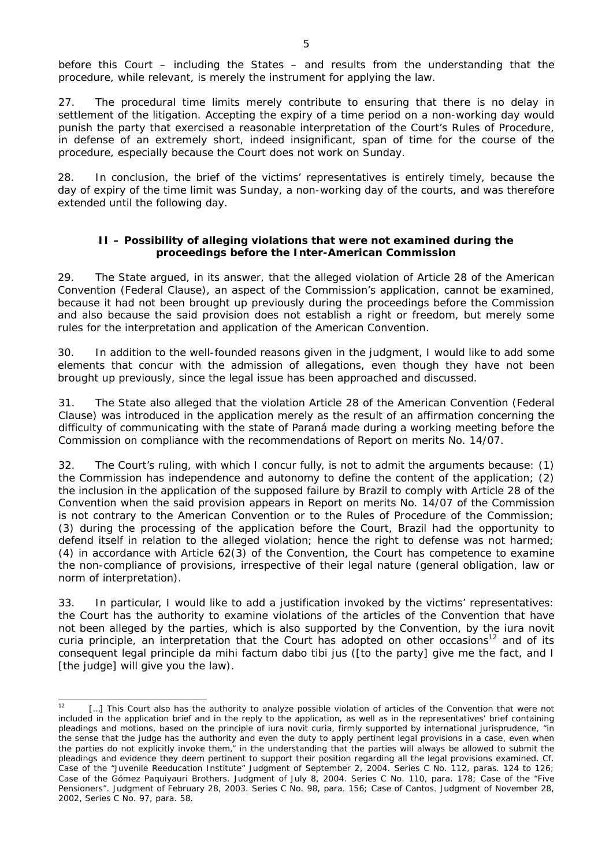before this Court – including the States – and results from the understanding that the procedure, while relevant, is merely the instrument for applying the law.

27. The procedural time limits merely contribute to ensuring that there is no delay in settlement of the litigation. Accepting the expiry of a time period on a non-working day would punish the party that exercised a reasonable interpretation of the Court's Rules of Procedure, in defense of an extremely short, indeed insignificant, span of time for the course of the procedure, especially because the Court does not work on Sunday.

28. In conclusion, the brief of the victims' representatives is entirely timely, because the day of expiry of the time limit was Sunday, a non-working day of the courts, and was therefore extended until the following day.

### **II – Possibility of alleging violations that were not examined during the proceedings before the Inter-American Commission**

29. The State argued, in its answer, that the alleged violation of Article 28 of the American Convention (Federal Clause), an aspect of the Commission's application, cannot be examined, because it had not been brought up previously during the proceedings before the Commission and also because the said provision does not establish a right or freedom, but merely some rules for the interpretation and application of the American Convention.

30. In addition to the well-founded reasons given in the judgment, I would like to add some elements that concur with the admission of allegations, even though they have not been brought up previously, since the legal issue has been approached and discussed.

31. The State also alleged that the violation Article 28 of the American Convention (Federal Clause) was introduced in the application merely as the result of an affirmation concerning the difficulty of communicating with the state of Paraná made during a working meeting before the Commission on compliance with the recommendations of Report on merits No. 14/07.

32. The Court's ruling, with which I concur fully, is not to admit the arguments because: (1) the Commission has independence and autonomy to define the content of the application; (2) the inclusion in the application of the supposed failure by Brazil to comply with Article 28 of the Convention when the said provision appears in Report on merits No. 14/07 of the Commission is not contrary to the American Convention or to the Rules of Procedure of the Commission; (3) during the processing of the application before the Court, Brazil had the opportunity to defend itself in relation to the alleged violation; hence the right to defense was not harmed; (4) in accordance with Article 62(3) of the Convention, the Court has competence to examine the non-compliance of provisions, irrespective of their legal nature (general obligation, law or norm of interpretation).

33. In particular, I would like to add a justification invoked by the victims' representatives: the Court has the authority to examine violations of the articles of the Convention that have not been alleged by the parties, which is also supported by the Convention, by the *iura novit curia* principle, an interpretation that the Court has adopted on other occasions<sup>12</sup> and of its consequent legal principle *da mihi factum dabo tibi jus* ([to the party] give me the fact, and I [the judge] will give you the law).

 $12$ [...] This Court also has the authority to analyze possible violation of articles of the Convention that were not included in the application brief and in the reply to the application, as well as in the representatives' brief containing pleadings and motions, based on the principle of *iura novit curia*, firmly supported by international jurisprudence, "in the sense that the judge has the authority and even the duty to apply pertinent legal provisions in a case, even when the parties do not explicitly invoke them," in the understanding that the parties will always be allowed to submit the pleadings and evidence they deem pertinent to support their position regarding all the legal provisions examined. *Cf. Case of the "Juvenile Reeducation Institute" Judgment of September 2, 2004. Series C No. 112, paras. 124 to 126; Case of the Gómez Paquiyauri Brothers. Judgment of July 8, 2004. Series C No. 110, para. 178; Case of the "Five Pensioners". Judgment of February 28, 2003. Series C No. 98, para. 156; Case of Cantos. Judgment of November 28, 2002, Series C No. 97, para. 58.*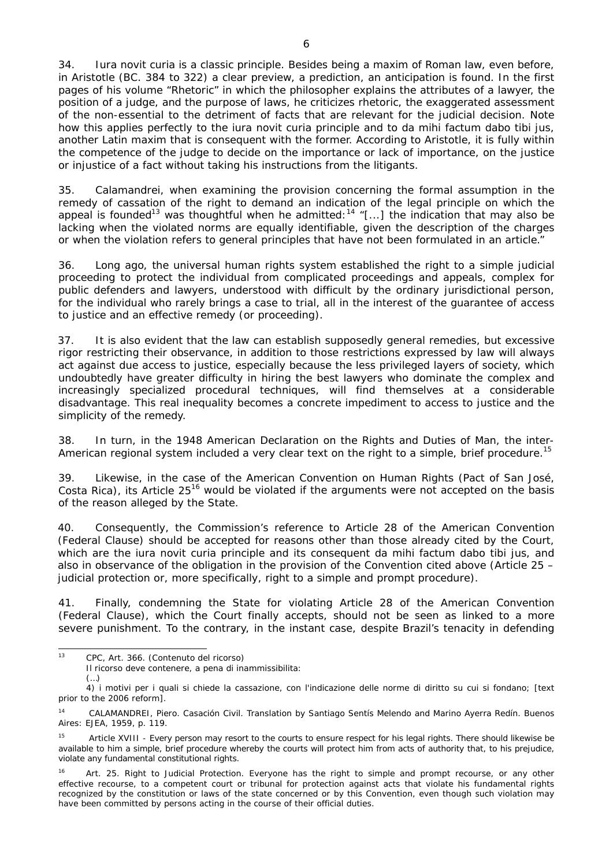34. *Iura novit curia* is a classic principle. Besides being a maxim of Roman law, even before, in Aristotle (BC. 384 to 322) a clear preview, a prediction, an anticipation is found. In the first pages of his volume "Rhetoric" in which the philosopher explains the attributes of a lawyer, the position of a judge, and the purpose of laws, he criticizes rhetoric, the exaggerated assessment of the non-essential to the detriment of facts that are relevant for the judicial decision. Note how this applies perfectly to the *iura novit curia* principle and to *da mihi factum dabo tibi jus*, another Latin maxim that is consequent with the former. According to Aristotle, it is fully within the competence of the judge to decide on the importance or lack of importance, on the justice or injustice of a fact without taking his instructions from the litigants.

35. Calamandrei, when examining the provision concerning the formal assumption in the remedy of cassation of the right to demand an indication of the legal principle on which the appeal is founded<sup>13</sup> was thoughtful when he admitted:<sup>14</sup> "[...] the indication that may also be lacking when the violated norms are equally identifiable, given the description of the charges or when the violation refers to general principles that have not been formulated in an article."

36. Long ago, the universal human rights system established the right to a simple judicial proceeding to protect the individual from complicated proceedings and appeals, complex for public defenders and lawyers, understood with difficult by the ordinary jurisdictional person, for the individual who rarely brings a case to trial, all in the interest of the guarantee of access to justice and an effective remedy (or proceeding).

37. It is also evident that the law can establish supposedly general remedies, but excessive rigor restricting their observance, in addition to those restrictions expressed by law will always act against due access to justice, especially because the less privileged layers of society, which undoubtedly have greater difficulty in hiring the best lawyers who dominate the complex and increasingly specialized procedural techniques, will find themselves at a considerable disadvantage. This real inequality becomes a concrete impediment to access to justice and the simplicity of the remedy.

38. In turn, in the 1948 American Declaration on the Rights and Duties of Man, the inter-American regional system included a very clear text on the right to a simple, brief procedure.<sup>15</sup>

39. Likewise, in the case of the American Convention on Human Rights (Pact of San José, Costa Rica), its Article  $25^{16}$  would be violated if the arguments were not accepted on the basis of the reason alleged by the State.

40. Consequently, the Commission's reference to Article 28 of the American Convention (Federal Clause) should be accepted for reasons other than those already cited by the Court, which are the *iura novit curia* principle and its consequent *da mihi factum dabo tibi jus*, and also in observance of the obligation in the provision of the Convention cited above (Article 25 – judicial protection or, more specifically, right to a simple and prompt procedure).

41. Finally, condemning the State for violating Article 28 of the American Convention (Federal Clause), which the Court finally accepts, should not be seen as linked to a more severe punishment. To the contrary, in the instant case, despite Brazil's tenacity in defending

 $13$ 13 CPC, Art. 366. (Contenuto del ricorso)

Il ricorso deve contenere, a pena di inammissibilita:

 <sup>(…)</sup> 

 <sup>4)</sup> i motivi per i quali si chiede la cassazione, con l'indicazione delle norme di diritto su cui si fondano; [text prior to the 2006 reform].

<sup>14</sup> CALAMANDREI, Piero. *Casación Civil.* Translation by Santiago Sentís Melendo and Marino Ayerra Redín. Buenos Aires: EJEA, 1959, p. 119.

<sup>&</sup>lt;sup>15</sup> Article XVIII - Every person may resort to the courts to ensure respect for his legal rights. There should likewise be available to him a simple, brief procedure whereby the courts will protect him from acts of authority that, to his prejudice, violate any fundamental constitutional rights.

<sup>&</sup>lt;sup>16</sup> Art. 25. Right to Judicial Protection. Everyone has the right to simple and prompt recourse, or any other effective recourse, to a competent court or tribunal for protection against acts that violate his fundamental rights recognized by the constitution or laws of the state concerned or by this Convention, even though such violation may have been committed by persons acting in the course of their official duties.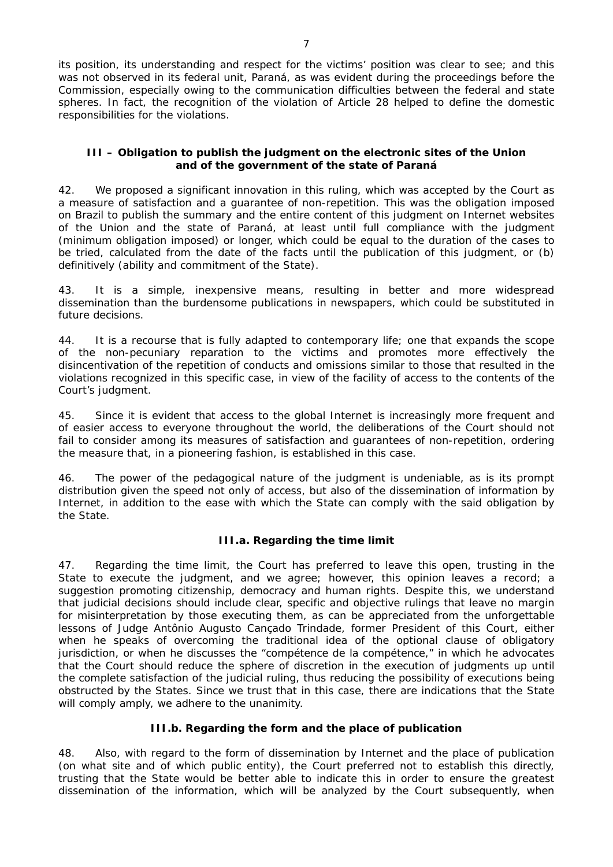its position, its understanding and respect for the victims' position was clear to see; and this was not observed in its federal unit, Paraná, as was evident during the proceedings before the Commission, especially owing to the communication difficulties between the federal and state spheres. In fact, the recognition of the violation of Article 28 helped to define the domestic responsibilities for the violations.

# **III – Obligation to publish the judgment on the electronic sites of the Union and of the government of the state of Paraná**

42. We proposed a significant innovation in this ruling, which was accepted by the Court as a measure of satisfaction and a guarantee of non-repetition. This was the obligation imposed on Brazil to publish the summary and the entire content of this judgment on Internet websites of the Union and the state of Paraná, at least until full compliance with the judgment (minimum obligation imposed) or longer, which could be equal to the duration of the cases to be tried, calculated from the date of the facts until the publication of this judgment, or (b) definitively (ability and commitment of the State).

43. It is a simple, inexpensive means, resulting in better and more widespread dissemination than the burdensome publications in newspapers, which could be substituted in future decisions.

44. It is a recourse that is fully adapted to contemporary life; one that expands the scope of the non-pecuniary reparation to the victims and promotes more effectively the disincentivation of the repetition of conducts and omissions similar to those that resulted in the violations recognized in this specific case, in view of the facility of access to the contents of the Court's judgment.

45. Since it is evident that access to the global Internet is increasingly more frequent and of easier access to everyone throughout the world, the deliberations of the Court should not fail to consider among its measures of satisfaction and guarantees of non-repetition, ordering the measure that, in a pioneering fashion, is established in this case.

46. The power of the pedagogical nature of the judgment is undeniable, as is its prompt distribution given the speed not only of access, but also of the dissemination of information by Internet, in addition to the ease with which the State can comply with the said obligation by the State.

# *III.a. Regarding the time limit*

47. Regarding the time limit, the Court has preferred to leave this open, trusting in the State to execute the judgment, and we agree; however, this opinion leaves a record; a suggestion promoting citizenship, democracy and human rights. Despite this, we understand that judicial decisions should include clear, specific and objective rulings that leave no margin for misinterpretation by those executing them, as can be appreciated from the unforgettable lessons of Judge Antônio Augusto Cançado Trindade, former President of this Court, either when he speaks of overcoming the traditional idea of the optional clause of obligatory jurisdiction, or when he discusses the "*compétence de la compétence,*" in which he advocates that the Court should reduce the sphere of discretion in the execution of judgments up until the complete satisfaction of the judicial ruling, thus reducing the possibility of executions being obstructed by the States. Since we trust that in this case, there are indications that the State will comply amply, we adhere to the unanimity.

### *III.b. Regarding the form and the place of publication*

48. Also, with regard to the form of dissemination by Internet and the place of publication (on what site and of which public entity), the Court preferred not to establish this directly, trusting that the State would be better able to indicate this in order to ensure the greatest dissemination of the information, which will be analyzed by the Court subsequently, when